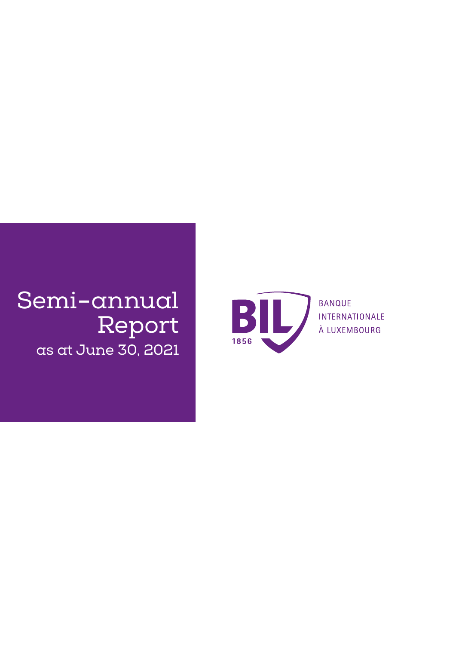## Semi**-**annual Report as at June 30, 2021



**BANQUE** INTERNATIONALE À LUXEMBOURG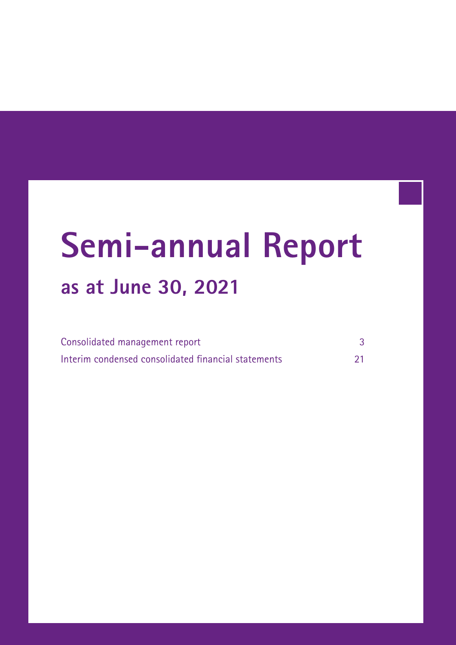# **Semi-annual Report as at June 30, 2021**

| Consolidated management report                      |    |
|-----------------------------------------------------|----|
| Interim condensed consolidated financial statements | 21 |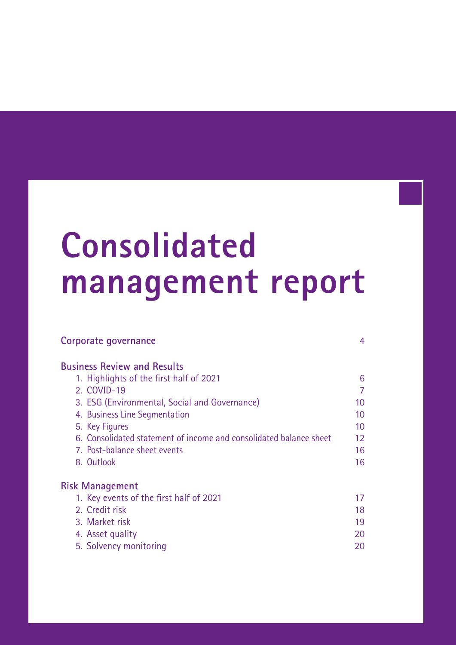# <span id="page-2-0"></span>**Consolidated management report**

| Corporate governance                                               | 4  |
|--------------------------------------------------------------------|----|
| <b>Business Review and Results</b>                                 |    |
| 1. Highlights of the first half of 2021                            | 6  |
| 2. COVID-19                                                        | 7  |
| 3. ESG (Environmental, Social and Governance)                      | 10 |
| 4. Business Line Segmentation                                      | 10 |
| 5. Key Figures                                                     | 10 |
| 6. Consolidated statement of income and consolidated balance sheet | 12 |
| 7. Post-balance sheet events                                       | 16 |
| 8. Outlook                                                         | 16 |
| <b>Risk Management</b>                                             |    |
| 1. Key events of the first half of 2021                            | 17 |
| 2. Credit risk                                                     | 18 |
| 3. Market risk                                                     | 19 |
| 4. Asset quality                                                   | 20 |
| 5. Solvency monitoring                                             | 20 |
|                                                                    |    |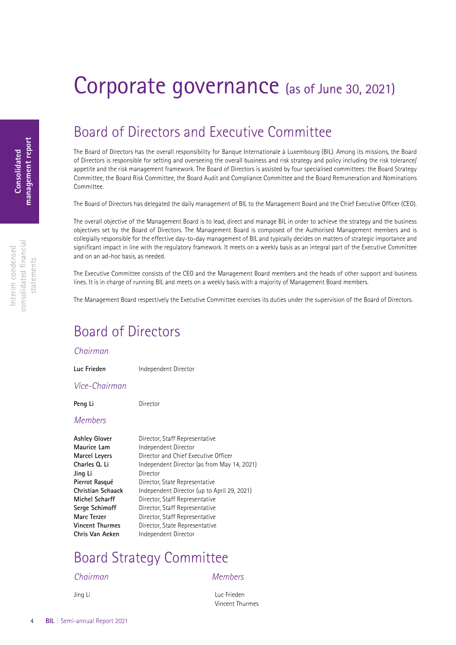## <span id="page-3-0"></span>Corporate governance (as of June 30, 2021)

## Board of Directors and Executive Committee

The Board of Directors has the overall responsibility for Banque Internationale à Luxembourg (BIL). Among its missions, the Board of Directors is responsible for setting and overseeing the overall business and risk strategy and policy including the risk tolerance/ appetite and the risk management framework. The Board of Directors is assisted by four specialised committees: the Board Strategy Committee, the Board Risk Committee, the Board Audit and Compliance Committee and the Board Remuneration and Nominations Committee.

The Board of Directors has delegated the daily management of BIL to the Management Board and the Chief Executive Officer (CEO).

The overall objective of the Management Board is to lead, direct and manage BIL in order to achieve the strategy and the business objectives set by the Board of Directors. The Management Board is composed of the Authorised Management members and is collegially responsible for the effective day-to-day management of BIL and typically decides on matters of strategic importance and significant impact in line with the regulatory framework. It meets on a weekly basis as an integral part of the Executive Committee and on an ad-hoc basis, as needed.

The Executive Committee consists of the CEO and the Management Board members and the heads of other support and business lines. It is in charge of running BIL and meets on a weekly basis with a majority of Management Board members.

The Management Board respectively the Executive Committee exercises its duties under the supervision of the Board of Directors.

## Board of Directors

### *Chairman*

**Luc Frieden** Independent Director

*Vice-Chairman*

Peng Li<br>
Director

### *Members*

| Ashley Glover     | Director, Staff Representative              |
|-------------------|---------------------------------------------|
| Maurice Lam       | Independent Director                        |
| Marcel Leyers     | Director and Chief Executive Officer        |
| Charles Q. Li     | Independent Director (as from May 14, 2021) |
| Jing Li           | Director                                    |
| Pierrot Rasqué    | Director, State Representative              |
| Christian Schaack | Independent Director (up to April 29, 2021) |
| Michel Scharff    | Director, Staff Representative              |
| Serge Schimoff    | Director, Staff Representative              |
| Marc Terzer       | Director, Staff Representative              |
| Vincent Thurmes   | Director, State Representative              |
| Chris Van Aeken   | Independent Director                        |

## Board Strategy Committee

### *Chairman Members*

Jing Li Luc Frieden Vincent Thurmes

consolidated fnancial consolidated financial Interim condensed Interim condensed statements statements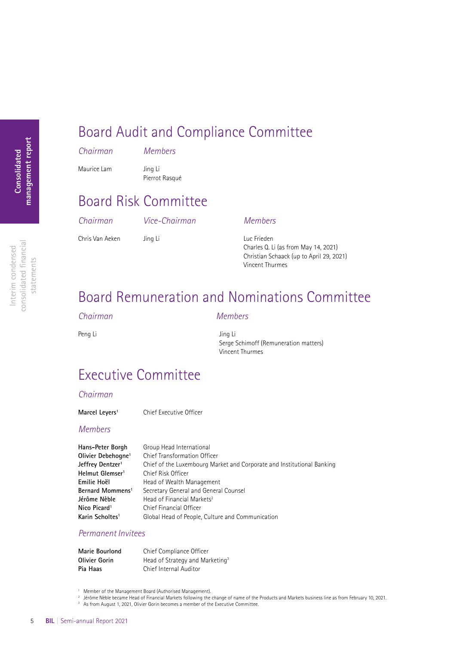## Board Audit and Compliance Committee

|  |  | Chairman |  |  |
|--|--|----------|--|--|
|  |  |          |  |  |
|  |  |          |  |  |

*Chairman Members*

Maurice Lam Jing Li

Pierrot Rasqué

## Board Risk Committee

*Chairman Vice-Chairman Members*

Chris Van Aeken Jing Li Van Luc Frieden

Charles Q. Li (as from May 14, 2021) Christian Schaack (up to April 29, 2021) Vincent Thurmes

## Board Remuneration and Nominations Committee

### *Chairman Members*

Peng Li Jing Li

Serge Schimoff (Remuneration matters) Vincent Thurmes

## Executive Committee

### *Chairman*

Marcel Leyers<sup>1</sup> Chief Executive Officer

### *Members*

| Hans-Peter Borgh               | Group Head International                                               |
|--------------------------------|------------------------------------------------------------------------|
| Olivier Debehogne <sup>1</sup> | <b>Chief Transformation Officer</b>                                    |
| Jeffrey Dentzer <sup>1</sup>   | Chief of the Luxembourg Market and Corporate and Institutional Banking |
| Helmut Glemser <sup>1</sup>    | Chief Risk Officer                                                     |
| Emilie Hoël                    | Head of Wealth Management                                              |
| Bernard Mommens <sup>1</sup>   | Secretary General and General Counsel                                  |
| Jérôme Nèble                   | Head of Financial Markets <sup>2</sup>                                 |
| Nico Picard <sup>1</sup>       | Chief Financial Officer                                                |
| Karin Scholtes <sup>1</sup>    | Global Head of People, Culture and Communication                       |

### *Permanent Invitees*

| Marie Bourlond | Chief Compliance Officer                    |
|----------------|---------------------------------------------|
| Olivier Gorin  | Head of Strategy and Marketing <sup>3</sup> |
| Pia Haas       | Chief Internal Auditor                      |

<sup>1</sup> Member of the Management Board (Authorised Management).

- <sup>2</sup> Jérôme Nèble became Head of Financial Markets following the change of name of the Products and Markets business line as from February 10, 2021.<br><sup>3</sup> As from August 1, 2021, Olivier Gorin becomes a member of the Executi
- 

Interim condensed consolidated fnancial statements

consolidated financial Interim condensed

statements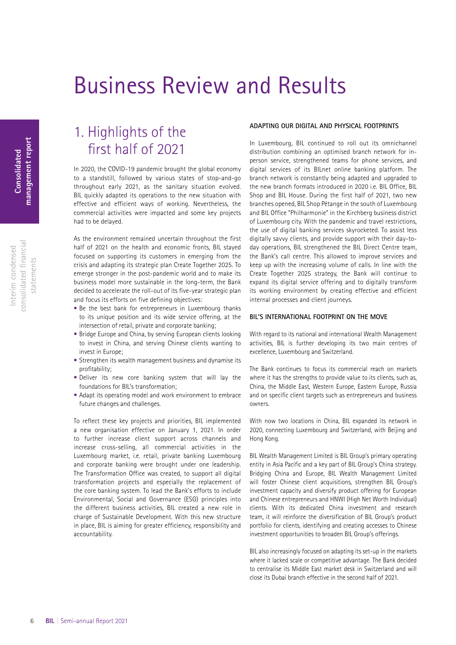## <span id="page-5-0"></span>Business Review and Results

### consolidated fnancial consolidated financial Interim condensed Interim condensed statements statements

### 1. Highlights of the first half of 2021

In 2020, the COVID-19 pandemic brought the global economy to a standstill, followed by various states of stop-and-go throughout early 2021, as the sanitary situation evolved. BIL quickly adapted its operations to the new situation with effective and efficient ways of working. Nevertheless, the commercial activities were impacted and some key projects had to be delayed.

As the environment remained uncertain throughout the first half of 2021 on the health and economic fronts, BIL stayed focused on supporting its customers in emerging from the crisis and adapting its strategic plan Create Together 2025. To emerge stronger in the post-pandemic world and to make its business model more sustainable in the long-term, the Bank decided to accelerate the roll-out of its five-year strategic plan and focus its efforts on five defining objectives:

- Be the best bank for entrepreneurs in Luxembourg thanks to its unique position and its wide service offering, at the intersection of retail, private and corporate banking;
- Bridge Europe and China, by serving European clients looking to invest in China, and serving Chinese clients wanting to invest in Europe;
- Strengthen its wealth management business and dynamise its profitability;
- Deliver its new core banking system that will lay the foundations for BIL's transformation;
- Adapt its operating model and work environment to embrace future changes and challenges.

To reflect these key projects and priorities, BIL implemented a new organisation effective on January 1, 2021. In order to further increase client support across channels and increase cross-selling, all commercial activities in the Luxembourg market, i.e. retail, private banking Luxembourg and corporate banking were brought under one leadership. The Transformation Office was created, to support all digital transformation projects and especially the replacement of the core banking system. To lead the Bank's efforts to include Environmental, Social and Governance (ESG) principles into the different business activities, BIL created a new role in charge of Sustainable Development. With this new structure in place, BIL is aiming for greater efficiency, responsibility and accountability.

### **ADAPTING OUR DIGITAL AND PHYSICAL FOOTPRINTS**

In Luxembourg, BIL continued to roll out its omnichannel distribution combining an optimised branch network for inperson service, strengthened teams for phone services, and digital services of its BILnet online banking platform. The branch network is constantly being adapted and upgraded to the new branch formats introduced in 2020 i.e. BIL Office, BIL Shop and BIL House. During the first half of 2021, two new branches opened, BIL Shop Pétange in the south of Luxembourg and BIL Office "Philharmonie" in the Kirchberg business district of Luxembourg city. With the pandemic and travel restrictions, the use of digital banking services skyrocketed. To assist less digitally savvy clients, and provide support with their day-today operations, BIL strengthened the BIL Direct Centre team, the Bank's call centre. This allowed to improve services and keep up with the increasing volume of calls. In line with the Create Together 2025 strategy, the Bank will continue to expand its digital service offering and to digitally transform its working environment by creating effective and efficient internal processes and client journeys.

### **BIL'S INTERNATIONAL FOOTPRINT ON THE MOVE**

With regard to its national and international Wealth Management activities, BIL is further developing its two main centres of excellence, Luxembourg and Switzerland.

The Bank continues to focus its commercial reach on markets where it has the strengths to provide value to its clients, such as, China, the Middle East, Western Europe, Eastern Europe, Russia and on specific client targets such as entrepreneurs and business owners.

With now two locations in China, BIL expanded its network in 2020, connecting Luxembourg and Switzerland, with Beijing and Hong Kong.

BIL Wealth Management Limited is BIL Group's primary operating entity in Asia Pacific and a key part of BIL Group's China strategy. Bridging China and Europe, BIL Wealth Management Limited will foster Chinese client acquisitions, strengthen BIL Group's investment capacity and diversify product offering for European and Chinese entrepreneurs and HNWI (High Net Worth Individual) clients. With its dedicated China investment and research team, it will reinforce the diversification of BIL Group's product portfolio for clients, identifying and creating accesses to Chinese investment opportunities to broaden BIL Group's offerings.

BIL also increasingly focused on adapting its set-up in the markets where it lacked scale or competitive advantage. The Bank decided to centralise its Middle East market desk in Switzerland and will close its Dubai branch effective in the second half of 2021.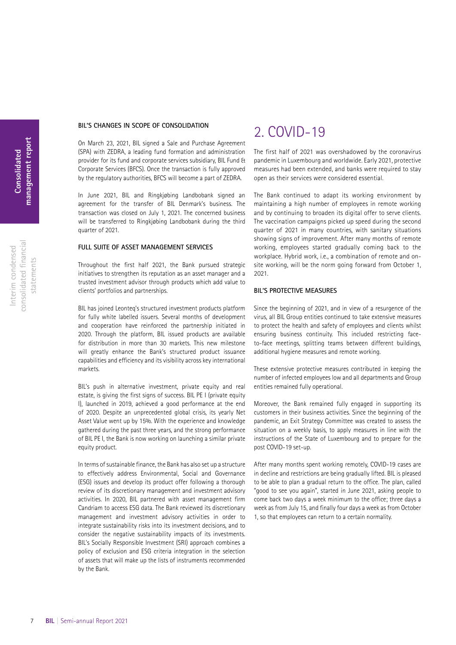### <span id="page-6-0"></span>**BIL'S CHANGES IN SCOPE OF CONSOLIDATION**

On March 23, 2021, BIL signed a Sale and Purchase Agreement (SPA) with ZEDRA, a leading fund formation and administration provider for its fund and corporate services subsidiary, BIL Fund & Corporate Services (BFCS). Once the transaction is fully approved by the regulatory authorities, BFCS will become a part of ZEDRA.

In June 2021, BIL and Ringkjøbing Landbobank signed an agreement for the transfer of BIL Denmark's business. The transaction was closed on July 1, 2021. The concerned business will be transferred to Ringkjøbing Landbobank during the third quarter of 2021.

### **FULL SUITE OF ASSET MANAGEMENT SERVICES**

Throughout the first half 2021, the Bank pursued strategic initiatives to strengthen its reputation as an asset manager and a trusted investment advisor through products which add value to clients' portfolios and partnerships.

BIL has joined Leonteq's structured investment products platform for fully white labelled issuers. Several months of development and cooperation have reinforced the partnership initiated in 2020. Through the platform, BIL issued products are available for distribution in more than 30 markets. This new milestone will greatly enhance the Bank's structured product issuance capabilities and efficiency and its visibility across key international markets.

BIL's push in alternative investment, private equity and real estate, is giving the first signs of success. BIL PE I (private equity I), launched in 2019, achieved a good performance at the end of 2020. Despite an unprecedented global crisis, its yearly Net Asset Value went up by 15%. With the experience and knowledge gathered during the past three years, and the strong performance of BIL PE I, the Bank is now working on launching a similar private equity product.

In terms of sustainable finance, the Bank has also set up a structure to effectively address Environmental, Social and Governance (ESG) issues and develop its product offer following a thorough review of its discretionary management and investment advisory activities. In 2020, BIL partnered with asset management firm Candriam to access ESG data. The Bank reviewed its discretionary management and investment advisory activities in order to integrate sustainability risks into its investment decisions, and to consider the negative sustainability impacts of its investments. BIL's Socially Responsible Investment (SRI) approach combines a policy of exclusion and ESG criteria integration in the selection of assets that will make up the lists of instruments recommended by the Bank.

### 2. COVID-19

The first half of 2021 was overshadowed by the coronavirus pandemic in Luxembourg and worldwide. Early 2021, protective measures had been extended, and banks were required to stay open as their services were considered essential.

The Bank continued to adapt its working environment by maintaining a high number of employees in remote working and by continuing to broaden its digital offer to serve clients. The vaccination campaigns picked up speed during the second quarter of 2021 in many countries, with sanitary situations showing signs of improvement. After many months of remote working, employees started gradually coming back to the workplace. Hybrid work, i.e., a combination of remote and onsite working, will be the norm going forward from October 1, 2021.

### **BIL'S PROTECTIVE MEASURES**

Since the beginning of 2021, and in view of a resurgence of the virus, all BIL Group entities continued to take extensive measures to protect the health and safety of employees and clients whilst ensuring business continuity. This included restricting faceto-face meetings, splitting teams between different buildings, additional hygiene measures and remote working.

These extensive protective measures contributed in keeping the number of infected employees low and all departments and Group entities remained fully operational.

Moreover, the Bank remained fully engaged in supporting its customers in their business activities. Since the beginning of the pandemic, an Exit Strategy Committee was created to assess the situation on a weekly basis, to apply measures in line with the instructions of the State of Luxembourg and to prepare for the post COVID-19 set-up.

After many months spent working remotely, COVID-19 cases are in decline and restrictions are being gradually lifted. BIL is pleased to be able to plan a gradual return to the office. The plan, called "good to see you again", started in June 2021, asking people to come back two days a week minimum to the office; three days a week as from July 15, and finally four days a week as from October 1, so that employees can return to a certain normality.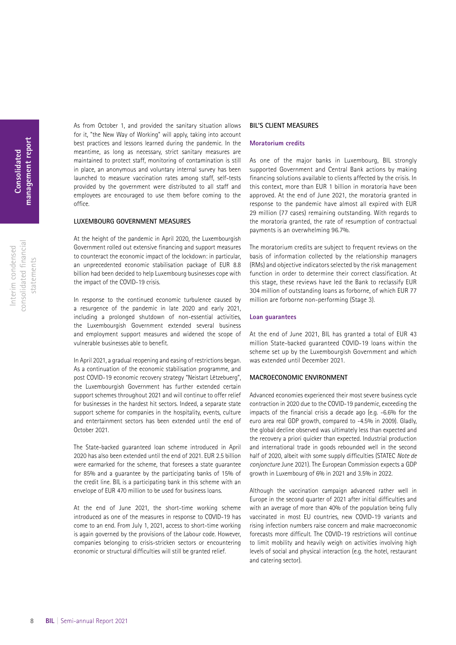Interim condensed consolidated fnancial statements

consolidated financial Interim condensed

statements

As from October 1, and provided the sanitary situation allows for it, "the New Way of Working" will apply, taking into account best practices and lessons learned during the pandemic. In the meantime, as long as necessary, strict sanitary measures are maintained to protect staff, monitoring of contamination is still in place, an anonymous and voluntary internal survey has been launched to measure vaccination rates among staff, self-tests provided by the government were distributed to all staff and employees are encouraged to use them before coming to the office.

#### **LUXEMBOURG GOVERNMENT MEASURES**

At the height of the pandemic in April 2020, the Luxembourgish Government rolled out extensive financing and support measures to counteract the economic impact of the lockdown: in particular, an unprecedented economic stabilisation package of EUR 8.8 billion had been decided to help Luxembourg businesses cope with the impact of the COVID-19 crisis.

In response to the continued economic turbulence caused by a resurgence of the pandemic in late 2020 and early 2021, including a prolonged shutdown of non-essential activities, the Luxembourgish Government extended several business and employment support measures and widened the scope of vulnerable businesses able to benefit.

In April 2021, a gradual reopening and easing of restrictions began. As a continuation of the economic stabilisation programme, and post COVID-19 economic recovery strategy "Neistart Lëtzebuerg", the Luxembourgish Government has further extended certain support schemes throughout 2021 and will continue to offer relief for businesses in the hardest hit sectors. Indeed, a separate state support scheme for companies in the hospitality, events, culture and entertainment sectors has been extended until the end of October 2021.

The State-backed guaranteed loan scheme introduced in April 2020 has also been extended until the end of 2021. EUR 2.5 billion were earmarked for the scheme, that foresees a state guarantee for 85% and a guarantee by the participating banks of 15% of the credit line. BIL is a participating bank in this scheme with an envelope of EUR 470 million to be used for business loans.

At the end of June 2021, the short-time working scheme introduced as one of the measures in response to COVID-19 has come to an end. From July 1, 2021, access to short-time working is again governed by the provisions of the Labour code. However, companies belonging to crisis-stricken sectors or encountering economic or structural difficulties will still be granted relief.

### **BIL'S CLIENT MEASURES**

#### **Moratorium credits**

As one of the major banks in Luxembourg, BIL strongly supported Government and Central Bank actions by making financing solutions available to clients affected by the crisis. In this context, more than EUR 1 billion in moratoria have been approved. At the end of June 2021, the moratoria granted in response to the pandemic have almost all expired with EUR 29 million (77 cases) remaining outstanding. With regards to the moratoria granted, the rate of resumption of contractual payments is an overwhelming 96.7%.

The moratorium credits are subject to frequent reviews on the basis of information collected by the relationship managers (RMs) and objective indicators selected by the risk management function in order to determine their correct classification. At this stage, these reviews have led the Bank to reclassify EUR 304 million of outstanding loans as forborne, of which EUR 77 million are forborne non-performing (Stage 3).

#### **Loan guarantees**

At the end of June 2021, BIL has granted a total of EUR 43 million State-backed guaranteed COVID-19 loans within the scheme set up by the Luxembourgish Government and which was extended until December 2021.

### **MACROECONOMIC ENVIRONMENT**

Advanced economies experienced their most severe business cycle contraction in 2020 due to the COVID-19 pandemic, exceeding the impacts of the financial crisis a decade ago (e.g. -6.6% for the euro area real GDP growth, compared to -4.5% in 2009). Gladly, the global decline observed was ultimately less than expected and the recovery a priori quicker than expected. Industrial production and international trade in goods rebounded well in the second half of 2020, albeit with some supply difficulties (STATEC *Note de conjoncture* June 2021). The European Commission expects a GDP growth in Luxembourg of 6% in 2021 and 3.5% in 2022.

Although the vaccination campaign advanced rather well in Europe in the second quarter of 2021 after initial difficulties and with an average of more than 40% of the population being fully vaccinated in most EU countries, new COVID-19 variants and rising infection numbers raise concern and make macroeconomic forecasts more difficult. The COVID-19 restrictions will continue to limit mobility and heavily weigh on activities involving high levels of social and physical interaction (e.g. the hotel, restaurant and catering sector).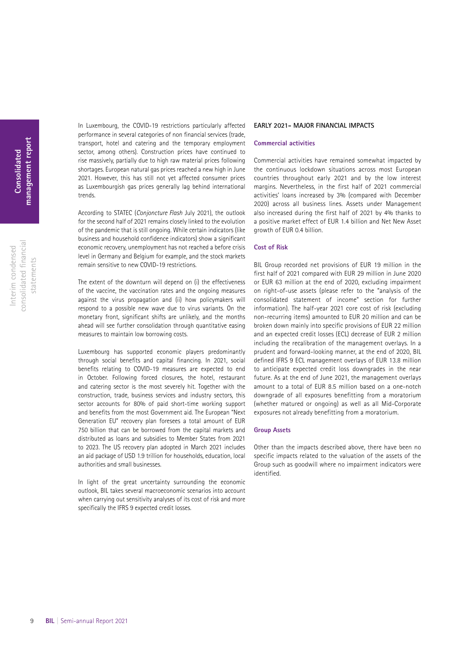consolidated fnancial consolidated financial Interim condensed Interim condensed statements statements In Luxembourg, the COVID-19 restrictions particularly affected performance in several categories of non financial services (trade, transport, hotel and catering and the temporary employment sector, among others). Construction prices have continued to rise massively, partially due to high raw material prices following shortages. European natural gas prices reached a new high in June 2021. However, this has still not yet affected consumer prices as Luxembourgish gas prices generally lag behind international trends.

According to STATEC (*Conjoncture Flash* July 2021), the outlook for the second half of 2021 remains closely linked to the evolution of the pandemic that is still ongoing. While certain indicators (like business and household confidence indicators) show a significant economic recovery, unemployment has not reached a before crisis level in Germany and Belgium for example, and the stock markets remain sensitive to new COVID-19 restrictions.

The extent of the downturn will depend on (i) the effectiveness of the vaccine, the vaccination rates and the ongoing measures against the virus propagation and (ii) how policymakers will respond to a possible new wave due to virus variants. On the monetary front, significant shifts are unlikely, and the months ahead will see further consolidation through quantitative easing measures to maintain low borrowing costs.

Luxembourg has supported economic players predominantly through social benefits and capital financing. In 2021, social benefits relating to COVID-19 measures are expected to end in October. Following forced closures, the hotel, restaurant and catering sector is the most severely hit. Together with the construction, trade, business services and industry sectors, this sector accounts for 80% of paid short-time working support and benefits from the most Government aid. The European "Next Generation EU" recovery plan foresees a total amount of EUR 750 billion that can be borrowed from the capital markets and distributed as loans and subsidies to Member States from 2021 to 2023. The US recovery plan adopted in March 2021 includes an aid package of USD 1.9 trillion for households, education, local authorities and small businesses.

In light of the great uncertainty surrounding the economic outlook, BIL takes several macroeconomic scenarios into account when carrying out sensitivity analyses of its cost of risk and more specifically the IFRS 9 expected credit losses.

### **EARLY 2021- MAJOR FINANCIAL IMPACTS**

#### **Commercial activities**

Commercial activities have remained somewhat impacted by the continuous lockdown situations across most European countries throughout early 2021 and by the low interest margins. Nevertheless, in the first half of 2021 commercial activities' loans increased by 3% (compared with December 2020) across all business lines. Assets under Management also increased during the first half of 2021 by 4% thanks to a positive market effect of EUR 1.4 billion and Net New Asset growth of EUR 0.4 billion.

### **Cost of Risk**

BIL Group recorded net provisions of EUR 19 million in the first half of 2021 compared with EUR 29 million in June 2020 or EUR 63 million at the end of 2020, excluding impairment on right-of-use assets (please refer to the "analysis of the consolidated statement of income" section for further information). The half-year 2021 core cost of risk (excluding non-recurring items) amounted to EUR 20 million and can be broken down mainly into specific provisions of EUR 22 million and an expected credit losses (ECL) decrease of EUR 2 million including the recalibration of the management overlays. In a prudent and forward-looking manner, at the end of 2020, BIL defined IFRS 9 ECL management overlays of EUR 13.8 million to anticipate expected credit loss downgrades in the near future. As at the end of June 2021, the management overlays amount to a total of EUR 8.5 million based on a one-notch downgrade of all exposures benefitting from a moratorium (whether matured or ongoing) as well as all Mid-Corporate exposures not already benefitting from a moratorium.

#### **Group Assets**

Other than the impacts described above, there have been no specific impacts related to the valuation of the assets of the Group such as goodwill where no impairment indicators were identified.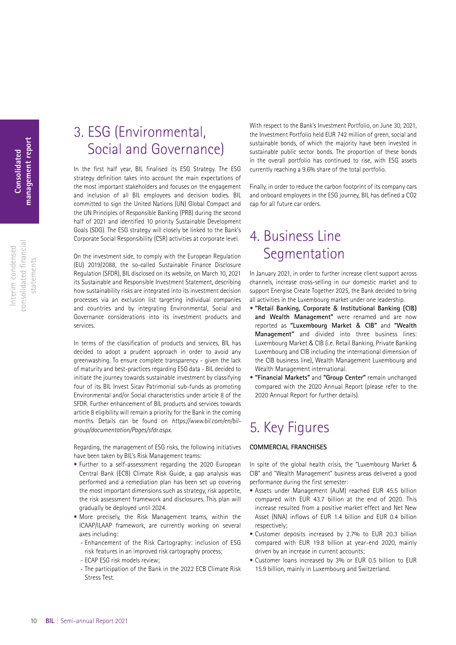Interim condensed consolidated fnancial statements

consolidated financial Interim condensed

statements

## <span id="page-9-0"></span>3. ESG (Environmental, Social and Governance)

In the first half year, BIL finalised its ESG Strategy. The ESG strategy definition takes into account the main expectations of the most important stakeholders and focuses on the engagement and inclusion of all BIL employees and decision bodies. BIL committed to sign the United Nations (UN) Global Compact and the UN Principles of Responsible Banking (PRB) during the second half of 2021 and identified 10 priority Sustainable Development Goals (SDG). The ESG strategy will closely be linked to the Bank's Corporate Social Responsibility (CSR) activities at corporate level.

On the investment side, to comply with the European Regulation (EU) 2019/2088, the so-called Sustainable Finance Disclosure Regulation (SFDR), BIL disclosed on its website, on March 10, 2021 its Sustainable and Responsible Investment Statement, describing how sustainability risks are integrated into its investment decision processes via an exclusion list targeting individual companies and countries and by integrating Environmental, Social and Governance considerations into its investment products and services.

In terms of the classification of products and services, BIL has decided to adopt a prudent approach in order to avoid any greenwashing. To ensure complete transparency - given the lack of maturity and best-practices regarding ESG data - BIL decided to initiate the journey towards sustainable investment by classifying four of its BIL Invest Sicav Patrimonial sub-funds as promoting Environmental and/or Social characteristics under article 8 of the SFDR. Further enhancement of BIL products and services towards article 8 eligibility will remain a priority for the Bank in the coming months. Details can be found on *[https://www.bil.com/en/bil](https://www.bil.com/en/bil-group/documentation/Pages/sfdr.aspx)[group/documentation/Pages/sfdr.aspx](https://www.bil.com/en/bil-group/documentation/Pages/sfdr.aspx)*.

Regarding, the management of ESG risks, the following initiatives have been taken by BIL's Risk Management teams:

- Further to a self-assessment regarding the 2020 European Central Bank (ECB) Climate Risk Guide, a gap analysis was performed and a remediation plan has been set up covering the most important dimensions such as strategy, risk appetite, the risk assessment framework and disclosures. This plan will gradually be deployed until 2024.
- More precisely, the Risk Management teams, within the ICAAP/ILAAP framework, are currently working on several axes including:
	- Enhancement of the Risk Cartography: inclusion of ESG risk features in an improved risk cartography process;
	- ECAP ESG risk models review;
	- The participation of the Bank in the 2022 ECB Climate Risk Stress Test.

With respect to the Bank's Investment Portfolio, on June 30, 2021, the Investment Portfolio held EUR 742 million of green, social and sustainable bonds, of which the majority have been invested in sustainable public sector bonds. The proportion of these bonds in the overall portfolio has continued to rise, with ESG assets currently reaching a 9.6% share of the total portfolio.

Finally, in order to reduce the carbon footprint of its company cars and onboard employees in the ESG journey, BIL has defined a CO2 cap for all future car orders.

### 4. Business Line **Segmentation**

In January 2021, in order to further increase client support across channels, increase cross-selling in our domestic market and to support Energise Create Together 2025, the Bank decided to bring all activities in the Luxembourg market under one leadership.

- **• "Retail Banking, Corporate** & **Institutional Banking (CIB) and Wealth Management"** were renamed and are now reported as **"Luxembourg Market** & **CIB"** and **"Wealth Management"** and divided into three business lines: Luxembourg Market & CIB (i.e. Retail Banking, Private Banking Luxembourg and CIB including the international dimension of the CIB business line), Wealth Management Luxembourg and Wealth Management international.
- **• "Financial Markets"** and **"Group Center"** remain unchanged compared with the 2020 Annual Report (please refer to the 2020 Annual Report for further details).

## 5. Key Figures

### **COMMERCIAL FRANCHISES**

In spite of the global health crisis, the "Luxembourg Market & CIB" and "Wealth Management" business areas delivered a good performance during the first semester:

- Assets under Management (AuM) reached EUR 45.5 billion compared with EUR 43.7 billion at the end of 2020. This increase resulted from a positive market effect and Net New Asset (NNA) inflows of EUR 1.4 billion and EUR 0.4 billion respectively;
- Customer deposits increased by 2.7% to EUR 20.3 billion compared with EUR 19.8 billion at year-end 2020, mainly driven by an increase in current accounts;
- Customer loans increased by 3% or EUR 0.5 billion to EUR 15.9 billion, mainly in Luxembourg and Switzerland.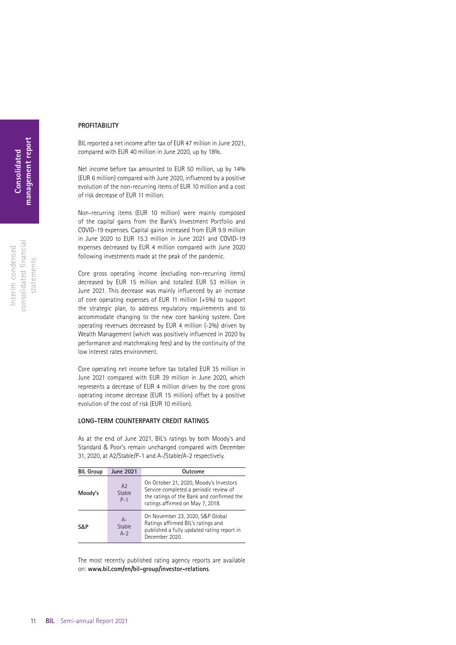### **PROFITABILITY**

BIL reported a net income after tax of EUR 47 million in June 2021, compared with EUR 40 million in June 2020, up by 18%.

Net income before tax amounted to EUR 50 million, up by 14% (EUR 6 million) compared with June 2020, influenced by a positive evolution of the non-recurring items of EUR 10 million and a cost of risk decrease of EUR 11 million.

Non-recurring items (EUR 10 million) were mainly composed of the capital gains from the Bank's Investment Portfolio and COVID-19 expenses. Capital gains increased from EUR 9.9 million in June 2020 to EUR 15.3 million in June 2021 and COVID-19 expenses decreased by EUR 4 million compared with June 2020 following investments made at the peak of the pandemic.

Core gross operating income (excluding non-recurring items) decreased by EUR 15 million and totalled EUR 53 million in June 2021. This decrease was mainly influenced by an increase of core operating expenses of EUR 11 million (+5%) to support the strategic plan, to address regulatory requirements and to accommodate changing to the new core banking system. Core operating revenues decreased by EUR 4 million (-2%) driven by Wealth Management (which was positively influenced in 2020 by performance and matchmaking fees) and by the continuity of the low interest rates environment.

Core operating net income before tax totalled EUR 35 million in June 2021 compared with EUR 39 million in June 2020, which represents a decrease of EUR 4 million driven by the core gross operating income decrease (EUR 15 million) offset by a positive evolution of the cost of risk (EUR 10 million).

#### **LONG-TERM COUNTERPARTY CREDIT RATINGS**

As at the end of June 2021, BIL's ratings by both Moody's and Standard & Poor's remain unchanged compared with December 31, 2020, at A2/Stable/P-1 and A-/Stable/A-2 respectively.

| <b>BIL Group</b> | <b>June 2021</b>      | Outcome                                                                                                                                                           |
|------------------|-----------------------|-------------------------------------------------------------------------------------------------------------------------------------------------------------------|
| Moody's          | A2<br>Stable<br>$P-1$ | On October 21, 2020, Moody's Investors<br>Service completed a periodic review of<br>the ratings of the Bank and confirmed the<br>ratings affirmed on May 7, 2018. |
| S&P              | А-<br>Stable<br>$A-2$ | On November 23, 2020, S&P Global<br>Ratings affirmed BIL's ratings and<br>published a fully updated rating report in<br>December 2020.                            |

The most recently published rating agency reports are available on: **www.bil.com/en/bil-group/investor-relations**.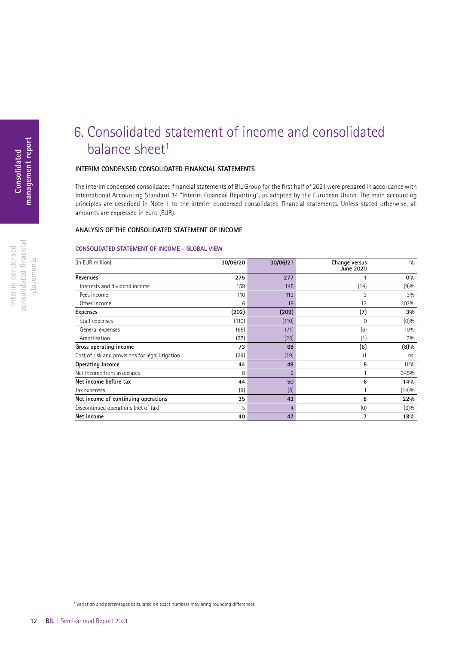### consolidated fnancial consolidated financial Interim condensed Interim condensed statements statements

## <span id="page-11-0"></span>6. Consolidated statement of income and consolidated balance sheet<sup>1</sup>

### **INTERIM CONDENSED CONSOLIDATED FINANCIAL STATEMENTS**

The interim condensed consolidated financial statements of BIL Group for the first half of 2021 were prepared in accordance with International Accounting Standard 34 "Interim Financial Reporting", as adopted by the European Union. The main accounting principles are described in Note 1 to the interim condensed consolidated financial statements. Unless stated otherwise, all amounts are expressed in euro (EUR).

### **ANALYSIS OF THE CONSOLIDATED STATEMENT OF INCOME**

### **CONSOLIDATED STATEMENT OF INCOME - GLOBAL VIEW**

| (in EUR million)                                 | 30/06/20 | 30/06/21       | Change versus<br><b>June 2020</b> | 0/0     |
|--------------------------------------------------|----------|----------------|-----------------------------------|---------|
| Revenues                                         | 275      | 277            |                                   | 0%      |
| Interests and dividend income                    | 159      | 145            | (14)                              | (9)%    |
| Fees income                                      | 110      | 113            | 3                                 | 3%      |
| Other income                                     | 6        | 19             | 13                                | 203%    |
| <b>Expenses</b>                                  | (202)    | (209)          | (7)                               | 3%      |
| Staff expenses                                   | (110)    | (110)          | $\Omega$                          | $(0)$ % |
| General expenses                                 | (65)     | (71)           | (6)                               | 10%     |
| Amortisation                                     | (27)     | (28)           | (1)                               | 3%      |
| Gross operating income                           | 73       | 68             | (6)                               | (8)%    |
| Cost of risk and provisions for legal litigation | (29)     | (19)           | 11                                | ns.     |
| Operating Income                                 | 44       | 49             | 5                                 | 11%     |
| Net Income from associates                       | 0        | $\overline{2}$ |                                   | 345%    |
| Net income before tax                            | 44       | 50             | 6                                 | 14%     |
| Tax expenses                                     | (9)      | (8)            |                                   | (14)%   |
| Net income of continuing operations              | 35       | 43             | 8                                 | 22%     |
| Discontinued operations (net of tax)             | 5        | 4              | (0)                               | (6)%    |
| Net income                                       | 40       | 47             | 7                                 | 18%     |

<sup>1</sup> Variation and percentages calculated on exact numbers may bring rounding differences.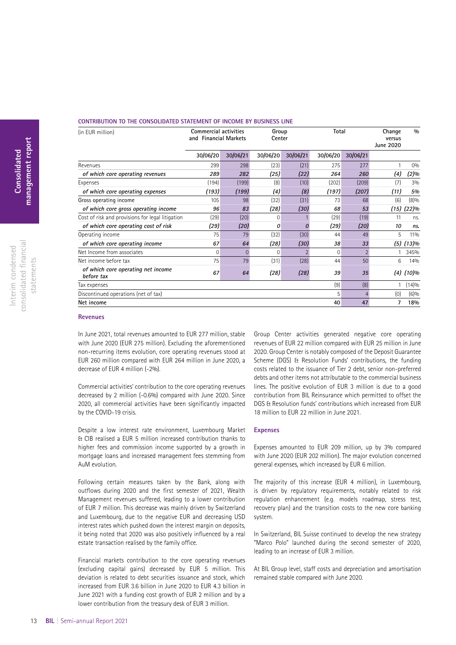### **CONTRIBUTION TO THE CONSOLIDATED STATEMENT OF INCOME BY BUSINESS LINE**

| (in EUR million)                                 | <b>Commercial activities</b><br>and Financial Markets |          |          | Group<br>Center |          | Total          |       | 0/0<br>Change |
|--------------------------------------------------|-------------------------------------------------------|----------|----------|-----------------|----------|----------------|-------|---------------|
|                                                  | 30/06/20                                              | 30/06/21 | 30/06/20 | 30/06/21        | 30/06/20 | 30/06/21       |       |               |
| Revenues                                         | 299                                                   | 298      | (23)     | (21)            | 275      | 277            |       | 0%            |
| of which core operating revenues                 | 289                                                   | 282      | (25)     | (22)            | 264      | 260            | (4)   | $(2)\%$       |
| Expenses                                         | (194)                                                 | (199)    | (8)      | (10)            | (202)    | (209)          | (7)   | 3%            |
| of which core operating expenses                 | (193)                                                 | (199)    | (4)      | (8)             | (197)    | (207)          | (11)  | 5%            |
| Gross operating income                           | 105                                                   | 98       | (32)     | (31)            | 73       | 68             | (6)   | (8)%          |
| of which core gross operating income             | 96                                                    | 83       | (28)     | (30)            | 68       | 53             | (15)  | (22)%         |
| Cost of risk and provisions for legal litigation | (29)                                                  | (20)     | 0        |                 | (29)     | (19)           | 11    | ns.           |
| of which core operating cost of risk             | (29)                                                  | (20)     | 0        | Ω               | (29)     | (20)           | 10    | ns.           |
| Operating income                                 | 75                                                    | 79       | (32)     | (30)            | 44       | 49             | 5     | 11%           |
| of which core operating income                   | 67                                                    | 64       | (28)     | (30)            | 38       | 33             | (5)   | (13)%         |
| Net Income from associates                       | $\Omega$                                              | $\Omega$ | 0        | $\overline{2}$  | 0        | $\overline{2}$ |       | 345%          |
| Net income before tax                            | 75                                                    | 79       | (31)     | (28)            | 44       | 50             | 6     | 14%           |
| of which core operating net income<br>before tax | 67                                                    | 64       | (28)     | (28)            | 39       | 35             | (4)   | (10)%         |
| (9)<br>(8)<br>Tax expenses                       |                                                       |          |          |                 |          |                | (14)% |               |
| 5<br>Discontinued operations (net of tax)        |                                                       |          |          |                 |          | (0)            | (6)%  |               |
| Net income                                       |                                                       |          |          |                 | 40       | 47             | 7     | 18%           |

### **Revenues**

In June 2021, total revenues amounted to EUR 277 million, stable with June 2020 (EUR 275 million). Excluding the aforementioned non-recurring items evolution, core operating revenues stood at EUR 260 million compared with EUR 264 million in June 2020, a decrease of EUR 4 million (-2%).

Commercial activities' contribution to the core operating revenues decreased by 2 million (-0.6%) compared with June 2020. Since 2020, all commercial activities have been significantly impacted by the COVID-19 crisis.

Despite a low interest rate environment, Luxembourg Market & CIB realised a EUR 5 million increased contribution thanks to higher fees and commission income supported by a growth in mortgage loans and increased management fees stemming from AuM evolution.

Following certain measures taken by the Bank, along with outflows during 2020 and the first semester of 2021, Wealth Management revenues suffered, leading to a lower contribution of EUR 7 million. This decrease was mainly driven by Switzerland and Luxembourg, due to the negative EUR and decreasing USD interest rates which pushed down the interest margin on deposits, it being noted that 2020 was also positively influenced by a real estate transaction realised by the family office.

Financial markets contribution to the core operating revenues (excluding capital gains) decreased by EUR 5 million. This deviation is related to debt securities issuance and stock, which increased from EUR 3.6 billion in June 2020 to EUR 4.3 billion in June 2021 with a funding cost growth of EUR 2 million and by a lower contribution from the treasury desk of EUR 3 million.

Group Center activities generated negative core operating revenues of EUR 22 million compared with EUR 25 million in June 2020. Group Center is notably composed of the Deposit Guarantee Scheme (DGS) & Resolution Funds' contributions, the funding costs related to the issuance of Tier 2 debt, senior non-preferred debts and other items not attributable to the commercial business lines. The positive evolution of EUR 3 million is due to a good contribution from BIL Reinsurance which permitted to offset the DGS & Resolution funds' contributions which increased from EUR 18 million to EUR 22 million in June 2021.

#### **Expenses**

Expenses amounted to EUR 209 million, up by 3% compared with June 2020 (EUR 202 million). The major evolution concerned general expenses, which increased by EUR 6 million.

The majority of this increase (EUR 4 million), in Luxembourg, is driven by regulatory requirements, notably related to risk regulation enhancement (e.g. models roadmap, stress test, recovery plan) and the transition costs to the new core banking system.

In Switzerland, BIL Suisse continued to develop the new strategy "Marco Polo" launched during the second semester of 2020, leading to an increase of EUR 3 million.

At BIL Group level, staff costs and depreciation and amortisation remained stable compared with June 2020.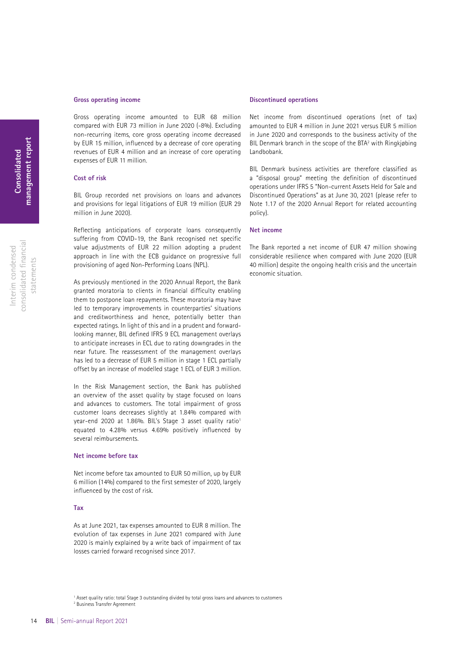### **Gross operating income**

Gross operating income amounted to EUR 68 million compared with EUR 73 million in June 2020 (-8%). Excluding non-recurring items, core gross operating income decreased by EUR 15 million, influenced by a decrease of core operating revenues of EUR 4 million and an increase of core operating expenses of EUR 11 million.

#### **Cost of risk**

BIL Group recorded net provisions on loans and advances and provisions for legal litigations of EUR 19 million (EUR 29 million in June 2020).

Reflecting anticipations of corporate loans consequently suffering from COVID-19, the Bank recognised net specific value adjustments of EUR 22 million adopting a prudent approach in line with the ECB guidance on progressive full provisioning of aged Non-Performing Loans (NPL).

As previously mentioned in the 2020 Annual Report, the Bank granted moratoria to clients in financial difficulty enabling them to postpone loan repayments. These moratoria may have led to temporary improvements in counterparties' situations and creditworthiness and hence, potentially better than expected ratings. In light of this and in a prudent and forwardlooking manner, BIL defined IFRS 9 ECL management overlays to anticipate increases in ECL due to rating downgrades in the near future. The reassessment of the management overlays has led to a decrease of EUR 5 million in stage 1 ECL partially offset by an increase of modelled stage 1 ECL of EUR 3 million.

In the Risk Management section, the Bank has published an overview of the asset quality by stage focused on loans and advances to customers. The total impairment of gross customer loans decreases slightly at 1.84% compared with year-end 2020 at 1.86%. BIL's Stage 3 asset quality ratio<sup>1</sup> equated to 4.28% versus 4.69% positively influenced by several reimbursements.

### **Net income before tax**

Net income before tax amounted to EUR 50 million, up by EUR 6 million (14%) compared to the first semester of 2020, largely influenced by the cost of risk.

### **Tax**

As at June 2021, tax expenses amounted to EUR 8 million. The evolution of tax expenses in June 2021 compared with June 2020 is mainly explained by a write back of impairment of tax losses carried forward recognised since 2017.

1 Asset quality ratio: total Stage 3 outstanding divided by total gross loans and advances to customers

### **Discontinued operations**

Net income from discontinued operations (net of tax) amounted to EUR 4 million in June 2021 versus EUR 5 million in June 2020 and corresponds to the business activity of the BIL Denmark branch in the scope of the BTA<sup>2</sup> with Ringkjøbing Landbobank.

BIL Denmark business activities are therefore classified as a "disposal group" meeting the definition of discontinued operations under IFRS 5 "Non-current Assets Held for Sale and Discontinued Operations" as at June 30, 2021 (please refer to Note 1.17 of the 2020 Annual Report for related accounting policy).

### **Net income**

The Bank reported a net income of EUR 47 million showing considerable resilience when compared with June 2020 (EUR 40 million) despite the ongoing health crisis and the uncertain economic situation.

2 Business Transfer Agreement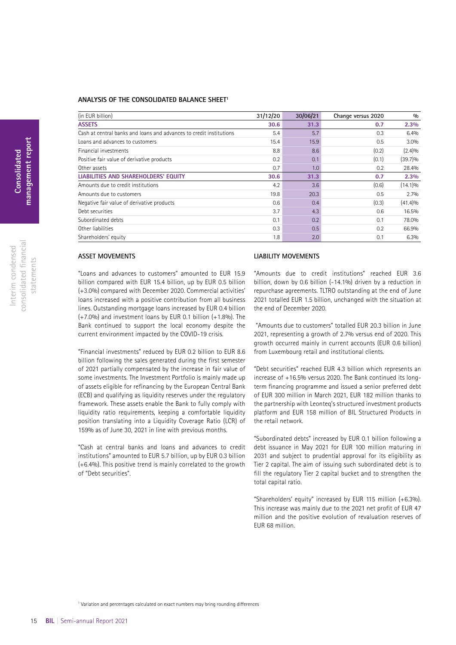### **ANALYSIS OF THE CONSOLIDATED BALANCE SHEET1**

| (in EUR billion)                                                    | 31/12/20 | 30/06/21 | Change versus 2020 | $\frac{0}{0}$ |
|---------------------------------------------------------------------|----------|----------|--------------------|---------------|
| <b>ASSETS</b>                                                       | 30.6     | 31.3     | 0.7                | 2.3%          |
| Cash at central banks and loans and advances to credit institutions | 5.4      | 5.7      | 0.3                | 6.4%          |
| Loans and advances to customers                                     | 15.4     | 15.9     | 0.5                | 3.0%          |
| Financial investments                                               | 8.8      | 8.6      | (0.2)              | (2.4)%        |
| Positive fair value of derivative products                          | 0.2      | 0.1      | (0.1)              | $(39.7)\%$    |
| Other assets                                                        | 0.7      | 1.0      | 0.2                | 28.4%         |
| LIABILITIES AND SHAREHOLDERS' EQUITY                                | 30.6     | 31.3     | 0.7                | 2.3%          |
| Amounts due to credit institutions                                  | 4.2      | 3.6      | (0.6)              | $(14.1)\%$    |
| Amounts due to customers                                            | 19.8     | 20.3     | 0.5                | 2.7%          |
| Negative fair value of derivative products                          | 0.6      | 0.4      | (0.3)              | (41.4)%       |
| Debt securities                                                     | 3.7      | 4.3      | 0.6                | 16.5%         |
| Subordinated debts                                                  | 0.1      | 0.2      | 0.1                | 78.0%         |
| Other liabilities                                                   | 0.3      | 0.5      | 0.2                | 66.9%         |
| Shareholders' equity                                                | 1.8      | 2.0      | 0.1                | 6.3%          |

### **ASSET MOVEMENTS**

"Loans and advances to customers" amounted to EUR 15.9 billion compared with FUR 15.4 billion, up by FUR 0.5 billion (+3.0%) compared with December 2020. Commercial activities' loans increased with a positive contribution from all business lines. Outstanding mortgage loans increased by EUR 0.4 billion (+7.0%) and investment loans by EUR 0.1 billion (+1.8%). The Bank continued to support the local economy despite the current environment impacted by the COVID-19 crisis.

"Financial investments" reduced by EUR 0.2 billion to EUR 8.6 billion following the sales generated during the first semester of 2021 partially compensated by the increase in fair value of some investments. The Investment Portfolio is mainly made up of assets eligible for refinancing by the European Central Bank (ECB) and qualifying as liquidity reserves under the regulatory framework. These assets enable the Bank to fully comply with liquidity ratio requirements, keeping a comfortable liquidity position translating into a Liquidity Coverage Ratio (LCR) of 159% as of June 30, 2021 in line with previous months.

"Cash at central banks and loans and advances to credit institutions" amounted to EUR 5.7 billion, up by EUR 0.3 billion (+6.4%). This positive trend is mainly correlated to the growth of "Debt securities".

### **LIABILITY MOVEMENTS**

"Amounts due to credit institutions" reached EUR 3.6 billion, down by 0.6 billion (-14.1%) driven by a reduction in repurchase agreements. TLTRO outstanding at the end of June 2021 totalled EUR 1.5 billion, unchanged with the situation at the end of December 2020.

 "Amounts due to customers" totalled EUR 20.3 billion in June 2021, representing a growth of 2.7% versus end of 2020. This growth occurred mainly in current accounts (EUR 0.6 billion) from Luxembourg retail and institutional clients.

"Debt securities" reached EUR 4.3 billion which represents an increase of +16.5% versus 2020. The Bank continued its longterm financing programme and issued a senior preferred debt of EUR 300 million in March 2021, EUR 182 million thanks to the partnership with Leonteq's structured investment products platform and EUR 158 million of BIL Structured Products in the retail network.

"Subordinated debts" increased by EUR 0.1 billion following a debt issuance in May 2021 for EUR 100 million maturing in 2031 and subject to prudential approval for its eligibility as Tier 2 capital. The aim of issuing such subordinated debt is to fill the regulatory Tier 2 capital bucket and to strengthen the total capital ratio.

"Shareholders' equity" increased by EUR 115 million (+6.3%). This increase was mainly due to the 2021 net profit of EUR 47 million and the positive evolution of revaluation reserves of EUR 68 million.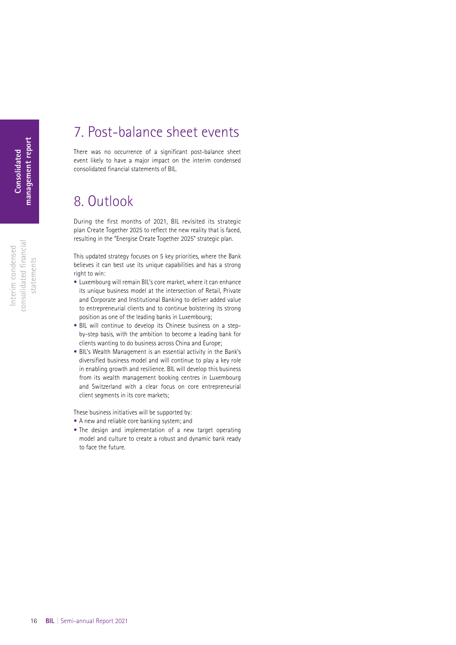## <span id="page-15-0"></span>7. Post-balance sheet events

There was no occurrence of a significant post-balance sheet event likely to have a major impact on the interim condensed consolidated financial statements of BIL.

## 8. Outlook

During the first months of 2021, BIL revisited its strategic plan Create Together 2025 to reflect the new reality that is faced, resulting in the "Energise Create Together 2025" strategic plan.

This updated strategy focuses on 5 key priorities, where the Bank believes it can best use its unique capabilities and has a strong right to win:

- Luxembourg will remain BIL's core market, where it can enhance its unique business model at the intersection of Retail, Private and Corporate and Institutional Banking to deliver added value to entrepreneurial clients and to continue bolstering its strong position as one of the leading banks in Luxembourg;
- BIL will continue to develop its Chinese business on a stepby-step basis, with the ambition to become a leading bank for clients wanting to do business across China and Europe;
- BIL's Wealth Management is an essential activity in the Bank's diversified business model and will continue to play a key role in enabling growth and resilience. BIL will develop this business from its wealth management booking centres in Luxembourg and Switzerland with a clear focus on core entrepreneurial client segments in its core markets;

These business initiatives will be supported by:

- A new and reliable core banking system; and
- The design and implementation of a new target operating model and culture to create a robust and dynamic bank ready to face the future.

consolidated fnancial consolidated financial Interim condensed Interim condensed statements statements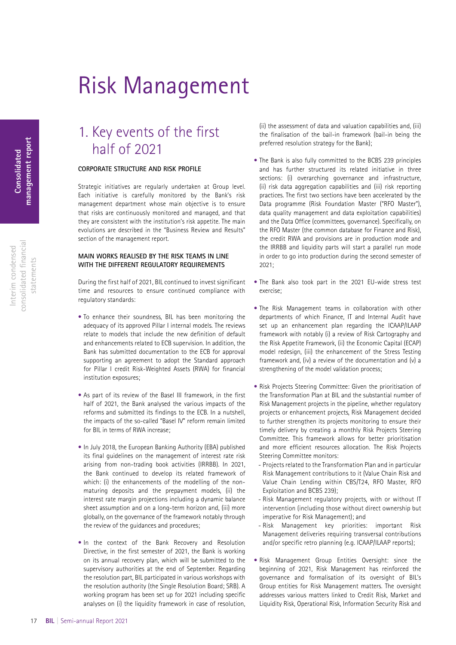## Risk Management

## 1. Key events of the first half of 2021

### **CORPORATE STRUCTURE AND RISK PROFILE**

Strategic initiatives are regularly undertaken at Group level. Each initiative is carefully monitored by the Bank's risk management department whose main objective is to ensure that risks are continuously monitored and managed, and that they are consistent with the institution's risk appetite. The main evolutions are described in the "Business Review and Results" section of the management report.

### **MAIN WORKS REALISED BY THE RISK TEAMS IN LINE WITH THE DIFFERENT REGULATORY REQUIREMENTS**

During the first half of 2021, BIL continued to invest significant time and resources to ensure continued compliance with regulatory standards:

- To enhance their soundness, BIL has been monitoring the adequacy of its approved Pillar I internal models. The reviews relate to models that include the new definition of default and enhancements related to ECB supervision. In addition, the Bank has submitted documentation to the ECB for approval supporting an agreement to adopt the Standard approach for Pillar I credit Risk-Weighted Assets (RWA) for financial institution exposures;
- As part of its review of the Basel III framework, in the first half of 2021, the Bank analysed the various impacts of the reforms and submitted its findings to the ECB. In a nutshell, the impacts of the so-called "Basel IV" reform remain limited for BIL in terms of RWA increase;
- In July 2018, the European Banking Authority (EBA) published its final guidelines on the management of interest rate risk arising from non-trading book activities (IRRBB). In 2021, the Bank continued to develop its related framework of which: (i) the enhancements of the modelling of the nonmaturing deposits and the prepayment models, (ii) the interest rate margin projections including a dynamic balance sheet assumption and on a long-term horizon and, (iii) more globally, on the governance of the framework notably through the review of the guidances and procedures;
- In the context of the Bank Recovery and Resolution Directive, in the first semester of 2021, the Bank is working on its annual recovery plan, which will be submitted to the supervisory authorities at the end of September. Regarding the resolution part, BIL participated in various workshops with the resolution authority (the Single Resolution Board; SRB). A working program has been set up for 2021 including specific analyses on (i) the liquidity framework in case of resolution,

(ii) the assessment of data and valuation capabilities and, (iii) the finalisation of the bail-in framework (bail-in being the preferred resolution strategy for the Bank);

- The Bank is also fully committed to the BCBS 239 principles and has further structured its related initiative in three sections: (i) overarching governance and infrastructure, (ii) risk data aggregation capabilities and (iii) risk reporting practices. The first two sections have been accelerated by the Data programme (Risk Foundation Master ("RFO Master"), data quality management and data exploitation capabilities) and the Data Office (committees, governance). Specifically, on the RFO Master (the common database for Finance and Risk), the credit RWA and provisions are in production mode and the IRRBB and liquidity parts will start a parallel run mode in order to go into production during the second semester of 2021;
- The Bank also took part in the 2021 EU-wide stress test exercise;
- The Risk Management teams in collaboration with other departments of which Finance, IT and Internal Audit have set up an enhancement plan regarding the ICAAP/ILAAP framework with notably (i) a review of Risk Cartography and the Risk Appetite Framework, (ii) the Economic Capital (ECAP) model redesign, (iii) the enhancement of the Stress Testing framework and, (iv) a review of the documentation and (v) a strengthening of the model validation process;
- Risk Projects Steering Committee: Given the prioritisation of the Transformation Plan at BIL and the substantial number of Risk Management projects in the pipeline, whether regulatory projects or enhancement projects, Risk Management decided to further strengthen its projects monitoring to ensure their timely delivery by creating a monthly Risk Projects Steering Committee. This framework allows for better prioritisation and more efficient resources allocation. The Risk Projects Steering Committee monitors:
- Projects related to the Transformation Plan and in particular Risk Management contributions to it (Value Chain Risk and Value Chain Lending within CBS/T24, RFO Master, RFO Exploitation and BCBS 239);
- Risk Management regulatory projects, with or without IT intervention (including those without direct ownership but imperative for Risk Management); and
- Risk Management key priorities: important Risk Management deliveries requiring transversal contributions and/or specific retro planning (e.g. ICAAP/ILAAP reports);
- Risk Management Group Entities Oversight: since the beginning of 2021, Risk Management has reinforced the governance and formalisation of its oversight of BIL's Group entities for Risk Management matters. The oversight addresses various matters linked to Credit Risk, Market and Liquidity Risk, Operational Risk, Information Security Risk and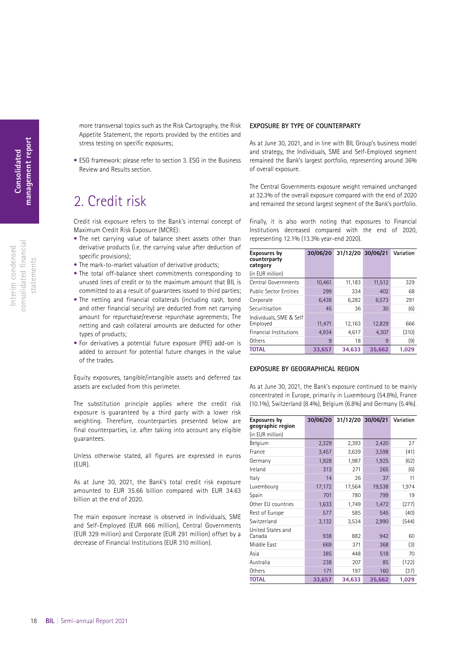consolidated fnancial consolidated financial Interim condensed Interim condensed statements statements <span id="page-17-0"></span>more transversal topics such as the Risk Cartography, the Risk Appetite Statement, the reports provided by the entities and stress testing on specific exposures;

• ESG framework: please refer to section 3. ESG in the Business Review and Results section.

## 2. Credit risk

Credit risk exposure refers to the Bank's internal concept of Maximum Credit Risk Exposure (MCRE):

- The net carrying value of balance sheet assets other than derivative products (i.e. the carrying value after deduction of specific provisions);
- The mark-to-market valuation of derivative products;
- The total off-balance sheet commitments corresponding to unused lines of credit or to the maximum amount that BIL is committed to as a result of guarantees issued to third parties;
- The netting and financial collaterals (including cash, bond and other financial security) are deducted from net carrying amount for repurchase/reverse repurchase agreements; The netting and cash collateral amounts are deducted for other types of products;
- For derivatives a potential future exposure (PFE) add-on is added to account for potential future changes in the value of the trades.

Equity exposures, tangible/intangible assets and deferred tax assets are excluded from this perimeter.

The substitution principle applies where the credit risk exposure is guaranteed by a third party with a lower risk weighting. Therefore, counterparties presented below are final counterparties, i.e. after taking into account any eligible guarantees.

Unless otherwise stated, all figures are expressed in euros (EUR).

As at June 30, 2021, the Bank's total credit risk exposure amounted to EUR 35.66 billion compared with EUR 34.63 billion at the end of 2020.

The main exposure increase is observed in Individuals, SME and Self-Employed (EUR 666 million), Central Governments (EUR 329 million) and Corporate (EUR 291 million) offset by a decrease of Financial Institutions (EUR 310 million).

### **EXPOSURE BY TYPE OF COUNTERPARTY**

As at June 30, 2021, and in line with BIL Group's business model and strategy, the Individuals, SME and Self-Employed segment remained the Bank's largest portfolio, representing around 36% of overall exposure.

The Central Governments exposure weight remained unchanged at 32.3% of the overall exposure compared with the end of 2020 and remained the second largest segment of the Bank's portfolio.

Finally, it is also worth noting that exposures to Financial Institutions decreased compared with the end of 2020, representing 12.1% (13.3% year-end 2020).

| Exposures by<br>counterparty<br>category | 30/06/20 | 31/12/20 30/06/21 |        | Variation |
|------------------------------------------|----------|-------------------|--------|-----------|
| (in EUR million)                         |          |                   |        |           |
| Central Governments                      | 10,461   | 11,183            | 11,512 | 329       |
| <b>Public Sector Entities</b>            | 299      | 334               | 402    | 68        |
| Corporate                                | 6,438    | 6,282             | 6,573  | 291       |
| Securitisation                           | 45       | 36                | 30     | (6)       |
| Individuals, SME & Self<br>Employed      | 11,471   | 12,163            | 12,829 | 666       |
| <b>Financial Institutions</b>            | 4,934    | 4,617             | 4,307  | (310)     |
| Others                                   | 9        | 18                | 9      | (9)       |
| <b>TOTAL</b>                             | 33.657   | 34.633            | 35,662 | 1.029     |

### **EXPOSURE BY GEOGRAPHICAL REGION**

As at June 30, 2021, the Bank's exposure continued to be mainly concentrated in Europe, primarily in Luxembourg (54.8%), France (10.1%), Switzerland (8.4%), Belgium (6.8%) and Germany (5.4%).

| Exposures by<br>geographic region | 30/06/20 | 31/12/20 30/06/21 |        | Variation |
|-----------------------------------|----------|-------------------|--------|-----------|
| (in EUR million)                  |          |                   |        |           |
| Belgium                           | 2,329    | 2,393             | 2,420  | 27        |
| France                            | 3,457    | 3,639             | 3,598  | (41)      |
| Germany                           | 1,928    | 1,987             | 1,925  | (62)      |
| Ireland                           | 313      | 271               | 265    | (6)       |
| Italy                             | 14       | 26                | 37     | 11        |
| Luxembourg                        | 17,172   | 17,564            | 19,538 | 1,974     |
| Spain                             | 701      | 780               | 799    | 19        |
| Other EU countries                | 1,633    | 1,749             | 1,472  | (277)     |
| Rest of Europe                    | 577      | 585               | 545    | (40)      |
| Switzerland                       | 3,132    | 3,534             | 2,990  | (544)     |
| United States and<br>Canada       | 938      | 882               | 942    | 60        |
| Middle East                       | 669      | 371               | 368    | $(3)$     |
| Asia                              | 385      | 448               | 518    | 70        |
| Australia                         | 238      | 207               | 85     | (122)     |
| Others                            | 171      | 197               | 160    | (37)      |
| <b>TOTAL</b>                      | 33,657   | 34,633            | 35,662 | 1,029     |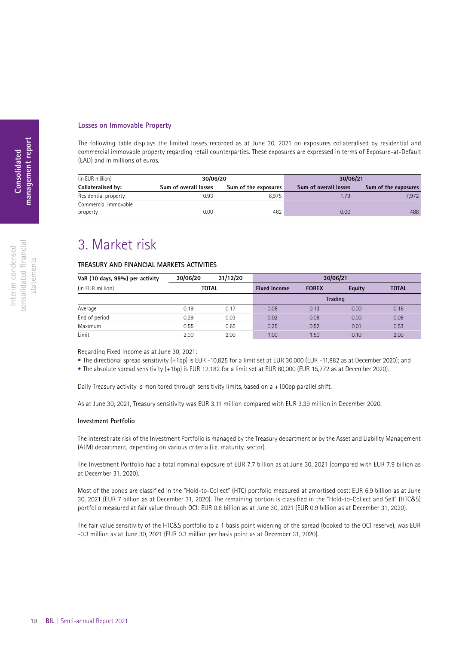### <span id="page-18-0"></span>**Losses on Immovable Property**

The following table displays the limited losses recorded as at June 30, 2021 on exposures collateralised by residential and commercial immovable property regarding retail counterparties. These exposures are expressed in terms of Exposure-at-Default (EAD) and in millions of euros.

| (in EUR million)     | 30/06/20              |                      | 30/06/21              |                      |
|----------------------|-----------------------|----------------------|-----------------------|----------------------|
| Collateralised by:   | Sum of overall losses | Sum of the exposures | Sum of overall losses | Sum of the exposures |
| Residential property | 0.93                  | 6.975                | 1.79                  | 7.972                |
| Commercial immovable |                       |                      |                       |                      |
| property             | 0.00                  | 462                  | 0.00                  | 488                  |

### 3. Market risk

### **TREASURY AND FINANCIAL MARKETS ACTIVITIES**

| VaR (10 days, 99%) per activity | 30/06/20 | 31/12/20                            | 30/06/21 |              |                |              |  |
|---------------------------------|----------|-------------------------------------|----------|--------------|----------------|--------------|--|
| (in EUR million)                |          | <b>TOTAL</b><br><b>Fixed Income</b> |          | <b>FOREX</b> | Equity         | <b>TOTAL</b> |  |
|                                 |          |                                     |          |              | <b>Trading</b> |              |  |
| Average                         | 0.19     | 0.17                                | 0.08     | 0.13         | 0.00           | 0.16         |  |
| End of period                   | 0.29     | 0.03                                | 0.02     | 0.08         | 0.00           | 0.08         |  |
| Maximum                         | 0.55     | 0.65                                | 0.25     | 0.52         | 0.01           | 0.53         |  |
| Limit                           | 2.00     | 2.00                                | 1.00     | 1.50         | 0.10           | 2.00         |  |

Regarding Fixed Income as at June 30, 2021:

• The directional spread sensitivity (+1bp) is EUR -10,825 for a limit set at EUR 30,000 (EUR -11,882 as at December 2020); and

• The absolute spread sensitivity (+1bp) is EUR 12,182 for a limit set at EUR 60,000 (EUR 15,772 as at December 2020).

Daily Treasury activity is monitored through sensitivity limits, based on a +100bp parallel shift.

As at June 30, 2021, Treasury sensitivity was EUR 3.11 million compared with EUR 3.39 million in December 2020.

#### **Investment Portfolio**

The interest rate risk of the Investment Portfolio is managed by the Treasury department or by the Asset and Liability Management (ALM) department, depending on various criteria (i.e. maturity, sector).

The Investment Portfolio had a total nominal exposure of EUR 7.7 billion as at June 30, 2021 (compared with EUR 7.9 billion as at December 31, 2020).

Most of the bonds are classified in the "Hold-to-Collect" (HTC) portfolio measured at amortised cost: EUR 6.9 billion as at June 30, 2021 (EUR 7 billion as at December 31, 2020). The remaining portion is classified in the "Hold-to-Collect and Sell" (HTC&S) portfolio measured at fair value through OCI: EUR 0.8 billion as at June 30, 2021 (EUR 0.9 billion as at December 31, 2020).

The fair value sensitivity of the HTC&S portfolio to a 1 basis point widening of the spread (booked to the OCI reserve), was EUR -0.3 million as at June 30, 2021 (EUR 0.3 million per basis point as at December 31, 2020).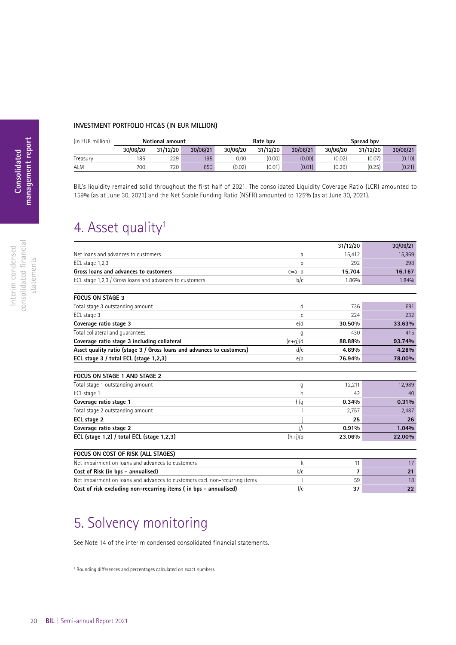### <span id="page-19-0"></span>**INVESTMENT PORTFOLIO HTC**&**S (IN EUR MILLION)**

| (in EUR million) | <b>Notional amount</b> |          |          | Rate bpv |          |          | Spread bpv |          |          |
|------------------|------------------------|----------|----------|----------|----------|----------|------------|----------|----------|
|                  | 30/06/20               | 31/12/20 | 30/06/21 | 30/06/20 | 31/12/20 | 30/06/21 | 30/06/20   | 31/12/20 | 30/06/21 |
| Treasury         | 185                    | 229      | 195      | 0.00     | (0.00)   | (0.00)   | (0.02)     | (0.07)   | (0.10)   |
| ALM              | 700                    | 720      | 650      | (0.02)   | (0.01)   | (0.01)   | (0.29)     | (0.25)   | (0.21)   |

BIL's liquidity remained solid throughout the first half of 2021. The consolidated Liquidity Coverage Ratio (LCR) amounted to 159% (as at June 30, 2021) and the Net Stable Funding Ratio (NSFR) amounted to 125% (as at June 30, 2021).

## 4. Asset quality<sup>1</sup>

|                                                                             |             | 31/12/20       | 30/06/21 |
|-----------------------------------------------------------------------------|-------------|----------------|----------|
| Net loans and advances to customers                                         | a           | 15,412         | 15,869   |
| ECL stage 1,2,3                                                             | h           | 292            | 298      |
| Gross loans and advances to customers                                       | $c=a+b$     | 15,704         | 16,167   |
| ECL stage 1,2,3 / Gross loans and advances to customers                     | b/c         | 1.86%          | 1.84%    |
| <b>FOCUS ON STAGE 3</b>                                                     |             |                |          |
| Total stage 3 outstanding amount                                            | d           | 736            | 691      |
| ECL stage 3                                                                 | $\epsilon$  | 224            | 232      |
| Coverage ratio stage 3                                                      | e/d         | 30.50%         | 33.63%   |
| Total collateral and quarantees                                             | q           | 430            | 415      |
| Coverage ratio stage 3 including collateral                                 | $(e+q)/d$   | 88.88%         | 93.74%   |
| Asset quality ratio (stage 3 / Gross loans and advances to customers)       | d/c         | 4.69%          | 4.28%    |
| ECL stage 3 / total ECL (stage 1,2,3)                                       | e/b         | 76.94%         | 78.00%   |
| FOCUS ON STAGE 1 AND STAGE 2                                                |             |                |          |
| Total stage 1 outstanding amount                                            | g           | 12,211         | 12,989   |
| ECL stage 1                                                                 | h           | 42             | 40       |
| Coverage ratio stage 1                                                      | h/g         | 0.34%          | 0.31%    |
| Total stage 2 outstanding amount                                            |             | 2,757          | 2,487    |
| ECL stage 2                                                                 |             | 25             | 26       |
| Coverage ratio stage 2                                                      | j/i         | 0.91%          | 1.04%    |
| ECL (stage 1,2) / total ECL (stage 1,2,3)                                   | $(h+i)/b$   | 23.06%         | 22.00%   |
| FOCUS ON COST OF RISK (ALL STAGES)                                          |             |                |          |
| Net impairment on loans and advances to customers                           | $\mathsf k$ | 11             | 17       |
| Cost of Risk (in bps - annualised)                                          | k/c         | $\overline{7}$ | 21       |
| Net impairment on loans and advances to customers excl. non-recurring items |             | 59             | 18       |
| Cost of risk excluding non-recurring items (in bps - annualised)            | $\sqrt{c}$  | 37             | 22       |

## 5. Solvency monitoring

See Note 14 of the interim condensed consolidated financial statements.

1 Rounding diferences and percentages calculated on exact numbers.

consolidated fnancial consolidated financial Interim condensed Interim condensed statements statements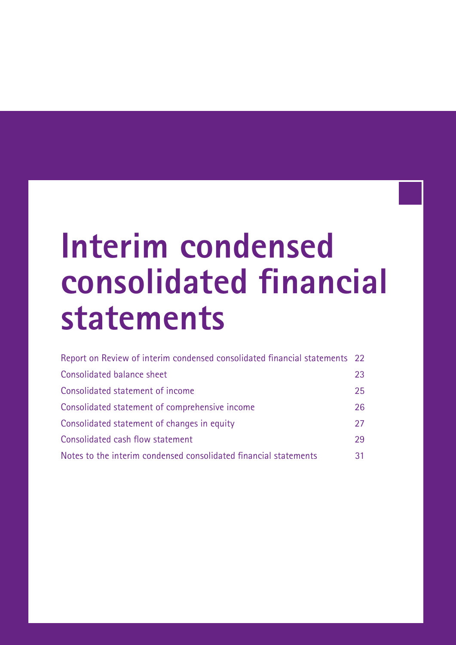# <span id="page-20-0"></span>**Interim condensed consolidated financial statements**

| Report on Review of interim condensed consolidated financial statements 22 |    |
|----------------------------------------------------------------------------|----|
| Consolidated balance sheet                                                 | 23 |
| Consolidated statement of income                                           | 25 |
| Consolidated statement of comprehensive income                             | 26 |
| Consolidated statement of changes in equity                                | 27 |
| Consolidated cash flow statement                                           | 29 |
| Notes to the interim condensed consolidated financial statements           | 31 |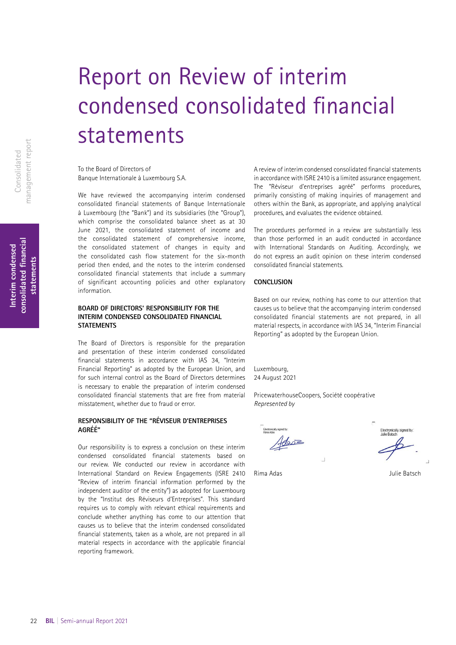## <span id="page-21-0"></span>Report on Review of interim condensed consolidated fnancial statements

To the Board of Directors of Banque Internationale à Luxembourg S.A.

We have reviewed the accompanying interim condensed consolidated financial statements of Banque Internationale à Luxembourg (the "Bank") and its subsidiaries (the "Group"), which comprise the consolidated balance sheet as at 30 June 2021, the consolidated statement of income and the consolidated statement of comprehensive income, the consolidated statement of changes in equity and the consolidated cash flow statement for the six-month period then ended, and the notes to the interim condensed consolidated financial statements that include a summary of significant accounting policies and other explanatory information.

### **BOARD OF DIRECTORS' RESPONSIBILITY FOR THE INTERIM CONDENSED CONSOLIDATED FINANCIAL STATEMENTS**

The Board of Directors is responsible for the preparation and presentation of these interim condensed consolidated fnancial statements in accordance with IAS 34, "Interim Financial Reporting" as adopted by the European Union, and for such internal control as the Board of Directors determines is necessary to enable the preparation of interim condensed consolidated fnancial statements that are free from material misstatement, whether due to fraud or error.

### **RESPONSIBILITY OF THE "RÉVISEUR D'ENTREPRISES AGRÉÉ"**

Our responsibility is to express a conclusion on these interim condensed consolidated fnancial statements based on our review. We conducted our review in accordance with International Standard on Review Engagements (ISRE 2410 "Review of interim fnancial information performed by the independent auditor of the entity") as adopted for Luxembourg by the "Institut des Réviseurs d'Entreprises". This standard requires us to comply with relevant ethical requirements and conclude whether anything has come to our attention that causes us to believe that the interim condensed consolidated fnancial statements, taken as a whole, are not prepared in all material respects in accordance with the applicable fnancial reporting framework.

A review of interim condensed consolidated fnancial statements in accordance with ISRE 2410 is a limited assurance engagement. The "Réviseur d'entreprises agréé" performs procedures, primarily consisting of making inquiries of management and others within the Bank, as appropriate, and applying analytical procedures, and evaluates the evidence obtained.

The procedures performed in a review are substantially less than those performed in an audit conducted in accordance with International Standards on Auditing. Accordingly, we do not express an audit opinion on these interim condensed consolidated fnancial statements.

### **CONCLUSION**

Based on our review, nothing has come to our attention that causes us to believe that the accompanying interim condensed consolidated financial statements are not prepared, in all material respects, in accordance with IAS 34, "Interim Financial Reporting" as adopted by the European Union.

Luxembourg, 24 August 2021

PricewaterhouseCoopers, Société coopérative *Represented by*

Adave

**Electronically signed by**<br>Julie Batsch

Rima Adas **Adas** Julie Batsch

management report nanagement report Consolidated Consolidated

**consolidated fnancial**  consolidated financial **Interim condensed**  Interim condensed tatements **statements**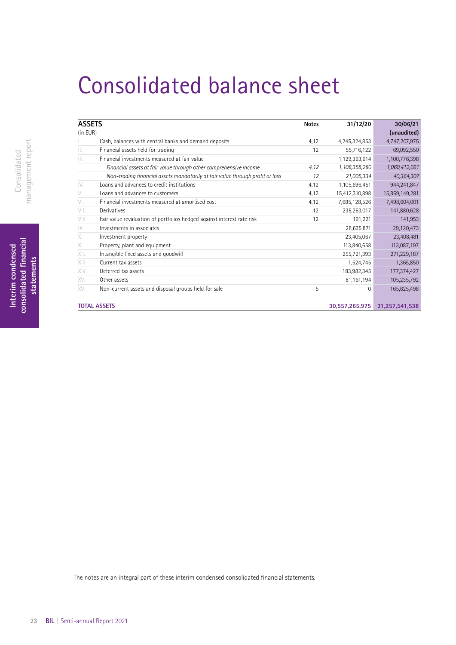## <span id="page-22-0"></span>Consolidated balance sheet

| <b>ASSETS</b> |                                                                               | <b>Notes</b> | 31/12/20       | 30/06/21       |
|---------------|-------------------------------------------------------------------------------|--------------|----------------|----------------|
| (in EUR)      |                                                                               |              |                | (unaudited)    |
|               | Cash, balances with central banks and demand deposits                         | 4,12         | 4,245,324,853  | 4,747,207,975  |
| Ш.            | Financial assets held for trading                                             | 12           | 55,716,122     | 69,092,550     |
| III.          | Financial investments measured at fair value                                  |              | 1,129,363,614  | 1,100,776,398  |
|               | Financial assets at fair value through other comprehensive income             | 4,12         | 1,108,358,280  | 1,060,412,091  |
|               | Non-trading financial assets mandatorily at fair value through profit or loss | 12           | 21,005,334     | 40,364,307     |
| IV.           | Loans and advances to credit institutions                                     | 4,12         | 1,105,696,451  | 944,241,847    |
| V.            | Loans and advances to customers                                               | 4,12         | 15,412,310,898 | 15,869,149,281 |
| VI.           | Financial investments measured at amortised cost                              | 4,12         | 7,685,128,526  | 7,498,604,001  |
| VII.          | Derivatives                                                                   | 12           | 235,263,017    | 141,880,628    |
| VIII.         | Fair value revaluation of portfolios hedged against interest rate risk        | 12           | 191,221        | 141,953        |
| IX.           | Investments in associates                                                     |              | 28,635,871     | 29,120,473     |
| Χ.            | Investment property                                                           |              | 23,405,067     | 23,408,481     |
| XI.           | Property, plant and equipment                                                 |              | 113,840,658    | 113,087,197    |
| XII.          | Intangible fixed assets and goodwill                                          |              | 255,721,393    | 271,229,187    |
| XIII.         | Current tax assets                                                            |              | 1,524,745      | 1,365,850      |
| XIV.          | Deferred tax assets                                                           |              | 183,982,345    | 177,374,427    |
| XV.           | Other assets                                                                  |              | 81,161,194     | 105,235,792    |
| XVI.          | Non-current assets and disposal groups held for sale                          | 5            | 0              | 165,625,498    |
|               |                                                                               |              |                |                |
|               | <b>TOTAL ASSETS</b>                                                           |              | 30,557,265,975 | 31,257,541,538 |

The notes are an integral part of these interim condensed consolidated fnancial statements.

Interim condensed<br>consolidated financial<br>statements **consolidated fnancial Interim condensed statements**

23 **BIL** | Semi-annual Report 2021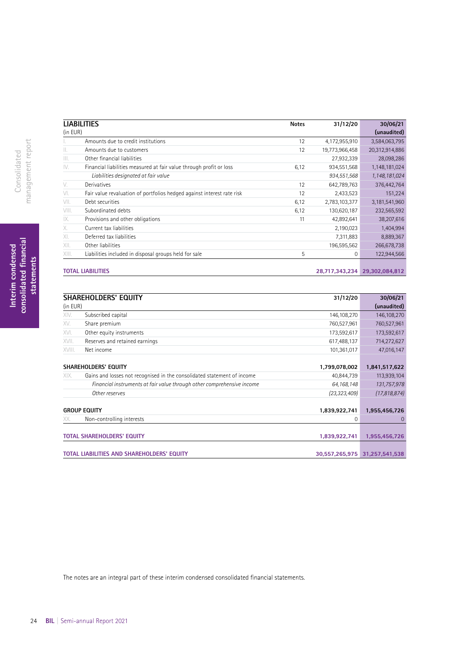|          | <b>LIABILITIES</b>                                                     | <b>Notes</b> | 31/12/20       | 30/06/21       |
|----------|------------------------------------------------------------------------|--------------|----------------|----------------|
| (in EUR) |                                                                        |              |                | (unaudited)    |
|          | Amounts due to credit institutions                                     | 12           | 4,172,955,910  | 3,584,063,795  |
| Ш.       | Amounts due to customers                                               | 12           | 19,773,966,458 | 20,312,914,886 |
| III.     | Other financial liabilities                                            |              | 27,932,339     | 28,098,286     |
| IV.      | Financial liabilities measured at fair value through profit or loss    | 6,12         | 934,551,568    | 1,148,181,024  |
|          | Liabilities designated at fair value                                   |              | 934,551,568    | 1,148,181,024  |
| V.       | Derivatives                                                            | 12           | 642,789,763    | 376,442,764    |
| VI.      | Fair value revaluation of portfolios hedged against interest rate risk | 12           | 2,433,523      | 151,224        |
| VII.     | Debt securities                                                        | 6,12         | 2,783,103,377  | 3,181,541,960  |
| VIII.    | Subordinated debts                                                     | 6,12         | 130,620,187    | 232,565,592    |
| IX.      | Provisions and other obligations                                       | 11           | 42,892,641     | 38,207,616     |
| Х.       | Current tax liabilities                                                |              | 2,190,023      | 1,404,994      |
| XI.      | Deferred tax liabilities                                               |              | 7,311,883      | 8,889,367      |
| XII.     | Other liabilities                                                      |              | 196,595,562    | 266,678,738    |
| XIII.    | Liabilities included in disposal groups held for sale                  | 5            | 0              | 122,944,566    |
|          |                                                                        |              |                |                |
|          | <b>TOTAL LIABILITIES</b>                                               |              | 28,717,343,234 | 29,302,084,812 |

|          | <b>SHAREHOLDERS' EQUITY</b>                                             | 31/12/20       | 30/06/21       |
|----------|-------------------------------------------------------------------------|----------------|----------------|
| (in EUR) |                                                                         |                | (unaudited)    |
| XIV.     | Subscribed capital                                                      | 146,108,270    | 146,108,270    |
| XV.      | Share premium                                                           | 760,527,961    | 760,527,961    |
| XVI.     | Other equity instruments                                                | 173,592,617    | 173,592,617    |
| XVII.    | Reserves and retained earnings                                          | 617,488,137    | 714,272,627    |
| XVIII.   | Net income                                                              | 101,361,017    | 47,016,147     |
|          |                                                                         |                |                |
|          | SHAREHOLDERS' EQUITY                                                    | 1,799,078,002  | 1,841,517,622  |
| XIX.     | Gains and losses not recognised in the consolidated statement of income | 40,844,739     | 113,939,104    |
|          | Financial instruments at fair value through other comprehensive income  | 64, 168, 148   | 131,757,978    |
|          | Other reserves                                                          | (23, 323, 409) | (17,818,874)   |
|          |                                                                         |                |                |
|          | <b>GROUP EQUITY</b>                                                     | 1,839,922,741  | 1,955,456,726  |
| XX.      | Non-controlling interests                                               | $\Omega$       | $\Omega$       |
|          |                                                                         |                |                |
|          | <b>TOTAL SHAREHOLDERS' EQUITY</b>                                       | 1,839,922,741  | 1,955,456,726  |
|          |                                                                         |                |                |
|          | TOTAL LIABILITIES AND SHAREHOLDERS' EQUITY                              | 30,557,265,975 | 31,257,541,538 |

The notes are an integral part of these interim condensed consolidated fnancial statements.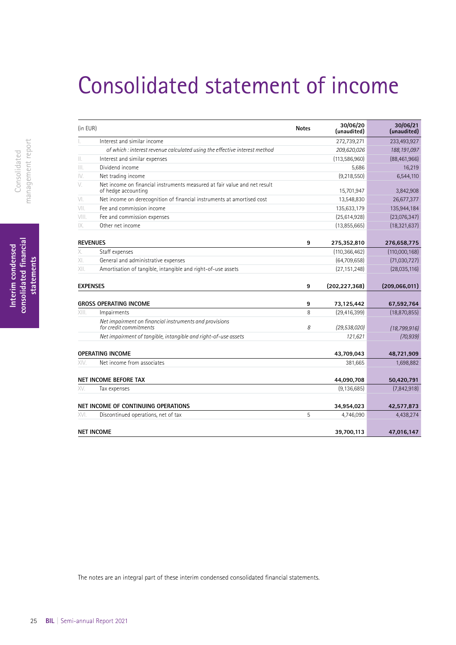## <span id="page-24-0"></span>Consolidated statement of income

| (in EUR)        |                                                                                                  | <b>Notes</b> | 30/06/20<br>(unaudited) | 30/06/21<br>(unaudited) |
|-----------------|--------------------------------------------------------------------------------------------------|--------------|-------------------------|-------------------------|
| L.              | Interest and similar income                                                                      |              | 272,739,271             | 233,493,927             |
|                 | of which : interest revenue calculated using the effective interest method                       |              | 209,620,026             | 188, 191, 097           |
| Ш.              | Interest and similar expenses                                                                    |              | (113, 586, 960)         | (88, 461, 966)          |
|                 | Dividend income                                                                                  |              | 5,686                   | 16,219                  |
| IV.             | Net trading income                                                                               |              | (9, 218, 550)           | 6,544,110               |
| V.              | Net income on financial instruments measured at fair value and net result<br>of hedge accounting |              | 15,701,947              | 3,842,908               |
| VI.             | Net income on derecognition of financial instruments at amortised cost                           |              | 13,548,830              | 26,677,377              |
| VII.            | Fee and commission income                                                                        |              | 135,633,179             | 135,944,184             |
| VIII.           | Fee and commission expenses                                                                      |              | (25,614,928)            | (23,076,347)            |
| IX.             | Other net income                                                                                 |              | (13,855,665)            | (18, 321, 637)          |
| <b>REVENUES</b> |                                                                                                  | 9            | 275,352,810             | 276,658,775             |
| Χ.              | Staff expenses                                                                                   |              | (110, 366, 462)         | (110,000,168)           |
| XI.             | General and administrative expenses                                                              |              | (64,709,658)            | (71,030,727)            |
| XII.            | Amortisation of tangible, intangible and right-of-use assets                                     |              | (27, 151, 248)          | (28,035,116)            |
| <b>EXPENSES</b> |                                                                                                  | 9            | (202, 227, 368)         | (209, 066, 011)         |
|                 | <b>GROSS OPERATING INCOME</b>                                                                    | 9            | 73,125,442              | 67,592,764              |
| XIII.           | Impairments                                                                                      | 8            | (29, 416, 399)          | (18, 870, 855)          |
|                 | Net impairment on financial instruments and provisions<br>for credit commitments                 | 8            | (29, 538, 020)          | (18, 799, 916)          |
|                 | Net impairment of tangible, intangible and right-of-use assets                                   |              | 121,621                 | (70, 939)               |
|                 | <b>OPERATING INCOME</b>                                                                          |              | 43,709,043              | 48,721,909              |
| XIV.            | Net income from associates                                                                       |              | 381,665                 | 1,698,882               |
|                 | <b>NET INCOME BEFORE TAX</b>                                                                     |              | 44,090,708              | 50,420,791              |
| XV.             | Tax expenses                                                                                     |              | (9, 136, 685)           | (7,842,918)             |
|                 | NET INCOME OF CONTINUING OPERATIONS                                                              |              | 34,954,023              | 42,577,873              |
| XVI.            | Discontinued operations, net of tax                                                              | 5            | 4,746,090               | 4,438,274               |
|                 | <b>NET INCOME</b>                                                                                |              | 39,700,113              | 47,016,147              |

The notes are an integral part of these interim condensed consolidated fnancial statements.

Interim condensed<br>consolidated financial<br>statements **consolidated fnancial Interim condensed statements**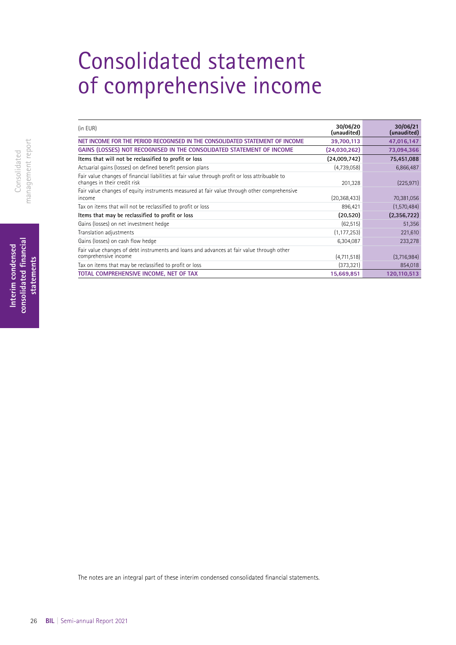## <span id="page-25-0"></span>Consolidated statement of comprehensive income

| (in EUR)                                                                                                                        | 30/06/20<br>(unaudited) | 30/06/21<br>(unaudited) |
|---------------------------------------------------------------------------------------------------------------------------------|-------------------------|-------------------------|
| NET INCOME FOR THE PERIOD RECOGNISED IN THE CONSOLIDATED STATEMENT OF INCOME                                                    | 39,700,113              | 47,016,147              |
| GAINS (LOSSES) NOT RECOGNISED IN THE CONSOLIDATED STATEMENT OF INCOME                                                           | (24,030,262)            | 73,094,366              |
| Items that will not be reclassified to profit or loss                                                                           | (24,009,742)            | 75,451,088              |
| Actuarial gains (losses) on defined benefit pension plans                                                                       | (4,739,058)             | 6,866,487               |
| Fair value changes of financial liabilities at fair value through profit or loss attribuable to<br>changes in their credit risk | 201,328                 | (225, 971)              |
| Fair value changes of equity instruments measured at fair value through other comprehensive<br>income                           | (20, 368, 433)          | 70,381,056              |
| Tax on items that will not be reclassified to profit or loss                                                                    | 896,421                 | (1,570,484)             |
| Items that may be reclassified to profit or loss                                                                                | (20, 520)               | (2,356,722)             |
| Gains (losses) on net investment hedge                                                                                          | (62, 515)               | 51,356                  |
| Translation adjustments                                                                                                         | (1, 177, 253)           | 221,610                 |
| Gains (losses) on cash flow hedge                                                                                               | 6,304,087               | 233,278                 |
| Fair value changes of debt instruments and loans and advances at fair value through other<br>comprehensive income               | (4,711,518)             | (3,716,984)             |
| Tax on items that may be reclassified to profit or loss                                                                         | (373, 321)              | 854,018                 |
| TOTAL COMPREHENSIVE INCOME, NET OF TAX                                                                                          | 15,669,851              | 120,110,513             |

The notes are an integral part of these interim condensed consolidated fnancial statements.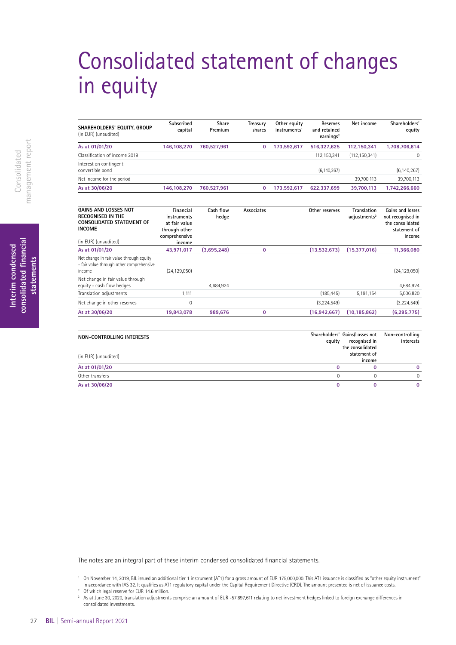## <span id="page-26-0"></span>Consolidated statement of changes in equity

| SHAREHOLDERS' EQUITY, GROUP<br>(in EUR) (unaudited)                                                                                  | Subscribed<br>capital                                                                 | Share<br>Premium   | Treasury<br>shares | Other equity<br>instruments <sup>1</sup> | Reserves<br>and retained<br>earnings <sup>2</sup> | Net income                              | Shareholders'<br>equity                                                             |
|--------------------------------------------------------------------------------------------------------------------------------------|---------------------------------------------------------------------------------------|--------------------|--------------------|------------------------------------------|---------------------------------------------------|-----------------------------------------|-------------------------------------------------------------------------------------|
| As at 01/01/20                                                                                                                       | 146.108.270                                                                           | 760.527.961        | $\mathbf 0$        | 173,592,617                              | 516,327,625                                       | 112.150.341                             | 1,708,706,814                                                                       |
| Classification of income 2019                                                                                                        |                                                                                       |                    |                    |                                          | 112,150,341                                       | (112, 150, 341)                         | 0                                                                                   |
| Interest on contingent<br>convertible bond                                                                                           |                                                                                       |                    |                    |                                          | (6, 140, 267)                                     |                                         | (6, 140, 267)                                                                       |
| Net income for the period                                                                                                            |                                                                                       |                    |                    |                                          |                                                   | 39,700,113                              | 39,700,113                                                                          |
| As at 30/06/20                                                                                                                       | 146,108,270                                                                           | 760,527,961        | $\mathbf 0$        | 173,592,617                              | 622,337,699                                       | 39,700,113                              | 1,742,266,660                                                                       |
|                                                                                                                                      |                                                                                       |                    |                    |                                          |                                                   |                                         |                                                                                     |
| <b>GAINS AND LOSSES NOT</b><br><b>RECOGNISED IN THE</b><br><b>CONSOLIDATED STATEMENT OF</b><br><b>INCOME</b><br>(in EUR) (unaudited) | Financial<br>instruments<br>at fair value<br>through other<br>comprehensive<br>income | Cash flow<br>hedge | Associates         |                                          | Other reserves                                    | Translation<br>adjustments <sup>3</sup> | Gains and losses<br>not recognised in<br>the consolidated<br>statement of<br>income |
| As at 01/01/20                                                                                                                       | 43,971,017                                                                            | (3,695,248)        | $\mathbf 0$        |                                          | (13,532,673)                                      | (15, 377, 016)                          | 11,366,080                                                                          |
| Net change in fair value through equity<br>- fair value through other comprehensive<br>income                                        | (24, 129, 050)                                                                        |                    |                    |                                          |                                                   |                                         | (24, 129, 050)                                                                      |
| Net change in fair value through<br>equity - cash flow hedges                                                                        |                                                                                       | 4,684,924          |                    |                                          |                                                   |                                         | 4,684,924                                                                           |
| Translation adjustments                                                                                                              | 1,111                                                                                 |                    |                    |                                          | (185, 445)                                        | 5,191,154                               | 5,006,820                                                                           |
| Net change in other reserves                                                                                                         | 0                                                                                     |                    |                    |                                          | (3,224,549)                                       |                                         | (3,224,549)                                                                         |
| As at 30/06/20                                                                                                                       | 19,843,078                                                                            | 989,676            | $\mathbf 0$        |                                          | (16, 942, 667)                                    | (10, 185, 862)                          | (6, 295, 775)                                                                       |

| NON-CONTROLLING INTERESTS | equity | Shareholders' Gains/Losses not<br>recognised in<br>the consolidated | Non-controlling<br>interests |
|---------------------------|--------|---------------------------------------------------------------------|------------------------------|
| (in EUR) (unaudited)      |        | statement of<br>income                                              |                              |
| As at 01/01/20            |        |                                                                     | 0                            |
| Other transfers           |        |                                                                     | $\Omega$                     |
| As at 30/06/20            |        |                                                                     | 0                            |

The notes are an integral part of these interim condensed consolidated fnancial statements.

<sup>1</sup> On November 14, 2019, BIL issued an additional tier 1 instrument (AT1) for a gross amount of EUR 175,000,000. This AT1 issuance is classifed as "other equity instrument" in accordance with IAS 32. It qualifes as AT1 regulatory capital under the Capital Requirement Directive (CRD). The amount presented is net of issuance costs. <sup>2</sup> Of which legal reserve for EUR 14.6 million.

<sup>3</sup> As at June 30, 2020, translation adjustments comprise an amount of EUR -57,897,611 relating to net investment hedges linked to foreign exchange differences in consolidated investments.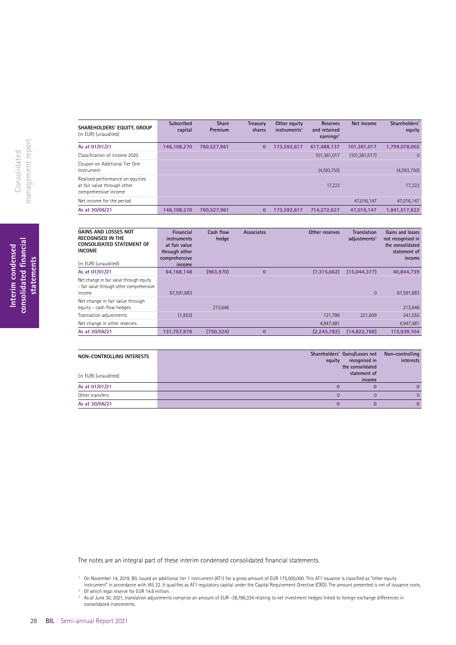| SHAREHOLDERS' EQUITY, GROUP<br>(in EUR) (unaudited)                                     | <b>Subscribed</b><br>capital | <b>Share</b><br>Premium | Treasury<br>shares | Other equity<br>instruments <sup>1</sup> | <b>Reserves</b><br>and retained<br>earnings <sup>2</sup> | Net income      | Shareholders'<br>equity |
|-----------------------------------------------------------------------------------------|------------------------------|-------------------------|--------------------|------------------------------------------|----------------------------------------------------------|-----------------|-------------------------|
| As at 01/01/21                                                                          | 146,108,270                  | 760.527.961             | 0                  | 173.592.617                              | 617.488.137                                              | 101,361,017     | 1,799,078,002           |
| Classification of income 2020                                                           |                              |                         |                    |                                          | 101,361,017                                              | (101, 361, 017) | $\Omega$                |
| Coupon on Additional Tier One<br>Instrument                                             |                              |                         |                    |                                          | (4,593,750)                                              |                 | (4,593,750)             |
| Realised performance on equities<br>at fair value through other<br>comprehensive income |                              |                         |                    |                                          | 17.223                                                   |                 | 17,223                  |
| Net income for the period                                                               |                              |                         |                    |                                          |                                                          | 47.016.147      | 47.016.147              |
| As at 30/06/21                                                                          | 146,108,270                  | 760.527.961             | $\bf{0}$           | 173.592.617                              | 714.272.627                                              | 47.016.147      | 1,841,517,622           |

| <b>GAINS AND LOSSES NOT</b><br><b>RECOGNISED IN THE</b><br>CONSOLIDATED STATEMENT OF<br><b>INCOME</b><br>(in EUR) (unaudited) | Financial<br><i>instruments</i><br>at fair value<br>through other<br>comprehensive<br>income | Cash flow<br>hedge | Associates     | Other reserves | <b>Translation</b><br>$adius$ tments <sup>3</sup> | Gains and losses<br>not recognised in<br>the consolidated<br>statement of<br>income |
|-------------------------------------------------------------------------------------------------------------------------------|----------------------------------------------------------------------------------------------|--------------------|----------------|----------------|---------------------------------------------------|-------------------------------------------------------------------------------------|
| As at 01/01/21                                                                                                                | 64.168.148                                                                                   | (963.970)          | $\overline{0}$ | (7.315.062)    | (15.044.377)                                      | 40.844.739                                                                          |
| Net change in fair value through equity<br>- fair value through other comprehensive<br>income                                 | 67,591,683                                                                                   |                    |                |                | $\Omega$                                          | 67,591,683                                                                          |
| Net change in fair value through<br>equity - cash flow hedges                                                                 |                                                                                              | 213.646            |                |                |                                                   | 213,646                                                                             |
| Translation adjustments                                                                                                       | (1,853)                                                                                      |                    |                | 121,799        | 221,609                                           | 341,555                                                                             |
| Net change in other reserves                                                                                                  |                                                                                              |                    |                | 4,947,481      |                                                   | 4,947,481                                                                           |
| As at 30/06/21                                                                                                                | 131,757,978                                                                                  | (750, 324)         | $\bf{0}$       | (2.245.782)    | (14,822,768)                                      | 113.939.104                                                                         |

| NON-CONTROLLING INTERESTS<br>(in EUR) (unaudited) | Shareholders' Gains/Losses not<br>recognised in<br>equity<br>the consolidated<br>statement of<br>income | Non-controlling<br>interests |
|---------------------------------------------------|---------------------------------------------------------------------------------------------------------|------------------------------|
| As at 01/01/21                                    |                                                                                                         |                              |
| Other transfers                                   |                                                                                                         | 0.                           |
| As at 30/06/21                                    |                                                                                                         |                              |

The notes are an integral part of these interim condensed consolidated fnancial statements.

<sup>1</sup> On November 14, 2019, BIL issued an additional tier 1 instrument (AT1) for a gross amount of EUR 175,000,000. This AT1 issuance is classifed as "other equity instrument" in accordance with IAS 32. It qualifes as AT1 regulatory capital under the Capital Requirement Directive (CRD). The amount presented is net of issuance costs. <sup>2</sup> Of which legal reserve for EUR 14.6 million.

<sup>3</sup> As at June 30, 2021, translation adjustments comprise an amount of EUR -38,786,334 relating to net investment hedges linked to foreign exchange differences in consolidated investments.

Interim condensed<br>consolidated financial<br>statements **consolidated fnancial Interim condensed statements**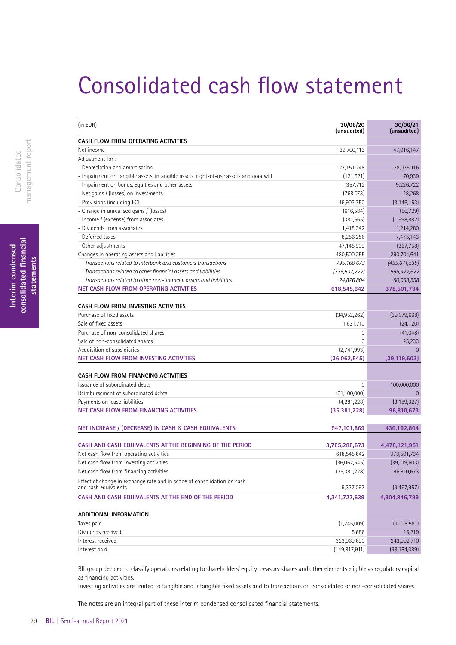## <span id="page-28-0"></span>Consolidated cash flow statement

| (in EUR)                                                                                        | 30/06/20<br>(unaudited) | 30/06/21<br>(unaudited) |
|-------------------------------------------------------------------------------------------------|-------------------------|-------------------------|
| CASH FLOW FROM OPERATING ACTIVITIES                                                             |                         |                         |
| Net income                                                                                      | 39,700,113              | 47,016,147              |
| Adjustment for:                                                                                 |                         |                         |
| - Depreciation and amortisation                                                                 | 27,151,248              | 28,035,116              |
| - Impairment on tangible assets, intangible assets, right-of-use assets and goodwill            | (121, 621)              | 70,939                  |
| - Impairment on bonds, equities and other assets                                                | 357,712                 | 9,226,722               |
| - Net gains / (losses) on investments                                                           | (768,073)               | 28,268                  |
| - Provisions (including ECL)                                                                    | 15,903,750              | (3, 146, 153)           |
| - Change in unrealised gains / (losses)                                                         | (616, 584)              | (56, 729)               |
| - Income / (expense) from associates                                                            | (381,665)               | (1,698,882)             |
| - Dividends from associates                                                                     | 1,418,342               | 1,214,280               |
| - Deferred taxes                                                                                | 8,256,256               | 7,475,143               |
| - Other adjustments                                                                             | 47,145,909              | (367, 758)              |
| Changes in operating assets and liabilities                                                     | 480,500,255             | 290,704,641             |
| Transactions related to interbank and customers transactions                                    | 795, 160, 673           | (455, 671, 539)         |
| Transactions related to other financial assets and liabilities                                  | (339, 537, 222)         | 696,322,622             |
| Transactions related to other non-financial assets and liabilities                              | 24,876,804              | 50,053,558              |
| <b>NET CASH FLOW FROM OPERATING ACTIVITIES</b>                                                  | 618,545,642             | 378,501,734             |
| CASH FLOW FROM INVESTING ACTIVITIES<br>Purchase of fixed assets                                 | (34,952,262)            | (39,079,668)            |
| Sale of fixed assets                                                                            | 1,631,710               | (24, 120)               |
| Purchase of non-consolidated shares                                                             | 0                       | (41,048)                |
| Sale of non-consolidated shares                                                                 | 0                       | 25,233                  |
| Acquisition of subsidiaries                                                                     | (2,741,993)             |                         |
| NET CASH FLOW FROM INVESTING ACTIVITIES                                                         | (36,062,545)            | (39, 119, 603)          |
| CASH FLOW FROM FINANCING ACTIVITIES                                                             |                         |                         |
| Issuance of subordinated debts                                                                  | 0                       | 100,000,000             |
| Reimbursement of subordinated debts                                                             | (31, 100, 000)          |                         |
| Payments on lease liabilities                                                                   | (4,281,228)             | (3, 189, 327)           |
| <b>NET CASH FLOW FROM FINANCING ACTIVITIES</b>                                                  | (35, 381, 228)          | 96,810,673              |
| NET INCREASE / (DECREASE) IN CASH & CASH EQUIVALENTS                                            | 547,101,869             | 436,192,804             |
| CASH AND CASH EQUIVALENTS AT THE BEGINNING OF THE PERIOD                                        | 3,785,288,673           | 4,478,121,951           |
| Net cash flow from operating activities                                                         | 618,545,642             | 378,501,734             |
| Net cash flow from investing activities                                                         | (36,062,545)            | (39, 119, 603)          |
| Net cash flow from financing activities                                                         | (35, 381, 228)          | 96,810,673              |
| Effect of change in exchange rate and in scope of consolidation on cash<br>and cash equivalents | 9,337,097               | (9,467,957)             |
| CASH AND CASH EQUIVALENTS AT THE END OF THE PERIOD                                              | 4,341,727,639           | 4,904,846,799           |
|                                                                                                 |                         |                         |
| ADDITIONAL INFORMATION                                                                          |                         |                         |
| Taxes paid                                                                                      | (1, 245, 009)           | (1,008,581)             |
| Dividends received                                                                              | 5,686                   | 16,219                  |
| Interest received                                                                               | 323,969,690             | 243,992,710             |

BIL group decided to classify operations relating to shareholders' equity, treasury shares and other elements eligible as regulatory capital as fnancing activities.

Interest paid (149,817,911) (98,184,089)

Investing activities are limited to tangible and intangible fxed assets and to transactions on consolidated or non-consolidated shares.

The notes are an integral part of these interim condensed consolidated fnancial statements.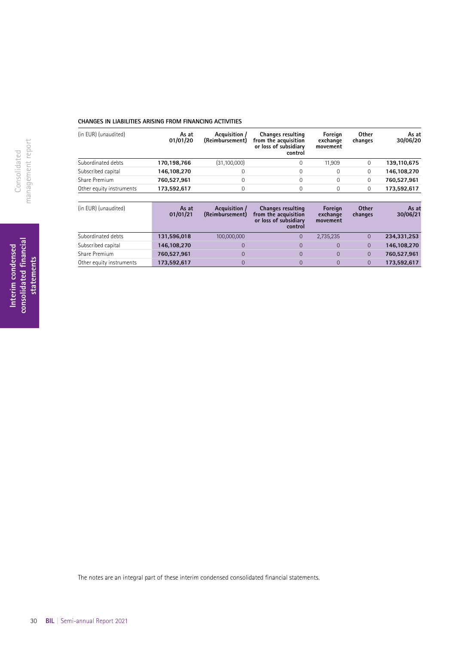### **CHANGES IN LIABILITIES ARISING FROM FINANCING ACTIVITIES**

| (in EUR) (unaudited)     | As at<br>01/01/20 | Acquisition /<br>(Reimbursement) | <b>Changes resulting</b><br>from the acquisition<br>or loss of subsidiary<br>control | Foreign<br>exchange<br>movement | <b>Other</b><br>changes | As at<br>30/06/20 |
|--------------------------|-------------------|----------------------------------|--------------------------------------------------------------------------------------|---------------------------------|-------------------------|-------------------|
| Subordinated debts       | 170.198.766       | (31, 100, 000)                   |                                                                                      | 11.909                          | 0                       | 139,110,675       |
| Subscribed capital       | 146,108,270       | 0                                |                                                                                      |                                 | 0                       | 146,108,270       |
| Share Premium            | 760.527.961       | 0                                |                                                                                      |                                 | 0                       | 760.527.961       |
| Other equity instruments | 173,592,617       | 0                                |                                                                                      |                                 | 0                       | 173,592,617       |

| (in EUR) (unaudited)     | As at<br>01/01/21 | Acquisition<br>(Reimbursement) | <b>Changes resulting</b><br>from the acquisition<br>or loss of subsidiary<br>control | Foreign<br>exchange<br>movement | <b>Other</b><br>changes | As at<br>30/06/21 |
|--------------------------|-------------------|--------------------------------|--------------------------------------------------------------------------------------|---------------------------------|-------------------------|-------------------|
| Subordinated debts       | 131,596,018       | 100,000,000                    | 0                                                                                    | 2,735,235                       |                         | 234,331,253       |
| Subscribed capital       | 146,108,270       |                                | $\overline{0}$                                                                       | $\Omega$                        | $\overline{0}$          | 146,108,270       |
| Share Premium            | 760.527.961       |                                | 0                                                                                    | $\Omega$                        | $\overline{0}$          | 760,527,961       |
| Other equity instruments | 173,592,617       |                                | 0                                                                                    |                                 | $\overline{0}$          | 173,592,617       |

The notes are an integral part of these interim condensed consolidated fnancial statements.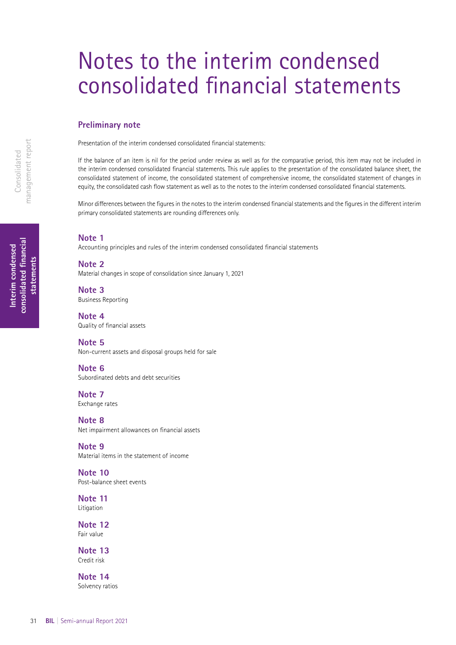## <span id="page-30-0"></span>Notes to the interim condensed consolidated fnancial statements

### **Preliminary note**

Presentation of the interim condensed consolidated fnancial statements:

If the balance of an item is nil for the period under review as well as for the comparative period, this item may not be included in the interim condensed consolidated fnancial statements. This rule applies to the presentation of the consolidated balance sheet, the consolidated statement of income, the consolidated statement of comprehensive income, the consolidated statement of changes in equity, the consolidated cash fow statement as well as to the notes to the interim condensed consolidated fnancial statements.

Minor diferences between the fgures in the notes to the interim condensed fnancial statements and the fgures in the diferent interim primary consolidated statements are rounding diferences only.

### **Note 1**

Accounting principles and rules of the interim condensed consolidated fnancial statements

**Note 2** Material changes in scope of consolidation since January 1, 2021

**Note 3** Business Reporting

**Note 4** Quality of fnancial assets

**Note 5** Non-current assets and disposal groups held for sale

**Note 6** Subordinated debts and debt securities

**Note 7** Exchange rates

**Note 8** Net impairment allowances on fnancial assets

**Note 9** Material items in the statement of income

**Note 10** Post-balance sheet events

**Note 11 Litigation** 

**Note 12** Fair value

**Note 13** Credit risk

**Note 14** Solvency ratios

**consolidated fnancial**  consolidated financial **Interim condensed**  Interim condensed statements **statements**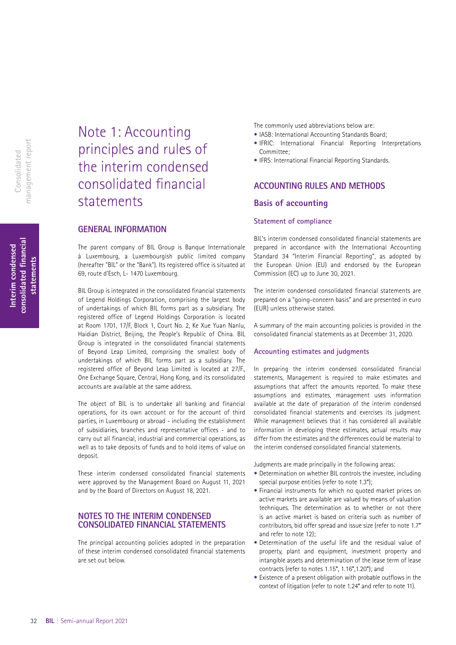**Interim condensed consolidated fnancial statements**

consolidated financial Interim condensed

statements

## Note 1: Accounting principles and rules of the interim condensed consolidated fnancial statements

### **GENERAL INFORMATION**

The parent company of BIL Group is Banque Internationale à Luxembourg, a Luxembourgish public limited company (hereafter "BIL" or the "Bank"). Its registered office is situated at 69, route d'Esch, L- 1470 Luxembourg.

BIL Group is integrated in the consolidated financial statements of Legend Holdings Corporation, comprising the largest body of undertakings of which BIL forms part as a subsidiary. The registered office of Legend Holdings Corporation is located at Room 1701, 17/F, Block 1, Court No. 2, Ke Xue Yuan Nanlu, Haidian District, Beijing, the People's Republic of China. BIL Group is integrated in the consolidated financial statements of Beyond Leap Limited, comprising the smallest body of undertakings of which BIL forms part as a subsidiary. The registered office of Beyond Leap Limited is located at 27/F., One Exchange Square, Central, Hong Kong, and its consolidated accounts are available at the same address.

The object of BIL is to undertake all banking and financial operations, for its own account or for the account of third parties, in Luxembourg or abroad - including the establishment of subsidiaries, branches and representative offices - and to carry out all financial, industrial and commercial operations, as well as to take deposits of funds and to hold items of value on deposit.

These interim condensed consolidated financial statements were approved by the Management Board on August 11, 2021 and by the Board of Directors on August 18, 2021.

### **NOTES TO THE INTERIM CONDENSED CONSOLIDATED FINANCIAL STATEMENTS**

The principal accounting policies adopted in the preparation of these interim condensed consolidated financial statements are set out below.

The commonly used abbreviations below are:

- IASB: International Accounting Standards Board;
- IFRIC: International Financial Reporting Interpretations Committee;
- IFRS: International Financial Reporting Standards.

### **ACCOUNTING RULES AND METHODS Basis of accounting**

### **Statement of compliance**

BIL's interim condensed consolidated financial statements are prepared in accordance with the International Accounting Standard 34 "Interim Financial Reporting", as adopted by the European Union (EU) and endorsed by the European Commission (EC) up to June 30, 2021.

The interim condensed consolidated financial statements are prepared on a "going-concern basis" and are presented in euro (EUR) unless otherwise stated.

A summary of the main accounting policies is provided in the consolidated financial statements as at December 31, 2020.

### **Accounting estimates and judgments**

In preparing the interim condensed consolidated financial statements, Management is required to make estimates and assumptions that affect the amounts reported. To make these assumptions and estimates, management uses information available at the date of preparation of the interim condensed consolidated financial statements and exercises its judgment. While management believes that it has considered all available information in developing these estimates, actual results may differ from the estimates and the differences could be material to the interim condensed consolidated financial statements.

Judgments are made principally in the following areas:

- Determination on whether BIL controls the investee, including special purpose entities (refer to note 1.3\*);
- Financial instruments for which no quoted market prices on active markets are available are valued by means of valuation techniques. The determination as to whether or not there is an active market is based on criteria such as number of contributors, bid offer spread and issue size (refer to note 1.7\* and refer to note 12);
- Determination of the useful life and the residual value of property, plant and equipment, investment property and intangible assets and determination of the lease term of lease contracts (refer to notes 1.15\*, 1.16\*,1.20\*); and
- Existence of a present obligation with probable outflows in the context of litigation (refer to note 1.24\* and refer to note 11).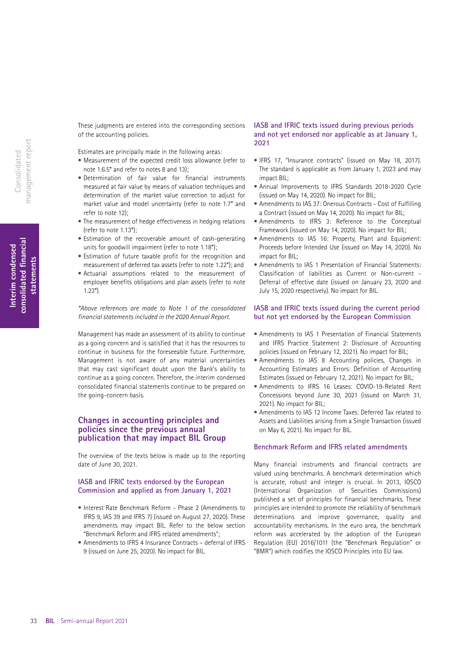These judgments are entered into the corresponding sections of the accounting policies.

Estimates are principally made in the following areas:

- Measurement of the expected credit loss allowance (refer to note 1.6.5\* and refer to notes 8 and 13);
- Determination of fair value for financial instruments measured at fair value by means of valuation techniques and determination of the market value correction to adjust for market value and model uncertainty (refer to note 1.7\* and refer to note 12);
- The measurement of hedge effectiveness in hedging relations (refer to note 1.13\*);
- Estimation of the recoverable amount of cash-generating units for goodwill impairment (refer to note 1.18\*);
- Estimation of future taxable profit for the recognition and measurement of deferred tax assets (refer to note 1.22\*); and
- Actuarial assumptions related to the measurement of employee benefits obligations and plan assets (refer to note  $1.23*$

*\*Above references are made to Note 1 of the consolidated financial statements included in the 2020 Annual Report.*

Management has made an assessment of its ability to continue as a going concern and is satisfied that it has the resources to continue in business for the foreseeable future. Furthermore, Management is not aware of any material uncertainties that may cast significant doubt upon the Bank's ability to continue as a going concern. Therefore, the interim condensed consolidated financial statements continue to be prepared on the going-concern basis.

### **Changes in accounting principles and policies since the previous annual publication that may impact BIL Group**

The overview of the texts below is made up to the reporting date of June 30, 2021.

### **IASB and IFRIC texts endorsed by the European Commission and applied as from January 1, 2021**

- Interest Rate Benchmark Reform Phase 2 (Amendments to IFRS 9, IAS 39 and IFRS 7) (issued on August 27, 2020). These amendments may impact BIL. Refer to the below section "Benchmark Reform and IFRS related amendments";
- Amendments to IFRS 4 Insurance Contracts deferral of IFRS 9 (issued on June 25, 2020). No impact for BIL.

### **IASB and IFRIC texts issued during previous periods and not yet endorsed nor applicable as at January 1, 2021**

- IFRS 17, "Insurance contracts" (issued on May 18, 2017). The standard is applicable as from January 1, 2023 and may impact BIL;
- Annual Improvements to IFRS Standards 2018-2020 Cycle (issued on May 14, 2020). No impact for BIL;
- Amendments to IAS 37: Onerous Contracts Cost of Fulfilling a Contract (issued on May 14, 2020). No impact for BIL;
- Amendments to IFRS 3: Reference to the Conceptual Framework (issued on May 14, 2020). No impact for BIL;
- Amendments to IAS 16: Property, Plant and Equipment: Proceeds before Intended Use (issued on May 14, 2020). No impact for BIL;
- Amendments to IAS 1 Presentation of Financial Statements: Classification of liabilities as Current or Non-current - Deferral of effective date (issued on January 23, 2020 and July 15, 2020 respectively). No impact for BIL.

### **IASB and IFRIC texts issued during the current period but not yet endorsed by the European Commission**

- Amendments to IAS 1 Presentation of Financial Statements and IFRS Practice Statement 2: Disclosure of Accounting policies (issued on February 12, 2021). No impact for BIL;
- Amendments to IAS 8 Accounting policies, Changes in Accounting Estimates and Errors: Definition of Accounting Estimates (issued on February 12, 2021). No impact for BIL;
- Amendments to IFRS 16 Leases: COVID-19-Related Rent Concessions beyond June 30, 2021 (issued on March 31, 2021). No impact for BIL;
- Amendments to IAS 12 Income Taxes: Deferred Tax related to Assets and Liabilities arising from a Single Transaction (issued on May 6, 2021). No impact for BIL.

### **Benchmark Reform and IFRS related amendments**

Many financial instruments and financial contracts are valued using benchmarks. A benchmark determination which is accurate, robust and integer is crucial. In 2013, IOSCO (International Organization of Securities Commissions) published a set of principles for financial benchmarks. These principles are intended to promote the reliability of benchmark determinations and improve governance, quality and accountability mechanisms. In the euro area, the benchmark reform was accelerated by the adoption of the European Regulation (EU) 2016/1011 (the "Benchmark Regulation" or "BMR") which codifies the IOSCO Principles into EU law.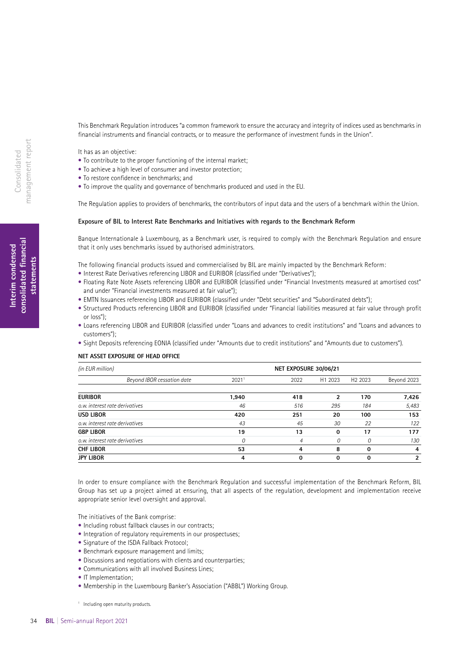This Benchmark Regulation introduces "a common framework to ensure the accuracy and integrity of indices used as benchmarks in financial instruments and financial contracts, or to measure the performance of investment funds in the Union".

It has as an objective:

- To contribute to the proper functioning of the internal market;
- To achieve a high level of consumer and investor protection;
- To restore confidence in benchmarks; and
- To improve the quality and governance of benchmarks produced and used in the EU.

The Regulation applies to providers of benchmarks, the contributors of input data and the users of a benchmark within the Union.

#### **Exposure of BIL to Interest Rate Benchmarks and Initiatives with regards to the Benchmark Reform**

Banque Internationale à Luxembourg, as a Benchmark user, is required to comply with the Benchmark Regulation and ensure that it only uses benchmarks issued by authorised administrators.

The following financial products issued and commercialised by BIL are mainly impacted by the Benchmark Reform:

- Interest Rate Derivatives referencing LIBOR and EURIBOR (classified under "Derivatives");
- Floating Rate Note Assets referencing LIBOR and EURIBOR (classified under "Financial Investments measured at amortised cost" and under "Financial investments measured at fair value");
- EMTN Issuances referencing LIBOR and EURIBOR (classified under "Debt securities" and "Subordinated debts");
- Structured Products referencing LIBOR and EURIBOR (classified under "Financial liabilities measured at fair value through profit or loss");
- Loans referencing LIBOR and EURIBOR (classified under "Loans and advances to credit institutions" and "Loans and advances to customers");
- Sight Deposits referencing EONIA (classified under "Amounts due to credit institutions" and "Amounts due to customers").

### **NET ASSET EXPOSURE OF HEAD OFFICE**

| (in EUR million)               |       | NET EXPOSURE 30/06/21 |                     |                     |                |  |
|--------------------------------|-------|-----------------------|---------------------|---------------------|----------------|--|
| Beyond IBOR cessation date     | 20211 | 2022                  | H <sub>1</sub> 2023 | H <sub>2</sub> 2023 | Beyond 2023    |  |
| <b>EURIBOR</b>                 | 1,940 | 418                   | 2                   | 170                 | 7,426          |  |
| o.w. interest rate derivatives | 46    | 516                   | 295                 | 184                 | 5,483          |  |
| USD LIBOR                      | 420   | 251                   | 20                  | 100                 | 153            |  |
| o.w. interest rate derivatives | 43    | 45                    | 30                  | 22                  | 122            |  |
| <b>GBP LIBOR</b>               | 19    | 13                    | $\bf{0}$            | 17                  | 177            |  |
| o.w. interest rate derivatives | 0     | 4                     | 0                   | 0                   | 130            |  |
| CHF LIBOR                      | 53    | 4                     | 8                   | 0                   | 4              |  |
| JPY LIBOR                      | 4     | 0                     | $\Omega$            |                     | $\overline{2}$ |  |

In order to ensure compliance with the Benchmark Regulation and successful implementation of the Benchmark Reform, BIL Group has set up a project aimed at ensuring, that all aspects of the regulation, development and implementation receive appropriate senior level oversight and approval.

The initiatives of the Bank comprise:

- Including robust fallback clauses in our contracts;
- Integration of regulatory requirements in our prospectuses;
- Signature of the ISDA Fallback Protocol;
- Benchmark exposure management and limits;
- Discussions and negotiations with clients and counterparties;
- Communications with all involved Business Lines;
- IT Implementation;
- Membership in the Luxembourg Banker's Association ("ABBL") Working Group.

<sup>1</sup> Including open maturity products.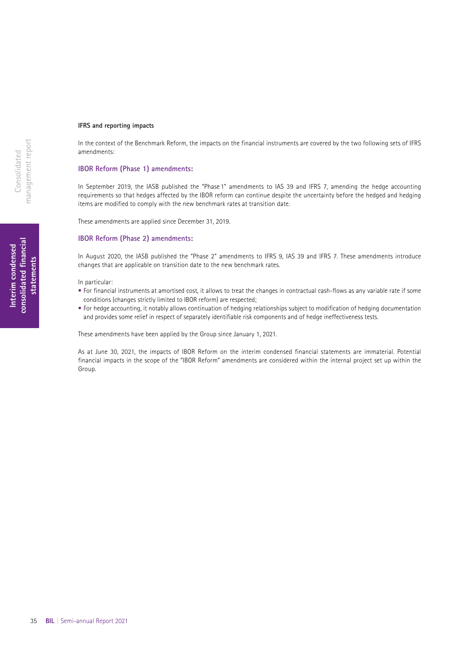### **IFRS and reporting impacts**

In the context of the Benchmark Reform, the impacts on the financial instruments are covered by the two following sets of IFRS amendments:

### **IBOR Reform (Phase 1) amendments:**

In September 2019, the IASB published the "Phase 1" amendments to IAS 39 and IFRS 7, amending the hedge accounting requirements so that hedges affected by the IBOR reform can continue despite the uncertainty before the hedged and hedging items are modified to comply with the new benchmark rates at transition date.

These amendments are applied since December 31, 2019.

### **IBOR Reform (Phase 2) amendments:**

In August 2020, the IASB published the "Phase 2" amendments to IFRS 9, IAS 39 and IFRS 7. These amendments introduce changes that are applicable on transition date to the new benchmark rates.

In particular:

- For financial instruments at amortised cost, it allows to treat the changes in contractual cash-flows as any variable rate if some conditions (changes strictly limited to IBOR reform) are respected;
- For hedge accounting, it notably allows continuation of hedging relationships subject to modification of hedging documentation and provides some relief in respect of separately identifiable risk components and of hedge ineffectiveness tests.

These amendments have been applied by the Group since January 1, 2021.

As at June 30, 2021, the impacts of IBOR Reform on the interim condensed financial statements are immaterial. Potential financial impacts in the scope of the "IBOR Reform" amendments are considered within the internal project set up within the Group.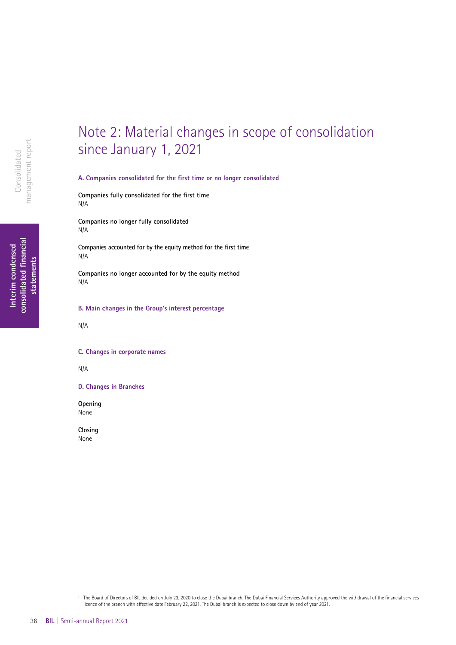### **consolidated fnancial**  consolidated financial **Interim condensed**  Interim condensed statements **statements**

Note 2: Material changes in scope of consolidation since January 1, 2021

**A. Companies consolidated for the frst time or no longer consolidated**

**Companies fully consolidated for the frst time** N/A

**Companies no longer fully consolidated** N/A

**Companies accounted for by the equity method for the frst time** N/A

**Companies no longer accounted for by the equity method** N/A

**B. Main changes in the Group's interest percentage**

N/A

### **C. Changes in corporate names**

N/A

**D. Changes in Branches**

**Opening** None

**Closing** None1

<sup>1</sup> The Board of Directors of BIL decided on July 23, 2020 to close the Dubai branch. The Dubai Financial Services Authority approved the withdrawal of the fnancial services licence of the branch with efective date February 22, 2021. The Dubai branch is expected to close down by end of year 2021.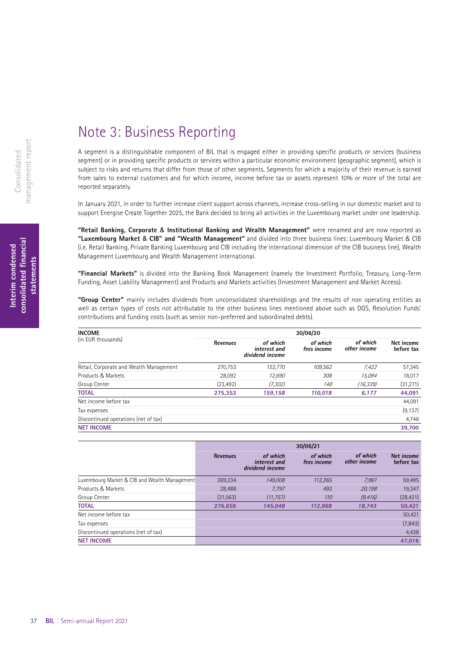## Note 3: Business Reporting

A segment is a distinguishable component of BIL that is engaged either in providing specific products or services (business segment) or in providing specific products or services within a particular economic environment (geographic segment), which is subject to risks and returns that differ from those of other segments. Segments for which a majority of their revenue is earned from sales to external customers and for which income, income before tax or assets represent 10% or more of the total are reported separately.

In January 2021, in order to further increase client support across channels, increase cross-selling in our domestic market and to support Energise Create Together 2025, the Bank decided to bring all activities in the Luxembourg market under one leadership.

**"Retail Banking, Corporate** & **Institutional Banking and Wealth Management"** were renamed and are now reported as **"Luxembourg Market** & **CIB" and "Wealth Management"** and divided into three business lines: Luxembourg Market & CIB (i.e. Retail Banking, Private Banking Luxembourg and CIB including the international dimension of the CIB business line), Wealth Management Luxembourg and Wealth Management international.

**"Financial Markets"** is divided into the Banking Book Management (namely the Investment Portfolio, Treasury, Long-Term Funding, Asset Liability Management) and Products and Markets activities (Investment Management and Market Access).

**"Group Center"** mainly includes dividends from unconsolidated shareholdings and the results of non operating entities as well as certain types of costs not attributable to the other business lines mentioned above such as DGS, Resolution Funds' contributions and funding costs (such as senior non-preferred and subordinated debts).

| <b>INCOME</b>                           | 30/06/20  |                                             |                         |                          |                          |  |  |  |
|-----------------------------------------|-----------|---------------------------------------------|-------------------------|--------------------------|--------------------------|--|--|--|
| (in EUR thousands)                      | Revenues  | of which<br>interest and<br>dividend income | of which<br>fees income | of which<br>other income | Net income<br>before tax |  |  |  |
| Retail, Corporate and Wealth Management | 270,753   | 153,770                                     | 109,562                 | 7,422                    | 57,345                   |  |  |  |
| Products & Markets                      | 28.092    | 12,690                                      | 308                     | 15.094                   | 18,017                   |  |  |  |
| Group Center                            | (23, 492) | (7, 302)                                    | 148                     | (16, 339)                | (31, 271)                |  |  |  |
| <b>TOTAL</b>                            | 275,353   | 159,158                                     | 110,018                 | 6,177                    | 44,091                   |  |  |  |
| Net income before tax                   |           |                                             |                         |                          | 44,091                   |  |  |  |
| Tax expenses                            |           |                                             |                         |                          | (9, 137)                 |  |  |  |
| Discontinued operations (net of tax)    |           |                                             |                         |                          | 4,746                    |  |  |  |
| <b>NET INCOME</b>                       |           |                                             |                         |                          | 39.700                   |  |  |  |

|                                               | 30/06/21        |                                             |                         |                          |                          |  |
|-----------------------------------------------|-----------------|---------------------------------------------|-------------------------|--------------------------|--------------------------|--|
|                                               | <b>Revenues</b> | of which<br>interest and<br>dividend income | of which<br>fees income | of which<br>other income | Net income<br>before tax |  |
| Luxembourg Market & CIB and Wealth Management | 269,234         | 149.008                                     | 112,265                 | 7,961                    | 59,495                   |  |
| Products & Markets                            | 28,488          | 7.797                                       | 493                     | 20,198                   | 19,347                   |  |
| Group Center                                  | (21,063)        | (11, 757)                                   | 110                     | (9, 416)                 | (28, 421)                |  |
| <b>TOTAL</b>                                  | 276.659         | 145.048                                     | 112.868                 | 18.743                   | 50,421                   |  |
| Net income before tax                         |                 |                                             |                         |                          | 50,421                   |  |
| Tax expenses                                  |                 |                                             |                         |                          | (7, 843)                 |  |
| Discontinued operations (net of tax)          |                 |                                             |                         |                          | 4,438                    |  |
| <b>NET INCOME</b>                             |                 |                                             |                         |                          | 47.016                   |  |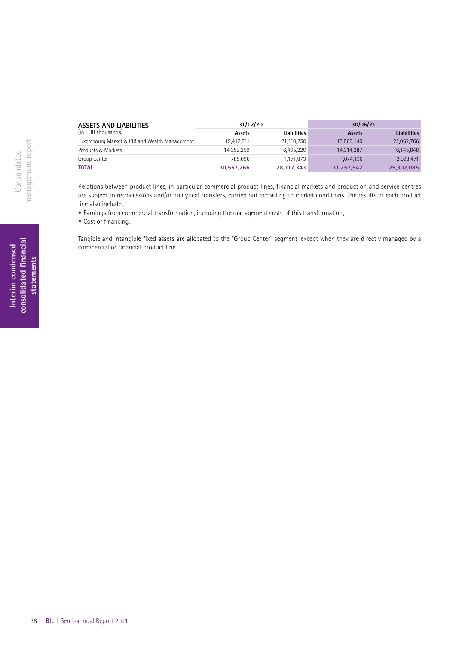| <b>ASSETS AND LIABILITIES</b>                 | 31/12/20      |                    | 30/06/21      |                    |  |
|-----------------------------------------------|---------------|--------------------|---------------|--------------------|--|
| (in EUR thousands)                            | <b>Assets</b> | <b>Liabilities</b> | <b>Assets</b> | <b>Liabilities</b> |  |
| Luxembourg Market & CIB and Wealth Management | 15.412.311    | 21,110,250         | 15,869,149    | 21,062,766         |  |
| Products & Markets                            | 14.359.259    | 6.435.220          | 14.314.287    | 6,145,848          |  |
| Group Center                                  | 785.696       | 1.171.873          | 1.074.106     | 2,093,471          |  |
| <b>TOTAL</b>                                  | 30.557.266    | 28.717.343         | 31.257.542    | 29,302,085         |  |

Relations between product lines, in particular commercial product lines, financial markets and production and service centres are subject to retrocessions and/or analytical transfers, carried out according to market conditions. The results of each product line also include:

• Earnings from commercial transformation, including the management costs of this transformation;

• Cost of financing.

Tangible and intangible fixed assets are allocated to the "Group Center" segment, except when they are directly managed by a commercial or financial product line.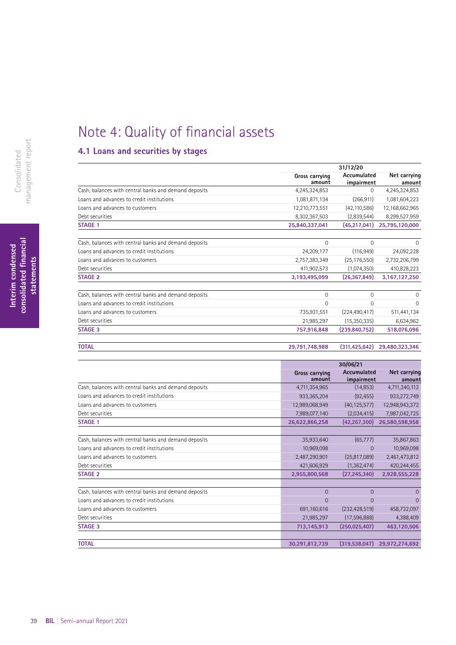## Note 4: Quality of financial assets

### **4.1 Loans and securities by stages**

|                                                       |                | 31/12/20        |                |  |  |
|-------------------------------------------------------|----------------|-----------------|----------------|--|--|
|                                                       | Gross carrying | Accumulated     | Net carrying   |  |  |
|                                                       | amount         | impairment      | amount         |  |  |
| Cash, balances with central banks and demand deposits | 4,245,324,853  | 0               | 4,245,324,853  |  |  |
| Loans and advances to credit institutions             | 1,081,871,134  | (266, 911)      | 1,081,604,223  |  |  |
| Loans and advances to customers                       | 12,210,773,551 | (42, 110, 586)  | 12,168,662,965 |  |  |
| Debt securities                                       | 8,302,367,503  | (2,839,544)     | 8,299,527,959  |  |  |
| <b>STAGE 1</b>                                        | 25,840,337,041 | (45,217,041)    | 25,795,120,000 |  |  |
| Cash, balances with central banks and demand deposits | 0              | $\Omega$        | $\Omega$       |  |  |
| Loans and advances to credit institutions             | 24,209,177     | (116, 949)      | 24,092,228     |  |  |
| Loans and advances to customers                       | 2,757,383,349  | (25, 176, 550)  | 2,732,206,799  |  |  |
| Debt securities                                       | 411,902,573    | (1,074,350)     | 410,828,223    |  |  |
| <b>STAGE 2</b>                                        | 3,193,495,099  | (26, 367, 849)  | 3,167,127,250  |  |  |
| Cash, balances with central banks and demand deposits | 0              | 0               | $\mathbf 0$    |  |  |
| Loans and advances to credit institutions             | 0              | 0               | $\mathbf 0$    |  |  |
| Loans and advances to customers                       | 735,931,551    | (224, 490, 417) | 511,441,134    |  |  |
| Debt securities                                       | 21,985,297     | (15,350,335)    | 6,634,962      |  |  |
| <b>STAGE 3</b>                                        | 757,916,848    | (239, 840, 752) | 518,076,096    |  |  |
| <b>TOTAL</b>                                          | 29,791,748,988 | (311, 425, 642) | 29,480,323,346 |  |  |

|                                                       |                                 | 30/06/21                  |                        |  |
|-------------------------------------------------------|---------------------------------|---------------------------|------------------------|--|
|                                                       | <b>Gross carrying</b><br>amount | Accumulated<br>impairment | Net carrying<br>amount |  |
| Cash, balances with central banks and demand deposits | 4,711,354,965                   | (14, 853)                 | 4,711,340,112          |  |
| Loans and advances to credit institutions             | 933,365,204                     | (92, 455)                 | 933,272,749            |  |
| Loans and advances to customers                       | 12,989,068,949                  | (40, 125, 577)            | 12,948,943,372         |  |
| Debt securities                                       | 7,989,077,140                   | (2,034,415)               | 7,987,042,725          |  |
| <b>STAGE 1</b>                                        | 26,622,866,258                  | (42, 267, 300)            | 26,580,598,958         |  |
| Cash, balances with central banks and demand deposits | 35,933,640                      | (65, 777)                 | 35,867,863             |  |
| Loans and advances to credit institutions             | 10,969,098                      | 0                         | 10,969,098             |  |
| Loans and advances to customers                       | 2,487,290,901                   | (25, 817, 089)            | 2,461,473,812          |  |
| Debt securities                                       | 421,606,929                     | (1, 362, 474)             | 420,244,455            |  |
| <b>STAGE 2</b>                                        | 2,955,800,568                   | (27, 245, 340)            | 2,928,555,228          |  |
| Cash, balances with central banks and demand deposits | $\overline{0}$                  | $\Omega$                  | $\Omega$               |  |
| Loans and advances to credit institutions             | 0                               | $\Omega$                  | $\Omega$               |  |
| Loans and advances to customers                       | 691,160,616                     | (232, 428, 519)           | 458,732,097            |  |
| Debt securities                                       | 21,985,297                      | (17,596,888)              | 4,388,409              |  |
| <b>STAGE 3</b>                                        | 713,145,913                     | (250, 025, 407)           | 463,120,506            |  |
| <b>TOTAL</b>                                          | 30,291,812,739                  | (319, 538, 047)           | 29,972,274,692         |  |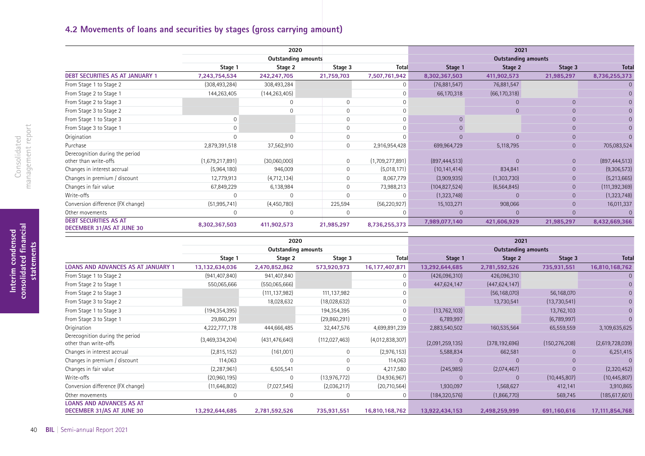### **4.2 Movements of loans and securities by stages (gross carrying amount)**

|                                                           | 2020            |                            |             |                 | 2021            |                            |                |                 |  |  |
|-----------------------------------------------------------|-----------------|----------------------------|-------------|-----------------|-----------------|----------------------------|----------------|-----------------|--|--|
|                                                           |                 | <b>Outstanding amounts</b> |             |                 |                 | <b>Outstanding amounts</b> |                |                 |  |  |
|                                                           | Stage 1         | Stage 2                    | Stage 3     | <b>Total</b>    | Stage 1         | Stage 2                    | Stage 3        | <b>Total</b>    |  |  |
| <b>DEBT SECURITIES AS AT JANUARY 1</b>                    | 7,243,754,534   | 242,247,705                | 21,759,703  | 7,507,761,942   | 8,302,367,503   | 411,902,573                | 21,985,297     | 8,736,255,373   |  |  |
| From Stage 1 to Stage 2                                   | (308, 493, 284) | 308,493,284                |             | $\Omega$        | (76,881,547)    | 76,881,547                 |                | 0               |  |  |
| From Stage 2 to Stage 1                                   | 144,263,405     | (144, 263, 405)            |             | $\Omega$        | 66,170,318      | (66, 170, 318)             |                |                 |  |  |
| From Stage 2 to Stage 3                                   |                 |                            |             |                 |                 | $\Omega$                   |                |                 |  |  |
| From Stage 3 to Stage 2                                   |                 |                            |             | $\cap$          |                 | $\Omega$                   |                | $\Omega$        |  |  |
| From Stage 1 to Stage 3                                   |                 |                            | $\Omega$    | $\Omega$        |                 |                            |                | $\overline{0}$  |  |  |
| From Stage 3 to Stage 1                                   |                 |                            |             | $\Omega$        |                 |                            |                | $\overline{0}$  |  |  |
| Origination                                               |                 |                            | $\Omega$    |                 |                 | $\Omega$                   |                | $\Omega$        |  |  |
| Purchase                                                  | 2,879,391,518   | 37,562,910                 | 0           | 2,916,954,428   | 699,964,729     | 5,118,795                  | $\overline{0}$ | 705,083,524     |  |  |
| Derecognition during the period<br>other than write-offs  | (1,679,217,891) | (30,060,000)               | $\mathbf 0$ | (1,709,277,891) | (897, 444, 513) | $\Omega$                   | $\overline{0}$ | (897, 444, 513) |  |  |
| Changes in interest accrual                               | (5,964,180)     | 946,009                    | 0           | (5,018,171)     | (10, 141, 414)  | 834,841                    | $\overline{0}$ | (9,306,573)     |  |  |
| Changes in premium / discount                             | 12,779,913      | (4, 712, 134)              | 0           | 8,067,779       | (3,909,935)     | (1,303,730)                | 0              | (5,213,665)     |  |  |
| Changes in fair value                                     | 67,849,229      | 6,138,984                  | $\Omega$    | 73,988,213      | (104, 827, 524) | (6, 564, 845)              | $\overline{0}$ | (111, 392, 369) |  |  |
| Write-offs                                                |                 |                            | $\Omega$    |                 | (1,323,748)     | $\Omega$                   | 0              | (1,323,748)     |  |  |
| Conversion difference (FX change)                         | (51, 995, 741)  | (4,450,780)                | 225,594     | (56, 220, 927)  | 15,103,271      | 908,066                    | 0              | 16,011,337      |  |  |
| Other movements                                           | $\Omega$        |                            | $\mathbf 0$ |                 | $\Omega$        | $\Omega$                   |                |                 |  |  |
| <b>DEBT SECURITIES AS AT</b><br>DECEMBER 31/AS AT JUNE 30 | 8,302,367,503   | 411,902,573                | 21,985,297  | 8,736,255,373   | 7,989,077,140   | 421,606,929                | 21,985,297     | 8,432,669,366   |  |  |

|                                                              | 2020<br><b>Outstanding amounts</b> |                 |                |                   | 2021<br><b>Outstanding amounts</b> |                 |                 |                 |
|--------------------------------------------------------------|------------------------------------|-----------------|----------------|-------------------|------------------------------------|-----------------|-----------------|-----------------|
|                                                              |                                    |                 |                |                   |                                    |                 |                 |                 |
|                                                              | Stage 1                            | Stage 2         | Stage 3        | Total             | Stage 1                            | Stage 2         | Stage 3         | Total           |
| <b>LOANS AND ADVANCES AS AT JANUARY 1</b>                    | 13,132,634,036                     | 2,470,852,862   | 573,920,973    | 16, 177, 407, 871 | 13,292,644,685                     | 2,781,592,526   | 735,931,551     | 16,810,168,762  |
| From Stage 1 to Stage 2                                      | (941, 407, 840)                    | 941,407,840     |                | $\Omega$          | (426,096,310)                      | 426,096,310     |                 |                 |
| From Stage 2 to Stage 1                                      | 550,065,666                        | (550,065,666)   |                | $\Omega$          | 447,624,147                        | (447, 624, 147) |                 |                 |
| From Stage 2 to Stage 3                                      |                                    | (111,137,982)   | 111,137,982    |                   |                                    | (56, 168, 070)  | 56,168,070      |                 |
| From Stage 3 to Stage 2                                      |                                    | 18,028,632      | (18,028,632)   |                   |                                    | 13,730,541      | (13,730,541)    |                 |
| From Stage 1 to Stage 3                                      | (194, 354, 395)                    |                 | 194,354,395    | $\Omega$          | (13, 762, 103)                     |                 | 13,762,103      |                 |
| From Stage 3 to Stage 1                                      | 29,860,291                         |                 | (29,860,291)   | $\Omega$          | 6,789,997                          |                 | (6,789,997)     |                 |
| Origination                                                  | 4,222,777,178                      | 444,666,485     | 32,447,576     | 4,699,891,239     | 2,883,540,502                      | 160,535,564     | 65,559,559      | 3,109,635,625   |
| Derecognition during the period<br>other than write-offs     | (3,469,334,204)                    | (431, 476, 640) | (112,027,463)  | (4,012,838,307)   | (2,091,259,135)                    | (378, 192, 696) | (150, 276, 208) | (2,619,728,039) |
| Changes in interest accrual                                  | (2,815,152)                        | (161,001)       | $\mathbf 0$    | (2,976,153)       | 5,588,834                          | 662,581         |                 | 6,251,415       |
| Changes in premium / discount                                | 114,063                            | $\Omega$        | 0              | 114,063           | $\Omega$                           | $\Omega$        |                 |                 |
| Changes in fair value                                        | (2, 287, 961)                      | 6,505,541       | 0              | 4,217,580         | (245, 985)                         | (2,074,467)     | $\Omega$        | (2,320,452)     |
| Write-offs                                                   | (20,960,195)                       | $\Omega$        | (13, 976, 772) | (34,936,967)      | $\Omega$                           | $\Omega$        | (10, 445, 807)  | (10, 445, 807)  |
| Conversion difference (FX change)                            | (11,646,802)                       | (7,027,545)     | (2,036,217)    | (20,710,564)      | 1,930,097                          | 1,568,627       | 412,141         | 3,910,865       |
| Other movements                                              | $\mathbf 0$                        | $\mathbf 0$     | $\mathbf{0}$   | $\mathbf{0}$      | (184, 320, 576)                    | (1,866,770)     | 569,745         | (185, 617, 601) |
| <b>LOANS AND ADVANCES AS AT</b><br>DECEMBER 31/AS AT JUNE 30 | 13,292,644,685                     | 2,781,592,526   | 735,931,551    | 16,810,168,762    | 13,922,434,153                     | 2,498,259,999   | 691,160,616     | 17,111,854,768  |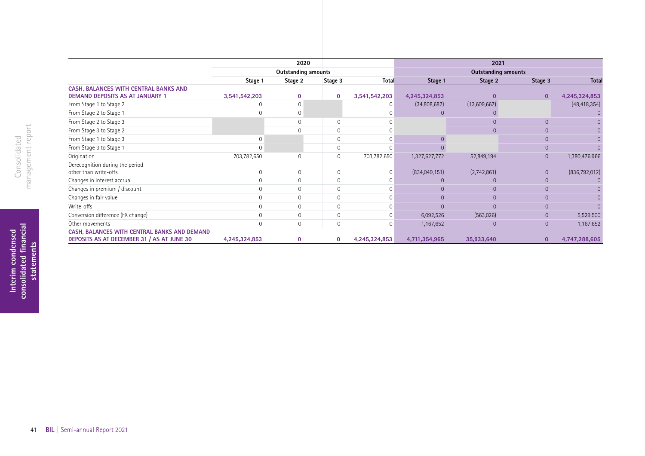|                                                                                            | 2020                       |                |                     |               | 2021                       |              |                |                |
|--------------------------------------------------------------------------------------------|----------------------------|----------------|---------------------|---------------|----------------------------|--------------|----------------|----------------|
|                                                                                            | <b>Outstanding amounts</b> |                |                     |               | <b>Outstanding amounts</b> |              |                |                |
|                                                                                            | Stage 1                    | Stage 2        | Stage 3             | Total         | Stage 1                    | Stage 2      | Stage 3        | <b>Total</b>   |
| CASH, BALANCES WITH CENTRAL BANKS AND<br><b>DEMAND DEPOSITS AS AT JANUARY 1</b>            | 3,541,542,203              | $\mathbf 0$    | $\mathbf 0$         | 3,541,542,203 | 4,245,324,853              | $\mathbf{0}$ | $\mathbf{0}$   | 4,245,324,853  |
| From Stage 1 to Stage 2                                                                    | 0                          | $\Omega$       |                     | $\Omega$      | (34,808,687)               | (13,609,667) |                | (48, 418, 354) |
| From Stage 2 to Stage 1                                                                    |                            | $\mathbf 0$    |                     |               | $\Omega$                   |              |                |                |
| From Stage 2 to Stage 3                                                                    |                            | $\mathbf 0$    | 0                   |               |                            | $\Omega$     | $\Omega$       |                |
| From Stage 3 to Stage 2                                                                    |                            | $\Omega$       | $\mathbf 0$         |               |                            | $\Omega$     |                |                |
| From Stage 1 to Stage 3                                                                    |                            |                | $\mathbf 0$         |               |                            |              |                |                |
| From Stage 3 to Stage 1                                                                    |                            |                | $\mathbf 0$         |               |                            |              |                |                |
| Origination                                                                                | 703,782,650                | 0              | $\mathsf{O}\xspace$ | 703,782,650   | 1,327,627,772              | 52,849,194   | $\overline{0}$ | 1,380,476,966  |
| Derecognition during the period<br>other than write-offs                                   | $\Omega$                   | $\mathbf 0$    | 0                   | 0             | (834,049,151)              | (2,742,861)  | $\overline{0}$ | (836,792,012)  |
| Changes in interest accrual                                                                |                            | $\mathbf 0$    | $\mathbf 0$         | $\Omega$      | $\Omega$                   |              | 0              |                |
| Changes in premium / discount                                                              |                            | $\mathbf 0$    | $\mathbf 0$         |               | $\Omega$                   | $\Omega$     |                |                |
| Changes in fair value                                                                      |                            | $\overline{0}$ | $\mathbf 0$         | $\Omega$      | $\Omega$                   | $\Omega$     |                |                |
| Write-offs                                                                                 |                            | $\mathbf 0$    | $\mathbf 0$         |               | $\Omega$                   |              |                |                |
| Conversion difference (FX change)                                                          |                            | $\overline{0}$ | $\mathbf 0$         | $\Omega$      | 6,092,526                  | (563,026)    | $\overline{0}$ | 5,529,500      |
| Other movements                                                                            | 0                          | $\mathbf 0$    | $\mathbf 0$         | O             | 1,167,652                  | $\mathbf 0$  | $\overline{0}$ | 1,167,652      |
| CASH, BALANCES WITH CENTRAL BANKS AND DEMAND<br>DEPOSITS AS AT DECEMBER 31 / AS AT JUNE 30 | 4,245,324,853              | $\mathbf 0$    | 0                   | 4,245,324,853 | 4,711,354,965              | 35,933,640   | $\bf{0}$       | 4,747,288,605  |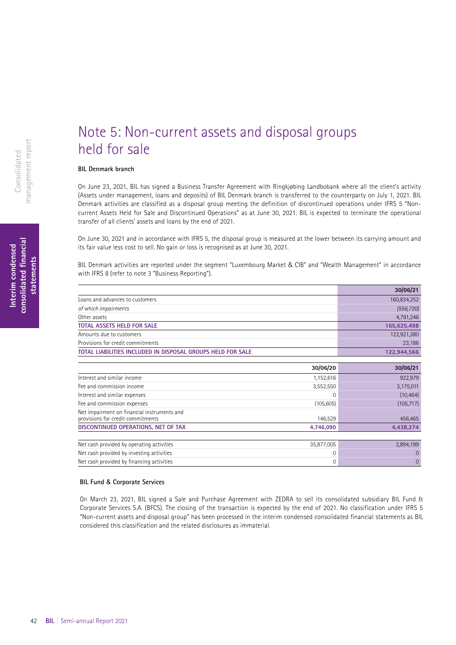## Note 5: Non-current assets and disposal groups held for sale

### **BIL Denmark branch**

On June 23, 2021, BIL has signed a Business Transfer Agreement with Ringkjøbing Landbobank where all the client's activity (Assets under management, loans and deposits) of BIL Denmark branch is transferred to the counterparty on July 1, 2021. BIL Denmark activities are classified as a disposal group meeting the definition of discontinued operations under IFRS 5 "Noncurrent Assets Held for Sale and Discontinued Operations" as at June 30, 2021. BIL is expected to terminate the operational transfer of all clients' assets and loans by the end of 2021.

On June 30, 2021 and in accordance with IFRS 5, the disposal group is measured at the lower between its carrying amount and its fair value less cost to sell. No gain or loss is recognised as at June 30, 2021.

BIL Denmark activities are reported under the segment "Luxembourg Market & CIB" and "Wealth Management" in accordance with IFRS 8 (refer to note 3 "Business Reporting").

|                                                             | 30/06/21    |
|-------------------------------------------------------------|-------------|
| Loans and advances to customers                             | 160,834,252 |
| of which impairments                                        | (556, 720)  |
| Other assets                                                | 4,791,246   |
| <b>TOTAL ASSETS HELD FOR SALE</b>                           | 165,625,498 |
| Amounts due to customers                                    | 122,921,380 |
| Provisions for credit commitments                           | 23,186      |
| TOTAL LIABILITIES INCLUDED IN DISPOSAL GROUPS HELD FOR SALE | 122,944,566 |

|                                                                                  | 30/06/20   | 30/06/21   |
|----------------------------------------------------------------------------------|------------|------------|
| Interest and similar income                                                      | 1,152,616  | 922,979    |
| Fee and commission income                                                        | 3,552,550  | 3,175,011  |
| Interest and similar expenses                                                    |            | (10, 464)  |
| Fee and commission expenses                                                      | (105, 605) | (105, 717) |
| Net impairment on financial instruments and<br>provisions for credit commitments | 146,529    | 456,465    |
| DISCONTINUED OPERATIONS, NET OF TAX                                              | 4,746,090  | 4,438,274  |
|                                                                                  |            |            |
| Net cash provided by operating activities                                        | 35,877,005 | 2,894,199  |
| Net cash provided by investing activities                                        |            |            |

Net cash provided by fnancing activities 0 0

### **BIL Fund** & **Corporate Services**

On March 23, 2021, BIL signed a Sale and Purchase Agreement with ZEDRA to sell its consolidated subsidiary BIL Fund & Corporate Services S.A. (BFCS). The closing of the transaction is expected by the end of 2021. No classification under IFRS 5 "Non-current assets and disposal group" has been processed in the interim condensed consolidated financial statements as BIL considered this classification and the related disclosures as immaterial.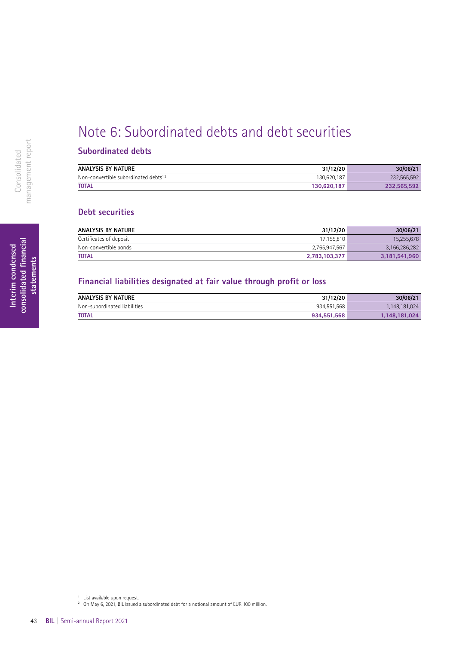## Note 6: Subordinated debts and debt securities

### **Subordinated debts**

| <b>ANALYSIS BY NATURE</b>                        | 31/12/20    | 30/06/21    |
|--------------------------------------------------|-------------|-------------|
| Non-convertible subordinated debts <sup>12</sup> | 130,620,187 | 232.565.592 |
| <b>TOTAL</b>                                     | 130.620.187 | 232.565.592 |

### **Debt securities**

| <b>ANALYSIS BY NATURE</b> | 31/12/20      | 30/06/21      |
|---------------------------|---------------|---------------|
| Certificates of deposit   | 17,155,810    | 15,255,678    |
| Non-convertible bonds     | 2,765,947,567 | 3,166,286,282 |
| <b>TOTAL</b>              | 2,783,103,377 | 3,181,541,960 |

### **Financial liabilities designated at fair value through proft or loss**

| <b>ANALYSIS BY NATURE</b>    | 31/12/20    | 30/06/21      |
|------------------------------|-------------|---------------|
| Non-subordinated liabilities | 934,551,568 | 1.148.181.024 |
| <b>TOTAL</b>                 | 934.551.568 | 1.148.181.024 |

<sup>1</sup> List available upon request.

<sup>2</sup> On May 6, 2021, BIL issued a subordinated debt for a notional amount of EUR 100 million.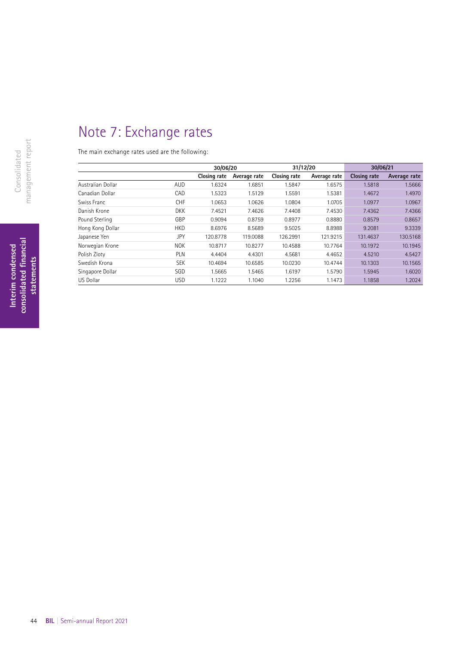## Note 7: Exchange rates

The main exchange rates used are the following:

|                   |            | 30/06/20     |              | 31/12/20     |              | 30/06/21     |              |
|-------------------|------------|--------------|--------------|--------------|--------------|--------------|--------------|
|                   |            | Closing rate | Average rate | Closing rate | Average rate | Closing rate | Average rate |
| Australian Dollar | <b>AUD</b> | 1.6324       | 1.6851       | 1.5847       | 1.6575       | 1.5818       | 1.5666       |
| Canadian Dollar   | CAD        | 1.5323       | 1.5129       | 1.5591       | 1.5381       | 1.4672       | 1.4970       |
| Swiss Franc       | <b>CHF</b> | 1.0653       | 1.0626       | 1.0804       | 1.0705       | 1.0977       | 1.0967       |
| Danish Krone      | <b>DKK</b> | 7.4521       | 7.4626       | 7.4408       | 7.4530       | 7.4362       | 7.4366       |
| Pound Sterling    | GBP        | 0.9094       | 0.8759       | 0.8977       | 0.8880       | 0.8579       | 0.8657       |
| Hong Kong Dollar  | <b>HKD</b> | 8.6976       | 8.5689       | 9.5025       | 8.8988       | 9.2081       | 9.3339       |
| Japanese Yen      | JPY        | 120.8778     | 119.0088     | 126.2991     | 121.9215     | 131.4637     | 130.5168     |
| Norwegian Krone   | <b>NOK</b> | 10.8717      | 10.8277      | 10.4588      | 10.7764      | 10.1972      | 10.1945      |
| Polish Zloty      | <b>PLN</b> | 4.4404       | 4.4301       | 4.5681       | 4.4652       | 4.5210       | 4.5427       |
| Swedish Krona     | <b>SEK</b> | 10.4694      | 10.6585      | 10.0230      | 10.4744      | 10.1303      | 10.1565      |
| Singapore Dollar  | SGD        | 1.5665       | 1.5465       | 1.6197       | 1.5790       | 1.5945       | 1.6020       |
| <b>US Dollar</b>  | <b>USD</b> | 1.1222       | 1.1040       | 1.2256       | 1.1473       | 1.1858       | 1.2024       |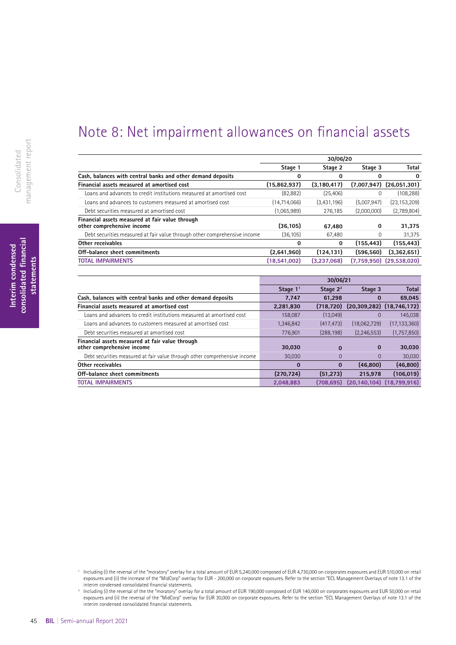## Note 8: Net impairment allowances on financial assets

|                                                                               | 30/06/20     |               |             |                              |  |  |
|-------------------------------------------------------------------------------|--------------|---------------|-------------|------------------------------|--|--|
|                                                                               | Stage 1      | Stage 2       | Stage 3     | <b>Total</b>                 |  |  |
| Cash, balances with central banks and other demand deposits                   | 0            | 0             | 0           | 0                            |  |  |
| Financial assets measured at amortised cost                                   | (15,862,937) | (3, 180, 417) |             | $(7,007,947)$ $(26,051,301)$ |  |  |
| Loans and advances to credit institutions measured at amortised cost          | (82, 882)    | (25, 406)     | $\Omega$    | (108, 288)                   |  |  |
| Loans and advances to customers measured at amortised cost                    | (14,714,066) | (3,431,196)   | (5,007,947) | (23, 153, 209)               |  |  |
| Debt securities measured at amortised cost                                    | (1,065,989)  | 276.185       | (2,000,000) | (2,789,804)                  |  |  |
| Financial assets measured at fair value through<br>other comprehensive income | (36, 105)    | 67.480        | 0           | 31.375                       |  |  |
| Debt securities measured at fair value through other comprehensive income     | (36.105)     | 67.480        | $\Omega$    | 31.375                       |  |  |
| Other receivables                                                             | 0            | 0             | (155, 443)  | (155, 443)                   |  |  |
| Off-balance sheet commitments                                                 | (2,641,960)  | (124, 131)    | (596.560)   | (3,362,651)                  |  |  |
| <b>TOTAL IMPAIRMENTS</b>                                                      | (18.541.002) | (3.237.068)   |             | $(7,759,950)$ $(29,538,020)$ |  |  |

|                                                                               | 30/06/21   |             |               |                                   |  |
|-------------------------------------------------------------------------------|------------|-------------|---------------|-----------------------------------|--|
|                                                                               | Stage $11$ | Stage $2^2$ | Stage 3       | <b>Total</b>                      |  |
| Cash, balances with central banks and other demand deposits                   | 7.747      | 61.298      | 0             | 69,045                            |  |
| Financial assets measured at amortised cost                                   | 2,281,830  | (718, 720)  |               | $(20, 309, 282)$ $(18, 746, 172)$ |  |
| Loans and advances to credit institutions measured at amortised cost          | 158.087    | (13.049)    | $\Omega$      | 145,038                           |  |
| Loans and advances to customers measured at amortised cost                    | 1,346,842  | (417, 473)  | (18,062,729)  | (17, 133, 360)                    |  |
| Debt securities measured at amortised cost                                    | 776.901    | (288, 198)  | (2, 246, 553) | (1,757,850)                       |  |
| Financial assets measured at fair value through<br>other comprehensive income | 30.030     | $\bf{0}$    | $\bf{0}$      | 30,030                            |  |
| Debt securities measured at fair value through other comprehensive income     | 30,030     | $\Omega$    | $\Omega$      | 30,030                            |  |
| Other receivables                                                             | $\bf{0}$   | $\Omega$    | (46, 800)     | (46, 800)                         |  |
| Off-balance sheet commitments                                                 | (270.724)  | (51.273)    | 215.978       | (106, 019)                        |  |
| <b>TOTAL IMPAIRMENTS</b>                                                      | 2.048.883  | (708.695)   |               | $(20.140.104)$ $(18.799.916)$     |  |

<sup>1</sup> Including (i) the reversal of the "moratory" overlay for a total amount of EUR 5,240,000 composed of EUR 4,730,000 on corporates exposures and EUR 510,000 on retail exposures and (ii) the increase of the "MidCorp" overlay for EUR - 200,000 on corporate exposures. Refer to the section "ECL Management Overlays of note 13.1 of the interim condensed consolidated fnancial statements.

<sup>2</sup> Including (i) the reversal of the the "moratory" overlay for a total amount of EUR 190,000 composed of EUR 140,000 on corporates exposures and EUR 50,000 on retail exposures and (ii) the reversal of the "MidCorp" overlay for EUR 30,000 on corporate exposures. Refer to the section "ECL Management Overlays of note 13.1 of the interim condensed consolidated fnancial statements.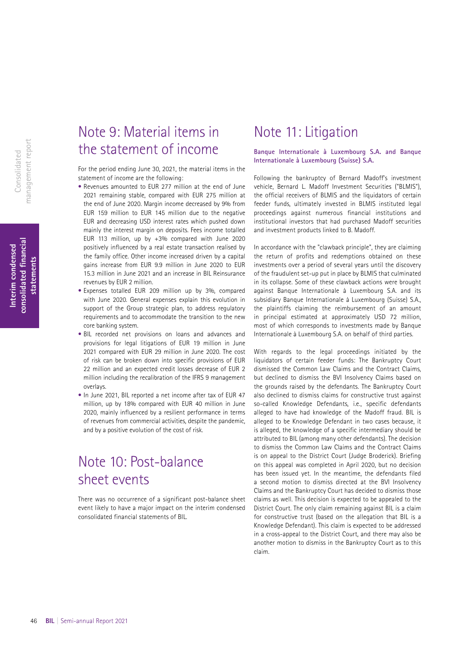## Note 9: Material items in the statement of income

For the period ending June 30, 2021, the material items in the statement of income are the following:

- Revenues amounted to EUR 277 million at the end of June 2021 remaining stable, compared with EUR 275 million at the end of June 2020. Margin income decreased by 9% from EUR 159 million to EUR 145 million due to the negative EUR and decreasing USD interest rates which pushed down mainly the interest margin on deposits. Fees income totalled EUR 113 million, up by +3% compared with June 2020 positively influenced by a real estate transaction realised by the family office. Other income increased driven by a capital gains increase from EUR 9.9 million in June 2020 to EUR 15.3 million in June 2021 and an increase in BIL Reinsurance revenues by EUR 2 million.
- Expenses totalled EUR 209 million up by 3%, compared with June 2020. General expenses explain this evolution in support of the Group strategic plan, to address regulatory requirements and to accommodate the transition to the new core banking system.
- BIL recorded net provisions on loans and advances and provisions for legal litigations of EUR 19 million in June 2021 compared with EUR 29 million in June 2020. The cost of risk can be broken down into specific provisions of EUR 22 million and an expected credit losses decrease of EUR 2 million including the recalibration of the IFRS 9 management overlays.
- In June 2021, BIL reported a net income after tax of EUR 47 million, up by 18% compared with EUR 40 million in June 2020, mainly influenced by a resilient performance in terms of revenues from commercial activities, despite the pandemic, and by a positive evolution of the cost of risk.

## Note 10: Post-balance sheet events

There was no occurrence of a significant post-balance sheet event likely to have a major impact on the interim condensed consolidated financial statements of BIL.

### Note 11: Litigation

### **Banque Internationale à Luxembourg S.A. and Banque Internationale à Luxembourg (Suisse) S.A.**

Following the bankruptcy of Bernard Madoff's investment vehicle, Bernard L. Madoff Investment Securities ("BLMIS"), the official receivers of BLMIS and the liquidators of certain feeder funds, ultimately invested in BLMIS instituted legal proceedings against numerous financial institutions and institutional investors that had purchased Madoff securities and investment products linked to B. Madoff.

In accordance with the "clawback principle", they are claiming the return of profits and redemptions obtained on these investments over a period of several years until the discovery of the fraudulent set-up put in place by BLMIS that culminated in its collapse. Some of these clawback actions were brought against Banque Internationale à Luxembourg S.A. and its subsidiary Banque Internationale à Luxembourg (Suisse) S.A., the plaintiffs claiming the reimbursement of an amount in principal estimated at approximately USD 72 million, most of which corresponds to investments made by Banque Internationale à Luxembourg S.A. on behalf of third parties.

With regards to the legal proceedings initiated by the liquidators of certain feeder funds: The Bankruptcy Court dismissed the Common Law Claims and the Contract Claims, but declined to dismiss the BVI Insolvency Claims based on the grounds raised by the defendants. The Bankruptcy Court also declined to dismiss claims for constructive trust against so-called Knowledge Defendants, i.e., specific defendants alleged to have had knowledge of the Madoff fraud. BIL is alleged to be Knowledge Defendant in two cases because, it is alleged, the knowledge of a specific intermediary should be attributed to BIL (among many other defendants). The decision to dismiss the Common Law Claims and the Contract Claims is on appeal to the District Court (Judge Broderick). Briefing on this appeal was completed in April 2020, but no decision has been issued yet. In the meantime, the defendants filed a second motion to dismiss directed at the BVI Insolvency Claims and the Bankruptcy Court has decided to dismiss those claims as well. This decision is expected to be appealed to the District Court. The only claim remaining against BIL is a claim for constructive trust (based on the allegation that BIL is a Knowledge Defendant). This claim is expected to be addressed in a cross-appeal to the District Court, and there may also be another motion to dismiss in the Bankruptcy Court as to this claim.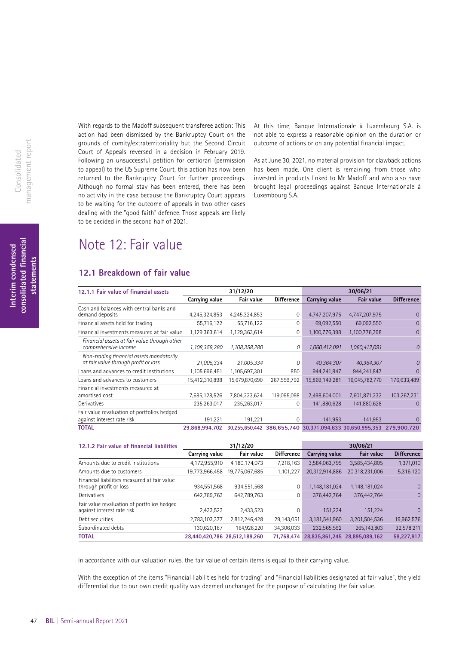With regards to the Madoff subsequent transferee action: This action had been dismissed by the Bankruptcy Court on the grounds of comity/extraterritoriality but the Second Circuit Court of Appeals reversed in a decision in February 2019. Following an unsuccessful petition for certiorari (permission to appeal) to the US Supreme Court, this action has now been returned to the Bankruptcy Court for further proceedings. Although no formal stay has been entered, there has been no activity in the case because the Bankruptcy Court appears to be waiting for the outcome of appeals in two other cases dealing with the "good faith" defence. Those appeals are likely to be decided in the second half of 2021.

not able to express a reasonable opinion on the duration or outcome of actions or on any potential financial impact.

At this time, Banque Internationale à Luxembourg S.A. is

As at June 30, 2021, no material provision for clawback actions has been made. One client is remaining from those who invested in products linked to Mr Madoff and who also have brought legal proceedings against Banque Internationale à Luxembourg S.A.

## Note 12: Fair value

### **12.1 Breakdown of fair value**

| 12.1.1 Fair value of financial assets                                            |                | 31/12/20       |                   | 30/06/21       |                                                                      |                   |  |
|----------------------------------------------------------------------------------|----------------|----------------|-------------------|----------------|----------------------------------------------------------------------|-------------------|--|
|                                                                                  | Carrying value | Fair value     | <b>Difference</b> | Carrying value | <b>Fair value</b>                                                    | <b>Difference</b> |  |
| Cash and balances with central banks and<br>demand deposits                      | 4,245,324,853  | 4,245,324,853  | 0                 | 4,747,207,975  | 4,747,207,975                                                        |                   |  |
| Financial assets held for trading                                                | 55,716,122     | 55,716,122     | 0                 | 69,092,550     | 69,092,550                                                           | 0                 |  |
| Financial investments measured at fair value                                     | 1,129,363,614  | 1,129,363,614  | 0                 | 1,100,776,398  | 1,100,776,398                                                        | $\Omega$          |  |
| Financial assets at fair value through other<br>comprehensive income             | 1,108,358,280  | 1,108,358,280  | 0                 | 1,060,412,091  | 1,060,412,091                                                        | 0                 |  |
| Non-trading financial assets mandatorily<br>at fair value through profit or loss | 21,005,334     | 21,005,334     | 0                 | 40,364,307     | 40,364,307                                                           | 0                 |  |
| Loans and advances to credit institutions                                        | 1,105,696,451  | 1,105,697,301  | 850               | 944,241,847    | 944,241,847                                                          | $\Omega$          |  |
| Loans and advances to customers                                                  | 15,412,310,898 | 15,679,870,690 | 267,559,792       | 15,869,149,281 | 16,045,782,770                                                       | 176,633,489       |  |
| Financial investments measured at<br>amortised cost                              | 7,685,128,526  | 7,804,223,624  | 119,095,098       | 7,498,604,001  | 7,601,871,232                                                        | 103,267,231       |  |
| Derivatives                                                                      | 235,263,017    | 235,263,017    | 0                 | 141,880,628    | 141,880,628                                                          | $\Omega$          |  |
| Fair value revaluation of portfolios hedged<br>against interest rate risk        | 191,221        | 191,221        | 0                 | 141,953        | 141,953                                                              | $\Omega$          |  |
| <b>TOTAL</b>                                                                     | 29,868,994,702 |                |                   |                | 30,255,650,442 386,655,740 30,371,094,633 30,650,995,353 279,900,720 |                   |  |

| 12.1.2 Fair value of financial liabilities                                | 31/12/20       |                               |                   |                | 30/06/21                      |                   |
|---------------------------------------------------------------------------|----------------|-------------------------------|-------------------|----------------|-------------------------------|-------------------|
|                                                                           | Carrying value | Fair value                    | <b>Difference</b> | Carrying value | Fair value                    | <b>Difference</b> |
| Amounts due to credit institutions                                        | 4,172,955,910  | 4,180,174,073                 | 7,218,163         | 3,584,063,795  | 3,585,434,805                 | 1,371,010         |
| Amounts due to customers                                                  | 19,773,966,458 | 19,775,067,685                | 1,101,227         | 20,312,914,886 | 20,318,231,006                | 5,316,120         |
| Financial liabilities measured at fair value<br>through profit or loss    | 934,551,568    | 934,551,568                   | 0                 | 1,148,181,024  | 1,148,181,024                 | $\overline{0}$    |
| Derivatives                                                               | 642,789,763    | 642,789,763                   | 0                 | 376,442,764    | 376.442.764                   | $\mathbf{0}$      |
| Fair value revaluation of portfolios hedged<br>against interest rate risk | 2,433,523      | 2,433,523                     | $\Omega$          | 151,224        | 151,224                       | $\Omega$          |
| Debt securities                                                           | 2,783,103,377  | 2,812,246,428                 | 29,143,051        | 3,181,541,960  | 3,201,504,536                 | 19,962,576        |
| Subordinated debts                                                        | 130,620,187    | 164.926.220                   | 34,306,033        | 232,565,592    | 265,143,803                   | 32,578,211        |
| <b>TOTAL</b>                                                              |                | 28.440.420.786 28.512.189.260 | 71.768.474        |                | 28.835.861.245 28.895.089.162 | 59.227.917        |

In accordance with our valuation rules, the fair value of certain items is equal to their carrying value.

With the exception of the items "Financial liabilities held for trading" and "Financial liabilities designated at fair value", the yield differential due to our own credit quality was deemed unchanged for the purpose of calculating the fair value.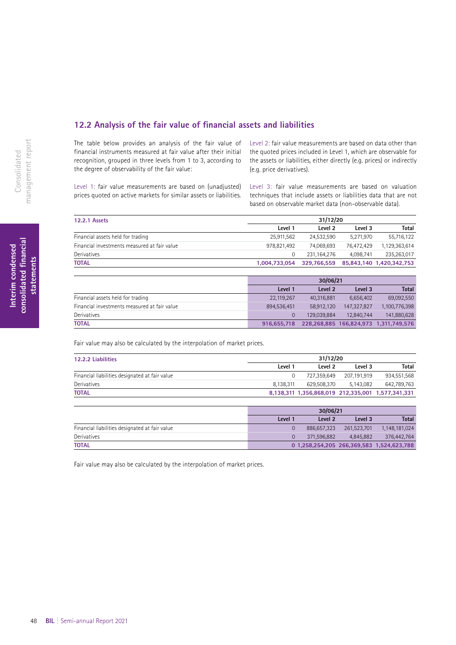### **12.2 Analysis of the fair value of fnancial assets and liabilities**

The table below provides an analysis of the fair value of financial instruments measured at fair value after their initial recognition, grouped in three levels from 1 to 3, according to the degree of observability of the fair value:

Level 1: fair value measurements are based on (unadjusted) prices quoted on active markets for similar assets or liabilities. Level 2: fair value measurements are based on data other than the quoted prices included in Level 1, which are observable for the assets or liabilities, either directly (e.g. prices) or indirectly (e.g. price derivatives).

Level 3: fair value measurements are based on valuation techniques that include assets or liabilities data that are not based on observable market data (non-observable data).

| <b>12.2.1 Assets</b>                         | 31/12/20      |             |            |                          |  |  |
|----------------------------------------------|---------------|-------------|------------|--------------------------|--|--|
|                                              | Level 1       | Level 2     | Level 3    | Total                    |  |  |
| Financial assets held for trading            | 25,911,562    | 24.532.590  | 5.271.970  | 55,716,122               |  |  |
| Financial investments measured at fair value | 978.821.492   | 74.069.693  | 76.472.429 | 1,129,363,614            |  |  |
| Derivatives                                  |               | 231.164.276 | 4.098.741  | 235,263,017              |  |  |
| <b>TOTAL</b>                                 | 1,004,733,054 | 329.766.559 |            | 85,843,140 1,420,342,753 |  |  |

|                                              | 30/06/21    |             |             |                                       |  |
|----------------------------------------------|-------------|-------------|-------------|---------------------------------------|--|
|                                              | Level 1     | Level 2     | Level 3     | <b>Total</b>                          |  |
| Financial assets held for trading            | 22,119,267  | 40.316.881  | 6.656.402   | 69,092,550                            |  |
| Financial investments measured at fair value | 894.536.451 | 58,912,120  | 147,327,827 | 1,100,776,398                         |  |
| Derivatives                                  |             | 129.039.884 | 12.840.744  | 141,880,628                           |  |
| TOTAL                                        | 916.655.718 |             |             | 228,268,885 166,824,973 1,311,749,576 |  |

Fair value may also be calculated by the interpolation of market prices.

| 12.2.2 Liabilities                             |           | 31/12/20    |             |                                                   |  |  |
|------------------------------------------------|-----------|-------------|-------------|---------------------------------------------------|--|--|
|                                                | Level 1   | Level 2     | Level 3     | Total                                             |  |  |
| Financial liabilities designated at fair value |           | 727.359.649 | 207.191.919 | 934,551,568                                       |  |  |
| Derivatives                                    | 8.138.311 | 629.508.370 | 5.143.082   | 642.789.763                                       |  |  |
| <b>TOTAL</b>                                   |           |             |             | 8,138,311 1,356,868,019 212,335,001 1,577,341,331 |  |  |

|                                                | 30/06/21 |             |             |                                           |  |  |
|------------------------------------------------|----------|-------------|-------------|-------------------------------------------|--|--|
|                                                | Level 1  | Level 2     | Level 3     | <b>Total</b>                              |  |  |
| Financial liabilities designated at fair value |          | 886.657.323 | 261.523.701 | 1.148.181.024                             |  |  |
| Derivatives                                    |          | 371.596.882 | 4.845.882   | 376,442,764                               |  |  |
| <b>TOTAL</b>                                   |          |             |             | 0 1,258,254,205 266,369,583 1,524,623,788 |  |  |

Fair value may also be calculated by the interpolation of market prices.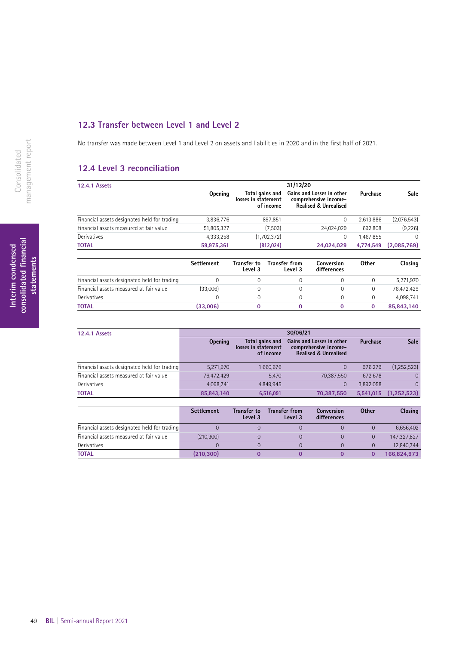### **12.3 Transfer between Level 1 and Level 2**

No transfer was made between Level 1 and Level 2 on assets and liabilities in 2020 and in the first half of 2021.

### **12.4 Level 3 reconciliation**

| <b>12.4.1 Assets</b>                         | 31/12/20   |                                                     |                                                                                        |           |             |  |  |  |
|----------------------------------------------|------------|-----------------------------------------------------|----------------------------------------------------------------------------------------|-----------|-------------|--|--|--|
|                                              | Opening    | Total gains and<br>losses in statement<br>of income | Gains and Losses in other<br>comprehensive income-<br><b>Realised &amp; Unrealised</b> | Purchase  | <b>Sale</b> |  |  |  |
| Financial assets designated held for trading | 3,836,776  | 897,851                                             | 0                                                                                      | 2,613,886 | (2,076,543) |  |  |  |
| Financial assets measured at fair value      | 51,805,327 | (7,503)                                             | 24.024.029                                                                             | 692,808   | (9,226)     |  |  |  |
| Derivatives                                  | 4,333,258  | (1,702,372)                                         | 0                                                                                      | 1,467,855 | 0           |  |  |  |
| <b>TOTAL</b>                                 | 59,975,361 | (812, 024)                                          | 24,024,029                                                                             | 4.774.549 | (2,085,769) |  |  |  |

|                                              | <b>Settlement</b> | <b>Transfer to</b><br>Level 3 | <b>Transfer from</b><br>Level 3 | Conversion<br>differences | Other | Closing    |
|----------------------------------------------|-------------------|-------------------------------|---------------------------------|---------------------------|-------|------------|
| Financial assets designated held for trading |                   |                               |                                 |                           |       | 5,271,970  |
| Financial assets measured at fair value      | (33,006)          |                               |                                 |                           |       | 76,472,429 |
| Derivatives                                  |                   |                               |                                 |                           |       | 4.098.741  |
| <b>TOTAL</b>                                 | (33,006)          |                               |                                 |                           |       | 85,843,140 |

| <b>12.4.1 Assets</b>                         | 30/06/21       |                                                     |                                                                                        |           |                |  |  |
|----------------------------------------------|----------------|-----------------------------------------------------|----------------------------------------------------------------------------------------|-----------|----------------|--|--|
|                                              | <b>Opening</b> | Total gains and<br>losses in statement<br>of income | Gains and Losses in other<br>comprehensive income-<br><b>Realised &amp; Unrealised</b> | Purchase  | Sale           |  |  |
| Financial assets designated held for trading | 5,271,970      | 1,660,676                                           |                                                                                        | 976,279   | (1, 252, 523)  |  |  |
| Financial assets measured at fair value      | 76,472,429     | 5.470                                               | 70,387,550                                                                             | 672.678   | $\overline{0}$ |  |  |
| Derivatives                                  | 4,098,741      | 4,849,945                                           | $\overline{0}$                                                                         | 3,892,058 | $\Omega$       |  |  |
| <b>TOTAL</b>                                 | 85,843,140     | 6,516,091                                           | 70,387,550                                                                             | 5,541,015 | (1.252.523)    |  |  |

|                                              | <b>Settlement</b> | Transfer to<br>Level 3 | <b>Transfer from</b><br>Level 3 | Conversion<br>differences | <b>Other</b> | <b>Closing</b> |
|----------------------------------------------|-------------------|------------------------|---------------------------------|---------------------------|--------------|----------------|
| Financial assets designated held for trading |                   |                        |                                 |                           |              | 6,656,402      |
| Financial assets measured at fair value      | (210, 300)        |                        |                                 |                           |              | 147,327,827    |
| Derivatives                                  |                   |                        |                                 |                           |              | 12,840,744     |
| <b>TOTAL</b>                                 | (210, 300)        |                        |                                 |                           |              | 166,824,973    |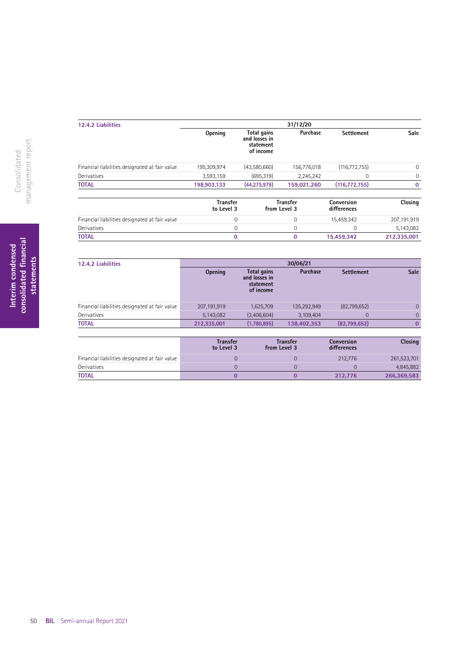| 12.4.2 Liabilities                             |                               |                                                        | 31/12/20                        |                           |             |
|------------------------------------------------|-------------------------------|--------------------------------------------------------|---------------------------------|---------------------------|-------------|
|                                                | Opening                       | Total gains<br>and losses in<br>statement<br>of income | Purchase                        | <b>Settlement</b>         | <b>Sale</b> |
| Financial liabilities designated at fair value | 195,309,974                   | (43,580,660)                                           | 156,776,018                     | (116, 772, 755)           | $\mathbf 0$ |
| Derivatives                                    | 3,593,159                     | (695, 319)                                             | 2,245,242                       | 0                         | $\mathbf 0$ |
| <b>TOTAL</b>                                   | 198,903,133                   | (44, 275, 979)                                         | 159.021.260                     | (116, 772, 755)           | $\mathbf 0$ |
|                                                | <b>Transfer</b><br>to Level 3 |                                                        | <b>Transfer</b><br>from Level 3 | Conversion<br>differences | Closing     |
| Financial liabilities designated at fair value | $\mathbf{0}$                  |                                                        | $\mathbf 0$                     | 15,459,342                | 207,191,919 |
| Derivatives                                    | 0                             |                                                        | $\mathbf 0$                     | 0                         | 5,143,082   |
| <b>TOTAL</b>                                   | $\bf{0}$                      |                                                        | $\bf{0}$                        | 15,459,342                | 212,335,001 |

| 12.4.2 Liabilities                             | 30/06/21       |                                                        |             |                   |                |  |  |
|------------------------------------------------|----------------|--------------------------------------------------------|-------------|-------------------|----------------|--|--|
|                                                | <b>Opening</b> | Total gains<br>and losses in<br>statement<br>of income | Purchase    | <b>Settlement</b> | <b>Sale</b>    |  |  |
| Financial liabilities designated at fair value | 207,191,919    | 1,625,709                                              | 135,292,949 | (82,799,652)      | $\overline{0}$ |  |  |
| Derivatives                                    | 5,143,082      | (3,406,604)                                            | 3,109,404   | 0                 | $\Omega$       |  |  |
| <b>TOTAL</b>                                   | 212,335,001    | (1,780,895)                                            | 138,402,353 | (82,799,652)      |                |  |  |
|                                                |                |                                                        |             |                   |                |  |  |

|                                                | <b>Transfer</b><br>to Level 3 | <b>Transfer</b><br>from Level 3 | <b>Conversion</b><br>differences | <b>Closing</b> |
|------------------------------------------------|-------------------------------|---------------------------------|----------------------------------|----------------|
| Financial liabilities designated at fair value |                               |                                 | 212,776                          | 261,523,701    |
| Derivatives                                    |                               |                                 |                                  | 4,845,882      |
| TOTAL                                          |                               |                                 | 212.776                          | 266,369,583    |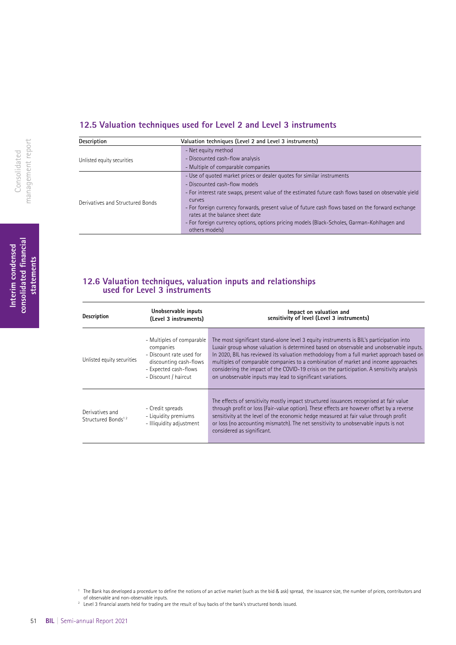### **12.5 Valuation techniques used for Level 2 and Level 3 instruments**

| Description                      | Valuation techniques (Level 2 and Level 3 instruments)                                                                               |
|----------------------------------|--------------------------------------------------------------------------------------------------------------------------------------|
|                                  | - Net equity method                                                                                                                  |
| Unlisted equity securities       | - Discounted cash-flow analysis                                                                                                      |
|                                  | - Multiple of comparable companies                                                                                                   |
|                                  | - Use of quoted market prices or dealer quotes for similar instruments                                                               |
|                                  | - Discounted cash-flow models                                                                                                        |
|                                  | - For interest rate swaps, present value of the estimated future cash flows based on observable yield                                |
| Derivatives and Structured Bonds | curves                                                                                                                               |
|                                  | - For foreign currency forwards, present value of future cash flows based on the forward exchange<br>rates at the balance sheet date |
|                                  | - For foreign currency options, options pricing models (Black-Scholes, Garman-Kohlhagen and<br>others models)                        |

### **12.6 Valuation techniques, valuation inputs and relationships used for Level 3 instruments**

| <b>Description</b>                                | Unobservable inputs<br>(Level 3 instruments)                                                                                                  | Impact on valuation and<br>sensitivity of level (Level 3 instruments)                                                                                                                                                                                                                                                                                                                                                                                                                                                            |
|---------------------------------------------------|-----------------------------------------------------------------------------------------------------------------------------------------------|----------------------------------------------------------------------------------------------------------------------------------------------------------------------------------------------------------------------------------------------------------------------------------------------------------------------------------------------------------------------------------------------------------------------------------------------------------------------------------------------------------------------------------|
| Unlisted equity securities                        | - Multiples of comparable<br>companies<br>- Discount rate used for<br>discounting cash-flows<br>- Expected cash-flows<br>- Discount / haircut | The most significant stand-alone level 3 equity instruments is BIL's participation into<br>Luxair group whose valuation is determined based on observable and unobservable inputs.<br>In 2020, BIL has reviewed its valuation methodology from a full market approach based on<br>multiples of comparable companies to a combination of market and income approaches<br>considering the impact of the COVID-19 crisis on the participation. A sensitivity analysis<br>on unobservable inputs may lead to significant variations. |
| Derivatives and<br>Structured Bonds <sup>12</sup> | - Credit spreads<br>- Liquidity premiums<br>- Illiquidity adjustment                                                                          | The effects of sensitivity mostly impact structured issuances recognised at fair value<br>through profit or loss (Fair-value option). These effects are however offset by a reverse<br>sensitivity at the level of the economic hedge measured at fair value through profit<br>or loss (no accounting mismatch). The net sensitivity to unobservable inputs is not<br>considered as significant.                                                                                                                                 |

<sup>2</sup> Level 3 fnancial assets held for trading are the result of buy backs of the bank's structured bonds issued.

**Interim condensed consolidated fnancial statements**

Interim condensed<br>consolidated financial<br>statements

<sup>&</sup>lt;sup>1</sup> The Bank has developed a procedure to define the notions of an active market (such as the bid & ask) spread, the issuance size, the number of prices, contributors and of observable and non-observable inputs.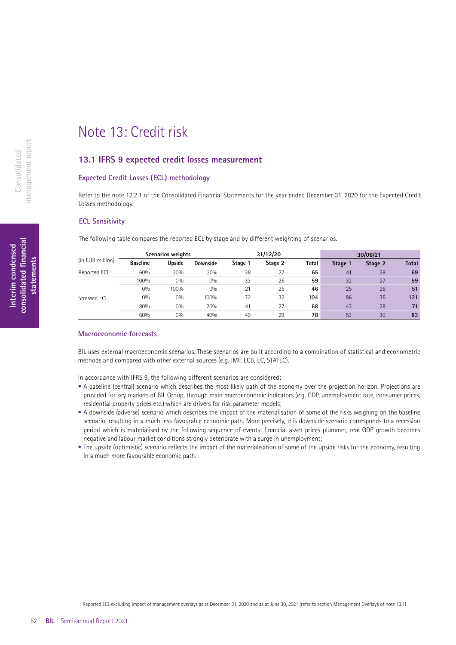## Note 13: Credit risk

### **13.1 IFRS 9 expected credit losses measurement**

### **Expected Credit Losses (ECL) methodology**

Refer to the note 12.2.1 of the Consolidated Financial Statements for the year ended December 31, 2020 for the Expected Credit Losses methodology.

### **ECL Sensitivity**

The following table compares the reported ECL by stage and by different weighting of scenarios.

|                           |                 | Scenarios weights |          |         | 31/12/20 |       |         | 30/06/21 |              |
|---------------------------|-----------------|-------------------|----------|---------|----------|-------|---------|----------|--------------|
| (in EUR million)          | <b>Baseline</b> | Upside            | Downside | Stage 1 | Stage 2  | Total | Stage 1 | Stage 2  | <b>Total</b> |
| Reported ECL <sup>1</sup> | 60%             | 20%               | 20%      | 38      | 27       | 65    | 41      | 28       | 69           |
|                           | 100%            | 0%                | 0%       | 33      | 26       | 59    | 32      | 27       | 59           |
|                           | 0%              | 100%              | 0%       | 21      | 25       | 46    | 25      | 26       | 51           |
| Stressed ECL              | 0%              | 0%                | 100%     | 72      | 32       | 104   | 86      | 35       | 121          |
|                           | 80%             | 0%                | 20%      | 41      | 27       | 68    | 43      | 28       | 71           |
|                           | 60%             | 0%                | 40%      | 49      | 29       | 78    | 53      | 30       | 83           |

### **Macroeconomic forecasts**

BIL uses external macroeconomic scenarios. These scenarios are built according to a combination of statistical and econometric methods and compared with other external sources (e.g. IMF, ECB, EC, STATEC).

In accordance with IFRS 9, the following different scenarios are considered:

- A baseline (central) scenario which describes the most likely path of the economy over the projection horizon. Projections are provided for key markets of BIL Group, through main macroeconomic indicators (e.g. GDP, unemployment rate, consumer prices, residential property prices etc.) which are drivers for risk parameter models;
- A downside (adverse) scenario which describes the impact of the materialisation of some of the risks weighing on the baseline scenario, resulting in a much less favourable economic path. More precisely, this downside scenario corresponds to a recession period which is materialised by the following sequence of events: financial asset prices plummet, real GDP growth becomes negative and labour market conditions strongly deteriorate with a surge in unemployment;
- The upside (optimistic) scenario reflects the impact of the materialisation of some of the upside risks for the economy, resulting in a much more favourable economic path.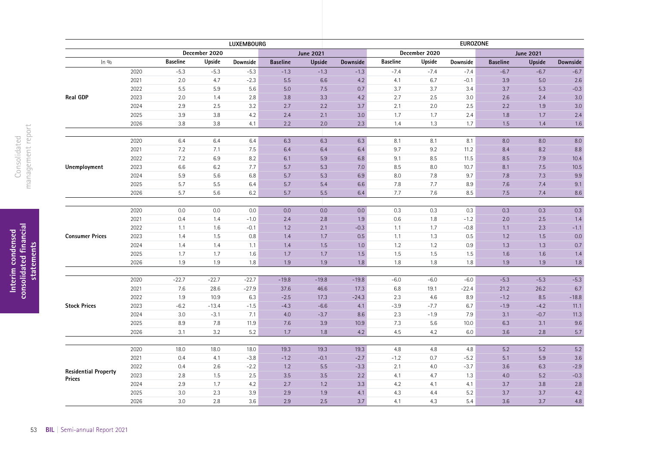|                             | <b>EUROZONE</b><br><b>LUXEMBOURG</b> |                 |               |          |                 |                  |          |                 |               |          |                  |                  |                  |
|-----------------------------|--------------------------------------|-----------------|---------------|----------|-----------------|------------------|----------|-----------------|---------------|----------|------------------|------------------|------------------|
|                             |                                      |                 | December 2020 |          |                 | <b>June 2021</b> |          |                 | December 2020 |          |                  | <b>June 2021</b> |                  |
| ln 9/0                      |                                      | <b>Baseline</b> | Upside        | Downside | <b>Baseline</b> | <b>Upside</b>    | Downside | <b>Baseline</b> | Upside        | Downside | <b>Baseline</b>  | <b>Upside</b>    | Downside         |
|                             | 2020                                 | $-5.3$          | $-5.3$        | $-5.3$   | $-1.3$          | $-1.3$           | $-1.3$   | $-7.4$          | $-7.4$        | $-7.4$   | $-6.7$           | $-6.7$           | $-6.7$           |
|                             | 2021                                 | 2.0             | 4.7           | $-2.3$   | 5.5             | 6.6              | 4.2      | 4.1             | 6.7           | $-0.1$   | 3.9              | 5.0              | 2.6              |
|                             | 2022                                 | $5.5\,$         | 5.9           | 5.6      | 5.0             | 7.5              | 0.7      | 3.7             | 3.7           | 3.4      | 3.7              | 5.3              | $-0.3$           |
| <b>Real GDP</b>             | 2023                                 | $2.0\,$         | 1.4           | 2.8      | 3.8             | 3.3              | 4.2      | 2.7             | 2.5           | 3.0      | 2.6              | 2.4              | 3.0              |
|                             | 2024                                 | 2.9             | 2.5           | 3.2      | 2.7             | 2.2              | 3.7      | 2.1             | 2.0           | $2.5\,$  | 2.2              | 1.9              | 3.0              |
|                             | 2025                                 | 3.9             | $3.8\,$       | 4.2      | 2.4             | 2.1              | 3.0      | 1.7             | 1.7           | 2.4      | 1.8              | 1.7              | 2.4              |
|                             | 2026                                 | 3.8             | 3.8           | 4.1      | 2.2             | 2.0              | 2.3      | 1.4             | 1.3           | 1.7      | 1.5              | 1.4              | $1.6\,$          |
|                             | 2020                                 | 6.4             | 6.4           | 6.4      | 6.3             | 6.3              | 6.3      | 8.1             | 8.1           | 8.1      | 8.0              | 8.0              | 8.0              |
|                             | 2021                                 | 7.2             | 7.1           | 7.5      | 6.4             | $6.4\,$          | 6.4      | 9.7             | 9.2           | 11.2     | 8.4              | 8.2              | $\,8.8$          |
|                             | 2022                                 | 7.2             | 6.9           | 8.2      | 6.1             | 5.9              | 6.8      | 9.1             | 8.5           | 11.5     | 8.5              | 7.9              | 10.4             |
| Unemployment                | 2023                                 | 6.6             | 6.2           | 7.7      | 5.7             | 5.3              | 7.0      | 8.5             | $8.0\,$       | 10.7     | 8.1              | 7.5              | 10.5             |
|                             | 2024                                 | 5.9             | 5.6           | $6.8\,$  | 5.7             | 5.3              | $6.9\,$  | 8.0             | 7.8           | 9.7      | 7.8              | 7.3              | $9.9\,$          |
|                             | 2025                                 | 5.7             | $5.5\,$       | 6.4      | 5.7             | 5.4              | 6.6      | 7.8             | 7.7           | 8.9      | 7.6              | 7.4              | 9.1              |
|                             | 2026                                 | 5.7             | 5.6           | 6.2      | 5.7             | 5.5              | 6.4      | 7.7             | 7.6           | 8.5      | 7.5              | 7.4              | $8.6\,$          |
|                             |                                      |                 |               |          |                 |                  |          |                 |               |          |                  |                  |                  |
|                             | 2020                                 | $0.0\,$         | $0.0\,$       | 0.0      | 0.0             | 0.0              | 0.0      | 0.3             | 0.3           | 0.3      | 0.3              | 0.3              | 0.3              |
|                             | 2021                                 | 0.4             | 1.4           | $-1.0$   | 2.4             | $2.8\,$          | 1.9      | 0.6             | 1.8           | $-1.2$   | $2.0\,$          | $2.5\,$          | 1.4              |
|                             | 2022                                 | 1.1             | 1.6           | $-0.1$   | 1.2             | 2.1              | $-0.3$   | 1.1             | 1.7           | $-0.8$   | 1.1              | 2.3              | $-1.1$           |
| <b>Consumer Prices</b>      | 2023                                 | 1.4             | 1.5           | 0.8      | 1.4             | 1.7              | 0.5      | 1.1             | 1.3           | 0.5      | 1.2              | 1.5              | 0.0              |
|                             | 2024                                 | 1.4             | 1.4           | 1.1      | 1.4             | 1.5              | 1.0      | $1.2\,$         | 1.2           | 0.9      | 1.3              | 1.3              | 0.7              |
|                             | 2025                                 | 1.7             | 1.7           | 1.6      | 1.7             | 1.7              | 1.5      | 1.5             | 1.5           | 1.5      | 1.6              | 1.6              | 1.4              |
|                             | 2026                                 | 1.9             | 1.9           | 1.8      | 1.9             | 1.9              | 1.8      | 1.8             | 1.8           | 1.8      | 1.9              | 1.9              | 1.8              |
|                             | 2020                                 | $-22.7$         | $-22.7$       | $-22.7$  | $-19.8$         | $-19.8$          | $-19.8$  | $-6.0$          | $-6.0$        | $-6.0$   | $-5.3$           | $-5.3$           | $-5.3$           |
|                             | 2021                                 | 7.6             | 28.6          | $-27.9$  | 37.6            | 46.6             | 17.3     | 6.8             | 19.1          | $-22.4$  | 21.2             | 26.2             | $6.7\,$          |
|                             | 2022                                 | 1.9             | 10.9          | 6.3      | $-2.5$          | 17.3             | $-24.3$  | 2.3             | 4.6           | 8.9      | $-1.2$           | $8.5\,$          | $-18.8$          |
| <b>Stock Prices</b>         | 2023                                 | $-6.2$          | $-13.4$       | $-1.5$   | $-4.3$          | $-6.6$           | 4.1      | $-3.9$          | $-7.7$        | 6.7      | $-1.9$           | $-4.2$           | 11.1             |
|                             | 2024                                 | 3.0             | $-3.1$        | 7.1      | 4.0             | $-3.7$           | 8.6      | $2.3\,$         | $-1.9$        | 7.9      | 3.1              | $-0.7$           | 11.3             |
|                             | 2025                                 | 8.9             | 7.8           | 11.9     | 7.6             | 3.9              | 10.9     | 7.3             | 5.6           | 10.0     | 6.3              | 3.1              | 9.6              |
|                             | 2026                                 | 3.1             | 3.2           | 5.2      | 1.7             | 1.8              | 4.2      | 4.5             | 4.2           | 6.0      | 3.6              | 2.8              | 5.7              |
|                             |                                      |                 |               |          |                 |                  |          |                 |               |          |                  |                  |                  |
|                             | 2020                                 | 18.0            | 18.0          | 18.0     | 19.3            | 19.3             | 19.3     | 4.8             | 4.8           | $4.8\,$  | $\overline{5.2}$ | 5.2              | $\overline{5.2}$ |
|                             | 2021                                 | 0.4             | 4.1           | $-3.8$   | $-1.2$          | $-0.1$           | $-2.7$   | $-1.2$          | 0.7           | $-5.2$   | 5.1              | 5.9              | 3.6              |
| <b>Residential Property</b> | 2022                                 | 0.4             | 2.6           | $-2.2$   | 1.2             | 5.5              | $-3.3$   | 2.1             | 4.0           | $-3.7$   | 3.6              | 6.3              | $-2.9$           |
| <b>Prices</b>               | 2023                                 | 2.8             | 1.5           | 2.5      | 3.5             | 3.5              | 2.2      | 4.1             | 4.7           | 1.3      | 4.0              | 5.2              | $-0.3$           |
|                             | 2024                                 | 2.9             | 1.7           | 4.2      | 2.7             | 1.2              | 3.3      | 4.2             | 4.1           | 4.1      | 3.7              | 3.8              | $2.8\,$          |
|                             | 2025                                 | 3.0             | 2.3           | 3.9      | 2.9             | 1.9              | 4.1      | 4.3             | 4.4           | 5.2      | 3.7              | 3.7              | 4.2              |
|                             | 2026                                 | 3.0             | 2.8           | 3.6      | 2.9             | 2.5              | 3.7      | 4.1             | 4.3           | 5.4      | 3.6              | 3.7              | 4.8              |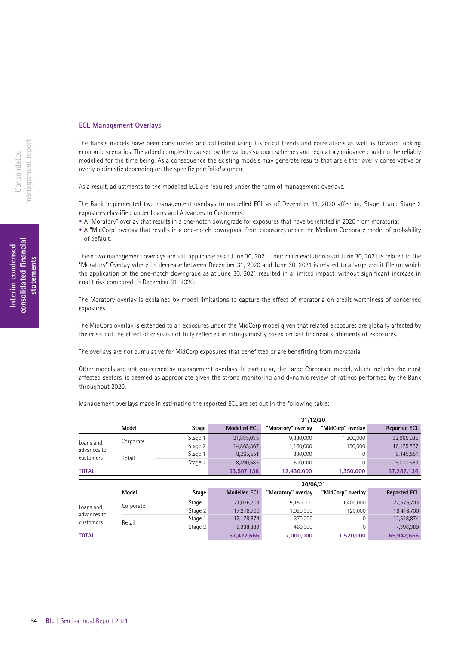### **ECL Management Overlays**

The Bank's models have been constructed and calibrated using historical trends and correlations as well as forward looking economic scenarios. The added complexity caused by the various support schemes and regulatory guidance could not be reliably modelled for the time being. As a consequence the existing models may generate results that are either overly conservative or overly optimistic depending on the specific portfolio/segment.

As a result, adjustments to the modelled ECL are required under the form of management overlays.

The Bank implemented two management overlays to modelled ECL as of December 31, 2020 affecting Stage 1 and Stage 2 exposures classified under Loans and Advances to Customers:

- A "Moratory" overlay that results in a one-notch downgrade for exposures that have benefitted in 2020 from moratoria;
- A "MidCorp" overlay that results in a one-notch downgrade from exposures under the Medium Corporate model of probability of default.

These two management overlays are still applicable as at June 30, 2021. Their main evolution as at June 30, 2021 is related to the "Moratory" Overlay where its decrease between December 31, 2020 and June 30, 2021 is related to a large credit file on which the application of the one-notch downgrade as at June 30, 2021 resulted in a limited impact, without significant increase in credit risk compared to December 31, 2020.

The Moratory overlay is explained by model limitations to capture the effect of moratoria on credit worthiness of concerned exposures.

The MidCorp overlay is extended to all exposures under the MidCorp model given that related exposures are globally affected by the crisis but the effect of crisis is not fully reflected in ratings mostly based on last financial statements of exposures.

The overlays are not cumulative for MidCorp exposures that benefitted or are benefitting from moratoria.

Other models are not concerned by management overlays. In particular, the Large Corporate model, which includes the most affected sectors, is deemed as appropriate given the strong monitoring and dynamic review of ratings performed by the Bank throughout 2020.

**31/12/20**

|                          | Model     | Stage   | <b>Modelled ECL</b> | "Moratory" overlay | "MidCorp" overlay | <b>Reported ECL</b> |
|--------------------------|-----------|---------|---------------------|--------------------|-------------------|---------------------|
|                          | Corporate | Stage 1 | 21,885,035          | 9,880,000          | 1,200,000         | 32,965,035          |
| Loans and                |           | Stage 2 | 14,865,867          | 1,160,000          | 150,000           | 16,175,867          |
| advances to<br>customers | Retail    | Stage 1 | 8,265,551           | 880,000            | 0                 | 9,145,551           |
|                          |           | Stage 2 | 8,490,683           | 510.000            | 0                 | 9,000,683           |
| <b>TOTAL</b>             |           |         | 53,507,136          | 12,430,000         | 1,350,000         | 67,287,136          |
|                          |           |         |                     |                    |                   |                     |
|                          |           |         |                     | 30/06/21           |                   |                     |
|                          | Model     | Stage   | <b>Modelled ECL</b> | "Moratory" overlay | "MidCorp" overlay | <b>Reported ECL</b> |
|                          | Corporate | Stage 1 | 21,026,703          | 5,150,000          | 1,400,000         | 27,576,703          |
| Loans and                |           | Stage 2 | 17,278,700          | 1,020,000          | 120,000           | 18,418,700          |
| advances to<br>customers | Retail    | Stage 1 | 12,178,874          | 370,000            | $\mathbf 0$       | 12,548,874          |
|                          |           | Stage 2 | 6,938,389           | 460,000            | $\mathbf 0$       | 7,398,389           |
| <b>TOTAL</b>             |           |         | 57.422.666          | 7.000.000          | 1.520.000         | 65.942.666          |

Management overlays made in estimating the reported ECL are set out in the following table: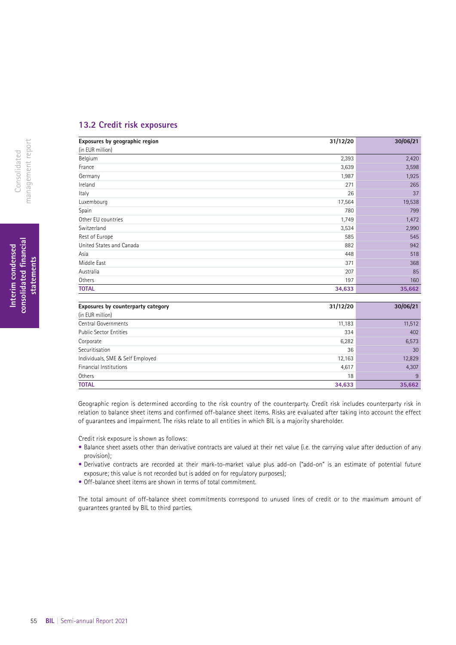### **13.2 Credit risk exposures**

| Exposures by geographic region | 31/12/20 | 30/06/21 |
|--------------------------------|----------|----------|
| (in EUR million)               |          |          |
| Belgium                        | 2,393    | 2,420    |
| France                         | 3,639    | 3,598    |
| Germany                        | 1,987    | 1,925    |
| Ireland                        | 271      | 265      |
| Italy                          | 26       | 37       |
| Luxembourg                     | 17,564   | 19,538   |
| Spain                          | 780      | 799      |
| Other EU countries             | 1,749    | 1,472    |
| Switzerland                    | 3,534    | 2,990    |
| Rest of Europe                 | 585      | 545      |
| United States and Canada       | 882      | 942      |
| Asia                           | 448      | 518      |
| Middle East                    | 371      | 368      |
| Australia                      | 207      | 85       |
| Others                         | 197      | 160      |
| <b>TOTAL</b>                   | 34,633   | 35,662   |

| Exposures by counterparty category | 31/12/20 | 30/06/21 |
|------------------------------------|----------|----------|
| (in EUR million)                   |          |          |
| Central Governments                | 11,183   | 11,512   |
| <b>Public Sector Entities</b>      | 334      | 402      |
| Corporate                          | 6,282    | 6,573    |
| Securitisation                     | 36       | 30       |
| Individuals, SME & Self Employed   | 12,163   | 12,829   |
| Financial Institutions             | 4,617    | 4,307    |
| Others                             | 18       | 9        |
| <b>TOTAL</b>                       | 34,633   | 35,662   |

Geographic region is determined according to the risk country of the counterparty. Credit risk includes counterparty risk in relation to balance sheet items and confirmed off-balance sheet items. Risks are evaluated after taking into account the effect of guarantees and impairment. The risks relate to all entities in which BIL is a majority shareholder.

Credit risk exposure is shown as follows:

- Balance sheet assets other than derivative contracts are valued at their net value (i.e. the carrying value after deduction of any provision);
- Derivative contracts are recorded at their mark-to-market value plus add-on ("add-on" is an estimate of potential future exposure; this value is not recorded but is added on for regulatory purposes);
- Off-balance sheet items are shown in terms of total commitment.

The total amount of off-balance sheet commitments correspond to unused lines of credit or to the maximum amount of guarantees granted by BIL to third parties.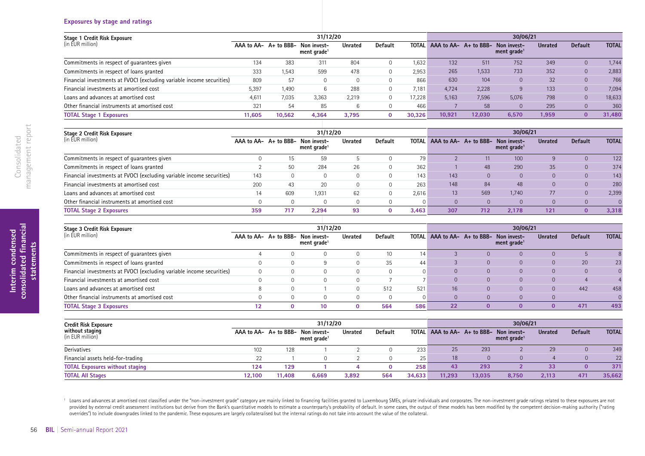### **Exposures by stage and ratings**

| Stage 1 Credit Risk Exposure                                          |        |        | 31/12/20                                                     |                |                |        | 30/06/21 |        |                                                              |                |                |              |
|-----------------------------------------------------------------------|--------|--------|--------------------------------------------------------------|----------------|----------------|--------|----------|--------|--------------------------------------------------------------|----------------|----------------|--------------|
| (in EUR million)                                                      |        |        | AAA to AA- A+ to BBB- Non invest-<br>ment grade <sup>1</sup> | <b>Unrated</b> | <b>Default</b> | TOTAL  |          |        | AAA to AA- A+ to BBB- Non invest-<br>ment grade <sup>1</sup> | <b>Unrated</b> | <b>Default</b> | <b>TOTAL</b> |
| Commitments in respect of quarantees given                            | 134    | 383    | 311                                                          | 804            |                | 1.632  | 132      | 511    | 752                                                          | 349            | $\Omega$       | 1.744        |
| Commitments in respect of loans granted                               | 333    | 1,543  | 599                                                          | 478            |                | 2,953  | 265      | 1,533  | 733                                                          | 352            | $\overline{0}$ | 2,883        |
| Financial investments at FVOCI (excluding variable income securities) | 809    | 57     |                                                              |                |                | 866    | 630      | 104    |                                                              | 32             |                | 766          |
| Financial investments at amortised cost                               | 5,397  | 1,490  |                                                              | 288            |                | 7.181  | 4.724    | 2,228  |                                                              | 133            | $\Omega$       | 7,094        |
| Loans and advances at amortised cost                                  | 4.611  | 7,035  | 3,363                                                        | 2,219          |                | 17.228 | 5.163    | 7,596  | 5,076                                                        | 798            | $\Omega$       | 18,633       |
| Other financial instruments at amortised cost                         | 321    | 54     | 85                                                           |                |                | 466    |          | 58     |                                                              | 295            |                | 360          |
| <b>TOTAL Stage 1 Exposures</b>                                        | 11.605 | 10.562 | 4,364                                                        | 3,795          | $\mathbf{0}$   | 30.326 | 10.921   | 12.030 | 6,570                                                        | 1,959          | $\Omega$       | 31,480       |

| Stage 2 Credit Risk Exposure                                          |     |     | 31/12/20                                                     |                |                |       |     |     | 30/06/21                                                     |                |                |              |
|-----------------------------------------------------------------------|-----|-----|--------------------------------------------------------------|----------------|----------------|-------|-----|-----|--------------------------------------------------------------|----------------|----------------|--------------|
| (in EUR million)                                                      |     |     | AAA to AA- A+ to BBB- Non invest-<br>ment grade <sup>1</sup> | <b>Unrated</b> | <b>Default</b> | TOTAL |     |     | AAA to AA- A+ to BBB- Non invest-<br>ment grade <sup>1</sup> | <b>Unrated</b> | <b>Default</b> | <b>TOTAL</b> |
| Commitments in respect of quarantees given                            |     |     | 59                                                           |                |                | 79    |     |     | 100                                                          |                |                | 122          |
| Commitments in respect of loans granted                               |     | 50  | 284                                                          | 26             |                | 362   |     | 48  | 290                                                          | 35             |                | 374          |
| Financial investments at FVOCI (excluding variable income securities) | 143 |     |                                                              |                |                | 143   | 143 |     |                                                              |                |                | 143          |
| Financial investments at amortised cost                               | 200 | 43  | 20                                                           |                |                | 263   | 148 | 84  | 48                                                           |                |                | 280          |
| Loans and advances at amortised cost                                  | 14  | 609 | 1,931                                                        | 62             |                | 2.616 | 13  | 569 | 1.740                                                        | 77             |                | 2,399        |
| Other financial instruments at amortised cost                         |     |     |                                                              |                |                |       |     |     |                                                              |                |                |              |
| <b>TOTAL Stage 2 Exposures</b>                                        | 359 | 717 | 2.294                                                        | 93             |                | 3.463 | 307 | 712 | 2.178                                                        | 121            |                | 3,318        |

| Stage 3 Credit Risk Exposure                                          |    | 31/12/20                                                     |                |         |     | 30/06/21 |  |                                                                    |                |                |              |
|-----------------------------------------------------------------------|----|--------------------------------------------------------------|----------------|---------|-----|----------|--|--------------------------------------------------------------------|----------------|----------------|--------------|
| (in EUR million)                                                      |    | AAA to AA- A+ to BBB- Non invest-<br>ment grade <sup>1</sup> | <b>Unrated</b> | Default |     |          |  | TOTAL AAA to AA- A+ to BBB- Non invest-<br>ment grade <sup>1</sup> | <b>Unrated</b> | <b>Default</b> | <b>TOTAL</b> |
| Commitments in respect of quarantees given                            |    |                                                              |                |         | 14  |          |  |                                                                    |                |                |              |
| Commitments in respect of loans granted                               |    |                                                              |                | 35      | 44  |          |  |                                                                    |                | 20             | 23           |
| Financial investments at FVOCI (excluding variable income securities) |    |                                                              |                |         |     | $\Omega$ |  |                                                                    |                |                |              |
| Financial investments at amortised cost                               |    |                                                              |                |         |     |          |  |                                                                    |                |                |              |
| Loans and advances at amortised cost                                  |    |                                                              |                | 512     | 521 | 16       |  |                                                                    |                | 442            | 458          |
| Other financial instruments at amortised cost                         |    |                                                              |                |         |     | $\Omega$ |  |                                                                    |                |                |              |
| <b>TOTAL Stage 3 Exposures</b>                                        | -0 |                                                              |                | 564     | 586 | 22       |  |                                                                    |                | 471            | 493          |

| <b>Credit Risk Exposure</b>            |        | 31/12/20 |                                                              |                |         |        |        |        | 30/06/21                                                           |                |                |              |  |
|----------------------------------------|--------|----------|--------------------------------------------------------------|----------------|---------|--------|--------|--------|--------------------------------------------------------------------|----------------|----------------|--------------|--|
| without staging<br>(in EUR million)    |        |          | AAA to AA- A+ to BBB- Non invest-<br>ment grade <sup>1</sup> | <b>Unrated</b> | Default |        |        |        | TOTAL AAA to AA- A+ to BBB- Non invest-<br>ment grade <sup>1</sup> | <b>Unrated</b> | <b>Default</b> | <b>TOTAL</b> |  |
| Derivatives                            | 102    | 128      |                                                              |                |         | 233    | 25     | 293    |                                                                    | 29             |                | 349          |  |
| Financial assets held-for-trading      | 22     |          |                                                              |                |         | 25     | 18     |        |                                                                    |                |                | 22           |  |
| <b>TOTAL Exposures without staging</b> | 124    | 129      |                                                              |                |         | 258    | 43     | 293    |                                                                    | 33             |                | 371          |  |
| <b>TOTAL All Stages</b>                | 12.100 | 11,408   | 6,669                                                        | 3,892          | 564     | 34,633 | 11,293 | 13.035 | 8,750                                                              | 2,113          | 471            | 35,662       |  |

<sup>1</sup> Loans and advances at amortised cost classified under the "non-investment grade" category are mainly linked to financing facilities granted to Luxembourg SMEs, private individuals and corporates. The non-investment gra provided by external credit assessment institutions but derive from the Bank's quantitative models to estimate a counterparty's probability of default. In some cases, the output of these models has been modified by the com overrides") to include downgrades linked to the pandemic. These exposures are largely collateralised but the internal ratings do not take into account the value of the collateral.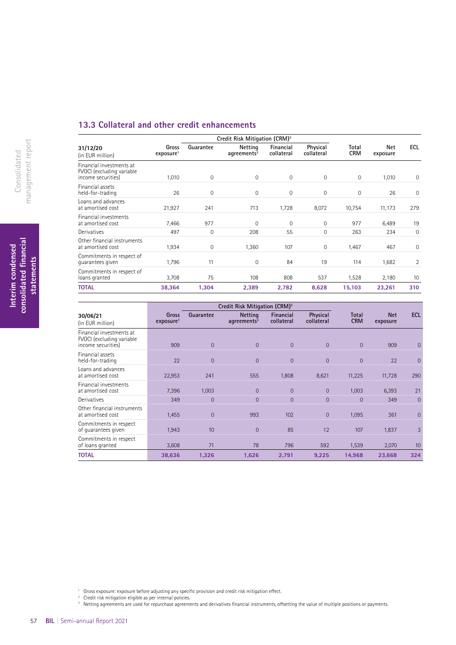### **13.3 Collateral and other credit enhancements**

|                                                                             |                                |              | Credit Risk Mitigation (CRM) <sup>2</sup> |                         |                        |                     |                 |     |
|-----------------------------------------------------------------------------|--------------------------------|--------------|-------------------------------------------|-------------------------|------------------------|---------------------|-----------------|-----|
| 31/12/20<br>(in EUR million)                                                | Gross<br>exposure <sup>1</sup> | Guarantee    | Netting<br>$ag$ reements $3$              | Financial<br>collateral | Physical<br>collateral | Total<br><b>CRM</b> | Net<br>exposure | ECL |
| Financial investments at<br>FVOCI (excluding variable<br>income securities) | 1,010                          | $\mathbf{0}$ | $\mathbf 0$                               | $\mathbf 0$             | 0                      | $\mathbf 0$         | 1,010           | 0   |
| Financial assets<br>held-for-trading                                        | 26                             | 0            | $\mathbf 0$                               | $\mathbf 0$             | $\mathbf{0}$           | $\mathbf{0}$        | 26              | 0   |
| Loans and advances<br>at amortised cost                                     | 21,927                         | 241          | 713                                       | 1,728                   | 8,072                  | 10,754              | 11,173          | 279 |
| Financial investments<br>at amortised cost                                  | 7,466                          | 977          | $\Omega$                                  | 0                       | $\Omega$               | 977                 | 6,489           | 19  |
| Derivatives                                                                 | 497                            | 0            | 208                                       | 55                      | 0                      | 263                 | 234             | 0   |
| Other financial instruments<br>at amortised cost                            | 1,934                          | 0            | 1,360                                     | 107                     | 0                      | 1,467               | 467             | 0   |
| Commitments in respect of<br>quarantees given                               | 1,796                          | 11           | $\mathbf 0$                               | 84                      | 19                     | 114                 | 1,682           | 2   |
| Commitments in respect of<br>loans granted                                  | 3,708                          | 75           | 108                                       | 808                     | 537                    | 1,528               | 2,180           | 10  |
| <b>TOTAL</b>                                                                | 38,364                         | 1,304        | 2,389                                     | 2,782                   | 8,628                  | 15,103              | 23,261          | 310 |

|                                                                             |                                | Credit Risk Mitigation (CRM) <sup>2</sup> |                                  |                         |                        |                     |                        |                |
|-----------------------------------------------------------------------------|--------------------------------|-------------------------------------------|----------------------------------|-------------------------|------------------------|---------------------|------------------------|----------------|
| 30/06/21<br>(in EUR million)                                                | Gross<br>exposure <sup>1</sup> | Guarantee                                 | <b>Netting</b><br>agreements $3$ | Financial<br>collateral | Physical<br>collateral | Total<br><b>CRM</b> | <b>Net</b><br>exposure | ECL            |
| Financial investments at<br>FVOCI (excluding variable<br>income securities) | 909                            | $\overline{0}$                            | $\Omega$                         | $\overline{0}$          | $\overline{0}$         | $\overline{0}$      | 909                    | $\mathbf{0}$   |
| Financial assets<br>held-for-trading                                        | 22                             | $\Omega$                                  | $\Omega$                         | $\Omega$                | $\Omega$               | $\Omega$            | 22                     | $\Omega$       |
| Loans and advances<br>at amortised cost                                     | 22,953                         | 241                                       | 555                              | 1,808                   | 8,621                  | 11,225              | 11,728                 | 290            |
| Financial investments<br>at amortised cost                                  | 7,396                          | 1,003                                     | $\Omega$                         | $\Omega$                | $\overline{0}$         | 1,003               | 6,393                  | 21             |
| Derivatives                                                                 | 349                            | $\overline{0}$                            | $\Omega$                         | $\overline{0}$          | $\overline{0}$         | $\Omega$            | 349                    | $\mathbf{0}$   |
| Other financial instruments<br>at amortised cost                            | 1,455                          | $\overline{0}$                            | 993                              | 102                     | $\overline{0}$         | 1,095               | 361                    | $\overline{0}$ |
| Commitments in respect<br>of quarantees given                               | 1,943                          | 10                                        | $\overline{0}$                   | 85                      | 12                     | 107                 | 1,837                  | 3              |
| Commitments in respect<br>of loans granted                                  | 3,608                          | 71                                        | 78                               | 796                     | 592                    | 1,539               | 2,070                  | 10             |
| <b>TOTAL</b>                                                                | 38,636                         | 1,326                                     | 1,626                            | 2,791                   | 9,225                  | 14,968              | 23,668                 | 324            |

<sup>1</sup> Gross exposure: exposure before adjusting any specifc provision and credit risk mitigation efect.

<sup>2</sup> Credit risk mitigation eligible as per internal policies.

<sup>3</sup> Netting agreements are used for repurchase agreements and derivatives fnancial instruments, ofsetting the value of multiple positions or payments.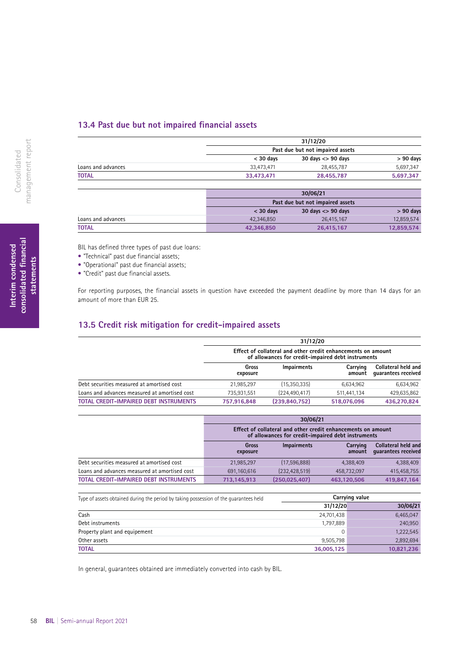### **13.4 Past due but not impaired fnancial assets**

|                    | 31/12/20<br>Past due but not impaired assets |                         |             |  |  |
|--------------------|----------------------------------------------|-------------------------|-------------|--|--|
|                    |                                              |                         |             |  |  |
|                    | $<$ 30 davs                                  | $30$ days $\lt$ 90 days | $> 90$ days |  |  |
| Loans and advances | 33.473.471                                   | 28.455.787              | 5.697.347   |  |  |
| <b>TOTAL</b>       | 33.473.471                                   | 28.455.787              | 5,697,347   |  |  |
|                    |                                              |                         |             |  |  |

|                    |             | 30/06/21                         |             |  |  |  |  |
|--------------------|-------------|----------------------------------|-------------|--|--|--|--|
|                    |             | Past due but not impaired assets |             |  |  |  |  |
|                    | $<$ 30 days | $30$ days $\leq$ 90 days         | $> 90$ days |  |  |  |  |
| Loans and advances | 42.346.850  | 26.415.167                       | 12,859,574  |  |  |  |  |
| <b>TOTAL</b>       | 42,346,850  | 26,415,167                       | 12,859,574  |  |  |  |  |

BIL has defined three types of past due loans:

- "Technical" past due financial assets;
- "Operational" past due financial assets;
- "Credit" past due financial assets.

For reporting purposes, the financial assets in question have exceeded the payment deadline by more than 14 days for an amount of more than EUR 25.

### **13.5 Credit risk mitigation for credit-impaired assets**

|                                               | 31/12/20                                                                                                           |                    |                    |                                            |  |  |  |
|-----------------------------------------------|--------------------------------------------------------------------------------------------------------------------|--------------------|--------------------|--------------------------------------------|--|--|--|
|                                               | Effect of collateral and other credit enhancements on amount<br>of allowances for credit-impaired debt instruments |                    |                    |                                            |  |  |  |
|                                               | Gross<br>exposure                                                                                                  | <b>Impairments</b> | Carrying<br>amount | Collateral held and<br>quarantees received |  |  |  |
| Debt securities measured at amortised cost    | 21.985.297                                                                                                         | (15,350,335)       | 6,634,962          | 6,634,962                                  |  |  |  |
| Loans and advances measured at amortised cost | 735,931,551                                                                                                        | (224, 490, 417)    | 511,441,134        | 429,635,862                                |  |  |  |
| <b>TOTAL CREDIT-IMPAIRED DEBT INSTRUMENTS</b> | 757,916,848                                                                                                        | (239, 840, 752)    | 518,076,096        | 436,270,824                                |  |  |  |

|                                               | 30/06/21          |                 |                                                                                                                    |                                            |  |  |  |
|-----------------------------------------------|-------------------|-----------------|--------------------------------------------------------------------------------------------------------------------|--------------------------------------------|--|--|--|
|                                               |                   |                 | Effect of collateral and other credit enhancements on amount<br>of allowances for credit-impaired debt instruments |                                            |  |  |  |
|                                               | Gross<br>exposure | Impairments     | Carrying<br>amount                                                                                                 | Collateral held and<br>quarantees received |  |  |  |
| Debt securities measured at amortised cost    | 21,985,297        | (17,596,888)    | 4,388,409                                                                                                          | 4,388,409                                  |  |  |  |
| Loans and advances measured at amortised cost | 691.160.616       | (232, 428, 519) | 458.732.097                                                                                                        | 415,458,755                                |  |  |  |
| <b>TOTAL CREDIT-IMPAIRED DEBT INSTRUMENTS</b> | 713,145,913       | (250, 025, 407) | 463.120.506                                                                                                        | 419,847,164                                |  |  |  |

| Type of assets obtained during the period by taking possession of the quarantees held |            | Carrying value |
|---------------------------------------------------------------------------------------|------------|----------------|
|                                                                                       | 31/12/20   | 30/06/21       |
| Cash                                                                                  | 24,701,438 | 6,465,047      |
| Debt instruments                                                                      | 1.797.889  | 240,950        |
| Property plant and equipement                                                         |            | 1,222,545      |
| Other assets                                                                          | 9,505,798  | 2,892,694      |
| <b>TOTAL</b>                                                                          | 36,005,125 | 10,821,236     |

In general, guarantees obtained are immediately converted into cash by BIL.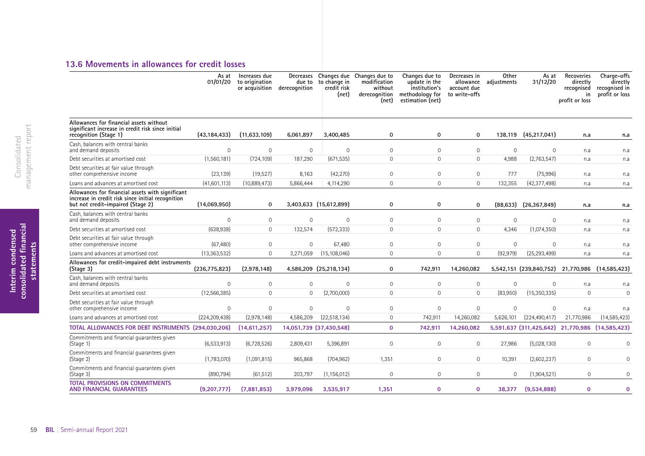### **13.6 Movements in allowances for credit losses**

|                                                                                                                                            | As at<br>01/01/20 | Increases due<br>to origination<br>or acquisition | Decreases<br>due to<br>derecognition | to change in<br>credit risk<br>(net) | Changes due Changes due to<br>modification<br>without<br>derecognition<br>(net) | Changes due to<br>update in the<br>institution's<br>methodology for<br>estimation (net) | Decreases in<br>account due<br>to write-offs | Other<br>allowance adjustments | As at<br>31/12/20                               | Recoveries<br>directly<br>recognised<br>in<br>profit or loss | Charge-offs<br>directly<br>recognised in<br>profit or loss |
|--------------------------------------------------------------------------------------------------------------------------------------------|-------------------|---------------------------------------------------|--------------------------------------|--------------------------------------|---------------------------------------------------------------------------------|-----------------------------------------------------------------------------------------|----------------------------------------------|--------------------------------|-------------------------------------------------|--------------------------------------------------------------|------------------------------------------------------------|
| Allowances for financial assets without<br>significant increase in credit risk since initial<br>recognition (Stage 1)                      | (43, 184, 433)    | (11,633,109)                                      | 6,061,897                            | 3,400,485                            | $\mathbf 0$                                                                     | 0                                                                                       | $\mathbf 0$                                  | 138,119                        | (45, 217, 041)                                  | n.a                                                          | n.a                                                        |
| Cash, balances with central banks<br>and demand deposits                                                                                   | $\Omega$          | $\overline{0}$                                    | $\mathbf 0$                          | $\mathbf 0$                          | $\Omega$                                                                        | $\mathbf{0}$                                                                            | $\mathbf 0$                                  | $\circ$                        | $\mathbf{0}$                                    | n.a                                                          | n.a                                                        |
| Debt securities at amortised cost                                                                                                          | (1,560,181)       | (724, 109)                                        | 187,290                              | (671, 535)                           | $\Omega$                                                                        | $\overline{0}$                                                                          | $\mathbf 0$                                  | 4,988                          | (2,763,547)                                     | n.a                                                          | n.a                                                        |
| Debt securities at fair value through<br>other comprehensive income                                                                        | (23, 139)         | (19,527)                                          | 8,163                                | (42, 270)                            | $\Omega$                                                                        | $\mathbf{0}$                                                                            | $\mathbf 0$                                  | 777                            | (75,996)                                        | n.a                                                          | n.a                                                        |
| Loans and advances at amortised cost                                                                                                       | (41,601,113)      | (10,889,473)                                      | 5,866,444                            | 4,114,290                            | $\mathsf{O}\xspace$                                                             | $\mathsf{O}\xspace$                                                                     | $\mathsf{O}$                                 | 132,355                        | (42, 377, 498)                                  | n.a                                                          | n.a                                                        |
| Allowances for financial assets with significant<br>increase in credit risk since initial recognition<br>but not credit-impaired (Stage 2) | (14,069,950)      | $\mathbf 0$                                       |                                      | 3,403,633 (15,612,899)               | $\mathbf 0$                                                                     | 0                                                                                       | $\mathbf 0$                                  | (88, 633)                      | (26, 367, 849)                                  | n.a                                                          | n.a                                                        |
| Cash, balances with central banks<br>and demand deposits                                                                                   | $\Omega$          | $\overline{0}$                                    | $\mathbf{0}$                         | $\overline{0}$                       | $\Omega$                                                                        | $\mathbf{0}$                                                                            | $\mathbf{0}$                                 | 0                              | $\mathbf{0}$                                    | n.a                                                          | n.a                                                        |
| Debt securities at amortised cost                                                                                                          | (638,938)         | $\overline{0}$                                    | 132,574                              | (572, 333)                           | $\circ$                                                                         | $\mathbf{0}$                                                                            | $\mathbf{0}$                                 | 4,346                          | (1,074,350)                                     | n.a                                                          | n.a                                                        |
| Debt securities at fair value through<br>other comprehensive income                                                                        | (67, 480)         | $\overline{0}$                                    | $\mathbf 0$                          | 67,480                               | 0                                                                               | $\mathbf{0}$                                                                            | $\mathbf 0$                                  | 0                              | $\mathbf 0$                                     | n.a                                                          | n.a                                                        |
| Loans and advances at amortised cost                                                                                                       | (13, 363, 532)    | $\overline{0}$                                    | 3,271,059                            | (15, 108, 046)                       | $\circ$                                                                         | $\mathbf{0}$                                                                            | $\mathbf{0}$                                 | (92, 979)                      | (25, 293, 499)                                  | n.a                                                          | n.a                                                        |
| Allowances for credit-impaired debt instruments<br>(Stage 3)                                                                               | (236, 775, 823)   | (2,978,148)                                       |                                      | 4,586,209 (25,218,134)               | 0                                                                               | 742,911                                                                                 | 14,260,082                                   |                                | 5,542,151 (239,840,752) 21,770,986 (14,585,423) |                                                              |                                                            |
| Cash, balances with central banks<br>and demand deposits                                                                                   | $\Omega$          | $\overline{0}$                                    | $\mathbf 0$                          | $\mathbf 0$                          | $\mathbf{0}$                                                                    | $\mathbf{0}$                                                                            | $\mathbf 0$                                  | $\circ$                        | $\Omega$                                        | n.a                                                          | n.a                                                        |
| Debt securities at amortised cost                                                                                                          | (12, 566, 385)    | $\Omega$                                          | $\Omega$                             | (2,700,000)                          | $\Omega$                                                                        | $\Omega$                                                                                | $\mathbf 0$                                  | (83,950)                       | (15,350,335)                                    | $\Omega$                                                     | $\Omega$                                                   |
| Debt securities at fair value through<br>other comprehensive income                                                                        | $\Omega$          | $\Omega$                                          | $\Omega$                             | $\mathbf 0$                          | $\overline{0}$                                                                  | $\mathbf{0}$                                                                            | $\mathbf{0}$                                 | $\circ$                        | $\mathbf 0$                                     | n.a                                                          | n.a                                                        |
| Loans and advances at amortised cost                                                                                                       | (224, 209, 438)   | (2,978,148)                                       | 4,586,209                            | (22, 518, 134)                       | $\mathbf{0}$                                                                    | 742,911                                                                                 | 14,260,082                                   | 5,626,101                      | (224, 490, 417)                                 | 21,770,986                                                   | (14, 585, 423)                                             |
| TOTAL ALLOWANCES FOR DEBT INSTRUMENTS (294,030,206)                                                                                        |                   | (14,611,257)                                      |                                      | 14,051,739 (37,430,548)              | $\mathbf{0}$                                                                    | 742,911                                                                                 | 14,260,082                                   |                                | 5,591,637 (311,425,642) 21,770,986 (14,585,423) |                                                              |                                                            |
| Commitments and financial quarantees given<br>(Stage 1)                                                                                    | (6,533,913)       | (6,728,526)                                       | 2,809,431                            | 5,396,891                            | $\Omega$                                                                        | $\mathbf{0}$                                                                            | $\mathbf 0$                                  | 27,986                         | (5,028,130)                                     | $\mathbf{0}$                                                 | $\mathbf{0}$                                               |
| Commitments and financial quarantees given<br>(Stage 2)                                                                                    | (1,783,070)       | (1,091,815)                                       | 965,868                              | (704, 962)                           | 1,351                                                                           | $\mathbf{0}$                                                                            | $\mathbf 0$                                  | 10,391                         | (2,602,237)                                     | $\mathbf{0}$                                                 | $\mathbf{0}$                                               |
| Commitments and financial guarantees given<br>(Stage 3)                                                                                    | (890, 794)        | (61, 512)                                         | 203,797                              | (1, 156, 012)                        | $\Omega$                                                                        | $\mathbf{0}$                                                                            | $\mathbf 0$                                  | $\circ$                        | (1,904,521)                                     | $\mathbf{0}$                                                 | $\mathbf{0}$                                               |
| <b>TOTAL PROVISIONS ON COMMITMENTS</b><br><b>AND FINANCIAL GUARANTEES</b>                                                                  | (9,207,777)       | (7,881,853)                                       | 3,979,096                            | 3,535,917                            | 1,351                                                                           | $\mathbf 0$                                                                             | $\mathbf{0}$                                 | 38,377                         | (9,534,888)                                     | $\mathbf{0}$                                                 | $\mathbf 0$                                                |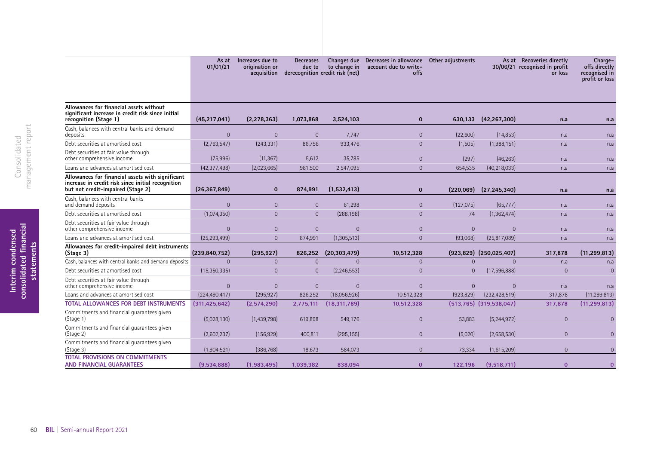|                                                                                                                                            | As at<br>01/01/21 | Increases due to<br>origination or<br>acquisition | <b>Decreases</b><br>due to<br>derecognition credit risk (net) | to change in   | Changes due Decreases in allowance<br>account due to write-<br>offs | Other adjustments |                                | As at Recoveries directly<br>30/06/21 recognised in profit<br>or loss | Charge-<br>offs directly<br>recognised in<br>profit or loss |
|--------------------------------------------------------------------------------------------------------------------------------------------|-------------------|---------------------------------------------------|---------------------------------------------------------------|----------------|---------------------------------------------------------------------|-------------------|--------------------------------|-----------------------------------------------------------------------|-------------------------------------------------------------|
| Allowances for financial assets without<br>significant increase in credit risk since initial<br>recognition (Stage 1)                      | (45, 217, 041)    | (2, 278, 363)                                     | 1,073,868                                                     | 3,524,103      | $\mathbf 0$                                                         | 630,133           | (42, 267, 300)                 | n.a                                                                   | n.a                                                         |
| Cash, balances with central banks and demand<br>deposits                                                                                   | $\overline{0}$    | $\mathbf{0}$                                      | $\overline{0}$                                                | 7,747          | $\overline{0}$                                                      | (22,600)          | (14, 853)                      | n.a                                                                   | n.a                                                         |
| Debt securities at amortised cost                                                                                                          | (2,763,547)       | (243, 331)                                        | 86,756                                                        | 933,476        | $\overline{0}$                                                      | (1,505)           | (1,988,151)                    | n.a                                                                   | n.a                                                         |
| Debt securities at fair value through<br>other comprehensive income                                                                        | (75,996)          | (11, 367)                                         | 5,612                                                         | 35,785         | $\overline{0}$                                                      | (297)             | (46, 263)                      | n.a                                                                   | n.a                                                         |
| Loans and advances at amortised cost                                                                                                       | (42, 377, 498)    | (2,023,665)                                       | 981,500                                                       | 2,547,095      | $\Omega$                                                            | 654,535           | (40, 218, 033)                 | n.a                                                                   | n.a                                                         |
| Allowances for financial assets with significant<br>increase in credit risk since initial recognition<br>but not credit-impaired (Stage 2) | (26, 367, 849)    | $\mathbf{0}$                                      | 874,991                                                       | (1,532,413)    | $\mathbf 0$                                                         | (220,069)         | (27, 245, 340)                 | n.a                                                                   | n.a                                                         |
| Cash, balances with central banks<br>and demand deposits                                                                                   | $\overline{0}$    | $\overline{0}$                                    | $\overline{0}$                                                | 61,298         | $\overline{0}$                                                      | (127, 075)        | (65, 777)                      | n.a                                                                   | n.a                                                         |
| Debt securities at amortised cost                                                                                                          | (1,074,350)       | $\overline{0}$                                    | $\overline{0}$                                                | (288, 198)     | $\overline{0}$                                                      | 74                | (1, 362, 474)                  | n.a                                                                   | n.a                                                         |
| Debt securities at fair value through<br>other comprehensive income                                                                        | $\Omega$          | $\overline{0}$                                    | $\overline{0}$                                                | $\Omega$       | $\Omega$                                                            | $\Omega$          | $\Omega$                       | n.a                                                                   | n.a                                                         |
| Loans and advances at amortised cost                                                                                                       | (25, 293, 499)    | $\overline{0}$                                    | 874,991                                                       | (1,305,513)    | $\Omega$                                                            | (93,068)          | (25,817,089)                   | n.a                                                                   | n.a                                                         |
| Allowances for credit-impaired debt instruments<br>(Stage 3)                                                                               | (239, 840, 752)   | (295, 927)                                        | 826,252                                                       | (20, 303, 479) | 10,512,328                                                          |                   | $(923,829)$ $(250,025,407)$    | 317,878                                                               | (11, 299, 813)                                              |
| Cash, balances with central banks and demand deposits                                                                                      | $\Omega$          | $\overline{0}$                                    | $\overline{0}$                                                | $\Omega$       | $\Omega$                                                            | $\Omega$          | $\Omega$                       | n.a                                                                   | n.a                                                         |
| Debt securities at amortised cost                                                                                                          | (15,350,335)      | $\mathbf{0}$                                      | $\overline{0}$                                                | (2, 246, 553)  | $\Omega$                                                            | $\Omega$          | (17,596,888)                   | $\overline{0}$                                                        | $\overline{0}$                                              |
| Debt securities at fair value through<br>other comprehensive income                                                                        | $\overline{0}$    | $\mathbf{0}$                                      | $\overline{0}$                                                | $\Omega$       | $\Omega$                                                            | $\Omega$          | $\Omega$                       | n.a                                                                   | n.a                                                         |
| Loans and advances at amortised cost                                                                                                       | (224, 490, 417)   | (295, 927)                                        | 826,252                                                       | (18,056,926)   | 10,512,328                                                          | (923, 829)        | (232, 428, 519)                | 317,878                                                               | (11, 299, 813)                                              |
| <b>TOTAL ALLOWANCES FOR DEBT INSTRUMENTS</b>                                                                                               | (311, 425, 642)   | (2,574,290)                                       | 2,775,111                                                     | (18, 311, 789) | 10,512,328                                                          |                   | $(513, 765)$ $(319, 538, 047)$ | 317,878                                                               | (11, 299, 813)                                              |
| Commitments and financial quarantees given<br>(Stage 1)                                                                                    | (5,028,130)       | (1,439,798)                                       | 619,898                                                       | 549,176        | $\Omega$                                                            | 53,883            | (5, 244, 972)                  | $\overline{0}$                                                        | $\Omega$                                                    |
| Commitments and financial quarantees given<br>(Stage 2)                                                                                    | (2,602,237)       | (156, 929)                                        | 400,811                                                       | (295, 155)     | $\Omega$                                                            | (5,020)           | (2,658,530)                    | $\Omega$                                                              | $\Omega$                                                    |
| Commitments and financial guarantees given<br>(Stage 3)                                                                                    | (1,904,521)       | (386, 768)                                        | 18,673                                                        | 584,073        | $\overline{0}$                                                      | 73,334            | (1,615,209)                    | $\overline{0}$                                                        | $\Omega$                                                    |
| TOTAL PROVISIONS ON COMMITMENTS<br><b>AND FINANCIAL GUARANTEES</b>                                                                         | (9.534.888)       | (1.983.495)                                       | 1.039.382                                                     | 838.094        | $\mathbf{0}$                                                        | 122.196           | (9,518,711)                    | $\mathbf{0}$                                                          | $\mathbf{0}$                                                |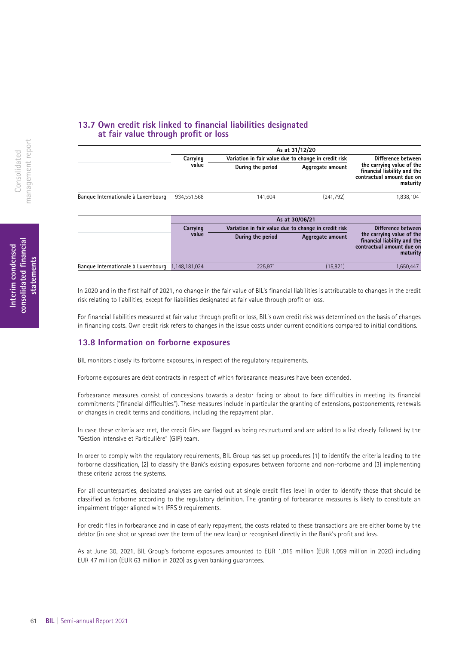### **13.7 Own credit risk linked to fnancial liabilities designated at fair value through proft or loss**

|                                    |               |                                                      | As at 31/12/20     |                                                                                                   |  |                    |
|------------------------------------|---------------|------------------------------------------------------|--------------------|---------------------------------------------------------------------------------------------------|--|--------------------|
|                                    | Carrying      | Variation in fair value due to change in credit risk | Difference between |                                                                                                   |  |                    |
|                                    | value         | During the period                                    | Aggregate amount   | the carrying value of the<br>financial liability and the<br>contractual amount due on<br>maturity |  |                    |
| Banque Internationale à Luxembourg | 934,551,568   | 141,604                                              | (241,792)          | 1,838,104                                                                                         |  |                    |
|                                    |               |                                                      | As at 30/06/21     |                                                                                                   |  |                    |
|                                    | Carrying      | Variation in fair value due to change in credit risk |                    |                                                                                                   |  | Difference between |
|                                    | value         | During the period                                    | Aggregate amount   | the carrying value of the<br>financial liability and the<br>contractual amount due on<br>maturity |  |                    |
| Banque Internationale à Luxembourg | 1.148.181.024 | 225,971                                              | (15, 821)          | 1,650,447                                                                                         |  |                    |

In 2020 and in the first half of 2021, no change in the fair value of BIL's financial liabilities is attributable to changes in the credit risk relating to liabilities, except for liabilities designated at fair value through profit or loss.

For financial liabilities measured at fair value through profit or loss, BIL's own credit risk was determined on the basis of changes in financing costs. Own credit risk refers to changes in the issue costs under current conditions compared to initial conditions.

### **13.8 Information on forborne exposures**

BIL monitors closely its forborne exposures, in respect of the regulatory requirements.

Forborne exposures are debt contracts in respect of which forbearance measures have been extended.

Forbearance measures consist of concessions towards a debtor facing or about to face difficulties in meeting its financial commitments ("financial difficulties"). These measures include in particular the granting of extensions, postponements, renewals or changes in credit terms and conditions, including the repayment plan.

In case these criteria are met, the credit files are flagged as being restructured and are added to a list closely followed by the "Gestion Intensive et Particulière" (GIP) team.

In order to comply with the regulatory requirements, BIL Group has set up procedures (1) to identify the criteria leading to the forborne classification, (2) to classify the Bank's existing exposures between forborne and non-forborne and (3) implementing these criteria across the systems.

For all counterparties, dedicated analyses are carried out at single credit files level in order to identify those that should be classified as forborne according to the regulatory definition. The granting of forbearance measures is likely to constitute an impairment trigger aligned with IFRS 9 requirements.

For credit files in forbearance and in case of early repayment, the costs related to these transactions are ere either borne by the debtor (in one shot or spread over the term of the new loan) or recognised directly in the Bank's profit and loss.

As at June 30, 2021, BIL Group's forborne exposures amounted to EUR 1,015 million (EUR 1,059 million in 2020) including EUR 47 million (EUR 63 million in 2020) as given banking guarantees.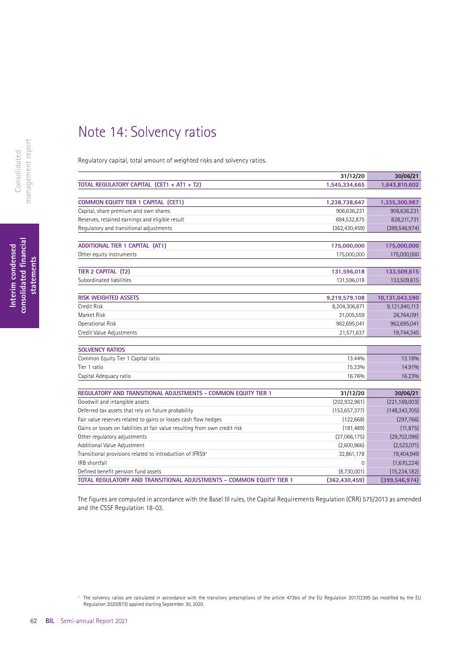## Note 14: Solvency ratios

Regulatory capital, total amount of weighted risks and solvency ratios.

|                                                                             | 31/12/20        | 30/06/21        |
|-----------------------------------------------------------------------------|-----------------|-----------------|
| TOTAL REGULATORY CAPITAL (CET1 + AT1 + T2)                                  | 1,545,334,665   | 1,643,810,602   |
|                                                                             |                 |                 |
| <b>COMMON EQUITY TIER 1 CAPITAL (CET1)</b>                                  | 1,238,738,647   | 1,335,300,987   |
| Capital, share premium and own shares                                       | 906,636,231     | 906,636,231     |
| Reserves, retained earnings and eligible result                             | 694,532,875     | 828,211,731     |
| Regulatory and transitional adjustments                                     | (362, 430, 459) | (399, 546, 974) |
|                                                                             |                 |                 |
| <b>ADDITIONAL TIER 1 CAPITAL (AT1)</b>                                      | 175,000,000     | 175,000,000     |
| Other equity instruments                                                    | 175,000,000     | 175,000,000     |
|                                                                             |                 |                 |
| TIER 2 CAPITAL (T2)                                                         | 131,596,018     | 133,509,615     |
| Subordinated liabilities                                                    | 131,596,018     | 133,509,615     |
|                                                                             |                 |                 |
| <b>RISK WEIGHTED ASSETS</b>                                                 | 9,219,579,108   | 10,131,043,590  |
| <b>Credit Risk</b>                                                          | 8,204,306,871   | 9,121,840,113   |
| Market Risk                                                                 | 31,005,559      | 26,764,091      |
| <b>Operational Risk</b>                                                     | 962,695,041     | 962,695,041     |
| Credit Value Adjustments                                                    | 21,571,637      | 19,744,345      |
|                                                                             |                 |                 |
| <b>SOLVENCY RATIOS</b>                                                      |                 |                 |
| Common Equity Tier 1 Capital ratio                                          | 13.44%          | 13.18%          |
| Tier 1 ratio                                                                | 15.33%          | 14.91%          |
| Capital Adequacy ratio                                                      | 16.76%          | 16.23%          |
|                                                                             |                 |                 |
| REGULATORY AND TRANSITIONAL ADJUSTMENTS - COMMON EQUITY TIER 1              | 31/12/20        | 30/06/21        |
| Goodwill and intangible assets                                              | (202, 932, 961) | (221, 169, 003) |
| Deferred tax assets that rely on future probability                         | (153, 657, 377) | (148, 343, 705) |
| Fair value reserves related to gains or losses cash flow hedges             | (122, 668)      | (297,766)       |
| Gains or losses on liabilities at fair value resulting from own credit risk | (181, 489)      | (11, 875)       |
| Other regulatory adjustments                                                | (27,066,175)    | (29,702,096)    |
| Additional Value Adjustment                                                 | (2,600,966)     | (2,523,071)     |
| Transitional provisions related to introduction of IFRS91                   | 32,861,178      | 19,404,949      |
| IRB shortfall                                                               | $\overline{0}$  | (1,670,224)     |
| Defined benefit pension fund assets                                         | (8,730,001)     | (15, 234, 182)  |

The figures are computed in accordance with the Basel III rules, the Capital Requirements Regulation (CRR) 575/2013 as amended and the CSSF Regulation 18-03.

**TOTAL REGULATORY AND TRANSITIONAL ADJUSTMENTS - COMMON EQUITY TIER 1 (362,430,459) (399,546,974)**

<sup>1</sup> The solvency ratios are calculated in accordance with the transitory prescriptions of the article 473bis of the EU Regulation 2017/2395 (as modifed by the EU Regulation 2020/873) applied starting September 30, 2020.